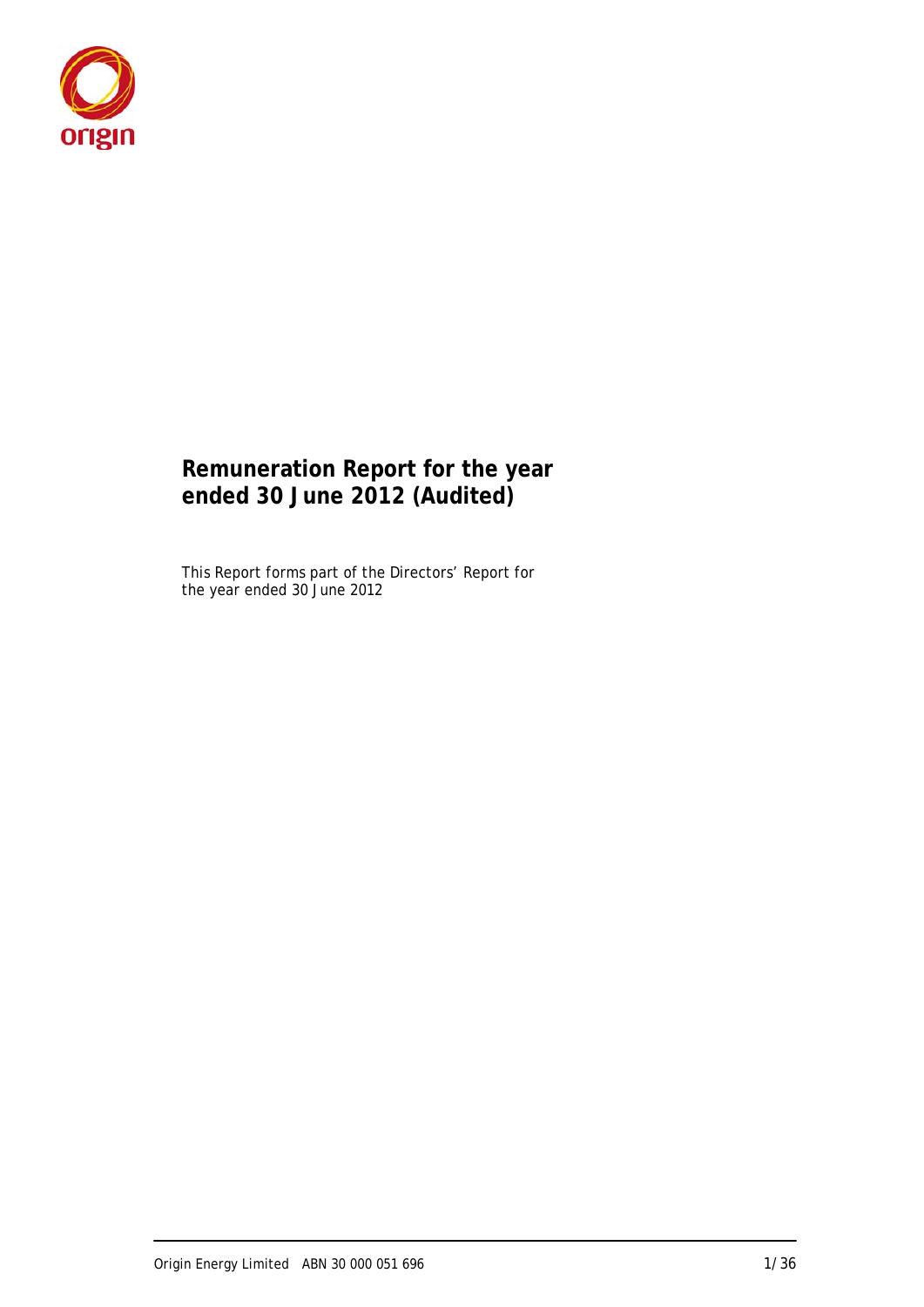

# **Remuneration Report for the year ended 30 June 2012 (Audited)**

This Report forms part of the Directors' Report for the year ended 30 June 2012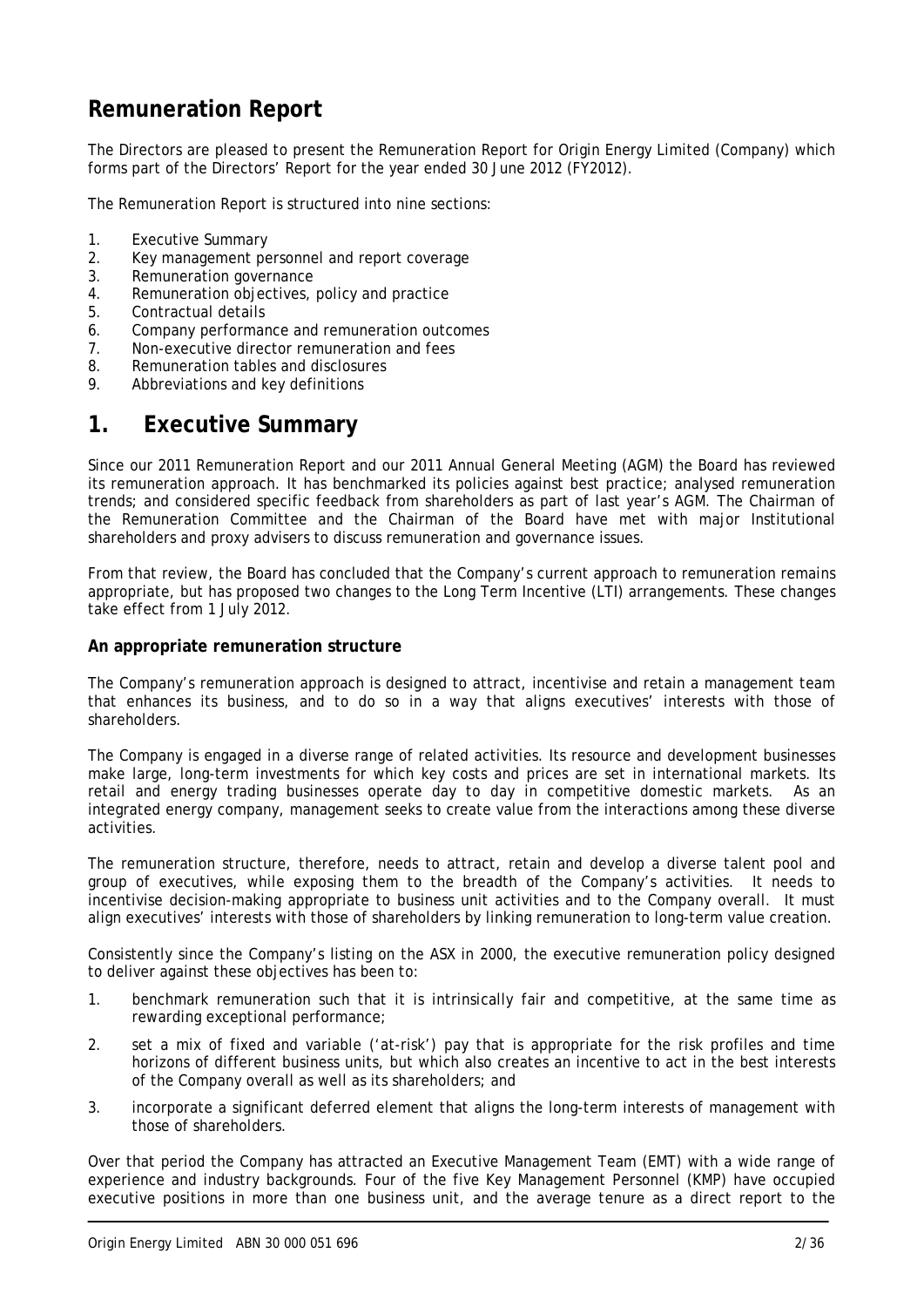# **Remuneration Report**

The Directors are pleased to present the Remuneration Report for Origin Energy Limited (Company) which forms part of the Directors' Report for the year ended 30 June 2012 (FY2012).

The Remuneration Report is structured into nine sections:

- 1. Executive Summary
- 2. Key management personnel and report coverage
- 3. Remuneration governance
- 4. Remuneration objectives, policy and practice
- 5. Contractual details
- 6. Company performance and remuneration outcomes
- 7. Non-executive director remuneration and fees
- 8. Remuneration tables and disclosures
- 9. Abbreviations and key definitions

# **1. Executive Summary**

Since our 2011 Remuneration Report and our 2011 Annual General Meeting (AGM) the Board has reviewed its remuneration approach. It has benchmarked its policies against best practice; analysed remuneration trends; and considered specific feedback from shareholders as part of last year's AGM. The Chairman of the Remuneration Committee and the Chairman of the Board have met with major Institutional shareholders and proxy advisers to discuss remuneration and governance issues.

From that review, the Board has concluded that the Company's current approach to remuneration remains appropriate, but has proposed two changes to the Long Term Incentive (LTI) arrangements. These changes take effect from 1 July 2012.

#### **An appropriate remuneration structure**

The Company's remuneration approach is designed to attract, incentivise and retain a management team that enhances its business, and to do so in a way that aligns executives' interests with those of shareholders.

The Company is engaged in a diverse range of related activities. Its resource and development businesses make large, long-term investments for which key costs and prices are set in international markets. Its retail and energy trading businesses operate day to day in competitive domestic markets. As an integrated energy company, management seeks to create value from the interactions among these diverse activities.

The remuneration structure, therefore, needs to attract, retain and develop a diverse talent pool and group of executives, while exposing them to the breadth of the Company's activities. It needs to incentivise decision-making appropriate to business unit activities and to the Company overall. It must align executives' interests with those of shareholders by linking remuneration to long-term value creation.

Consistently since the Company's listing on the ASX in 2000, the executive remuneration policy designed to deliver against these objectives has been to:

- 1. benchmark remuneration such that it is intrinsically fair and competitive, at the same time as rewarding exceptional performance;
- 2. set a mix of fixed and variable ('at-risk') pay that is appropriate for the risk profiles and time horizons of different business units, but which also creates an incentive to act in the best interests of the Company overall as well as its shareholders; and
- 3. incorporate a significant deferred element that aligns the long-term interests of management with those of shareholders.

Over that period the Company has attracted an Executive Management Team (EMT) with a wide range of experience and industry backgrounds. Four of the five Key Management Personnel (KMP) have occupied executive positions in more than one business unit, and the average tenure as a direct report to the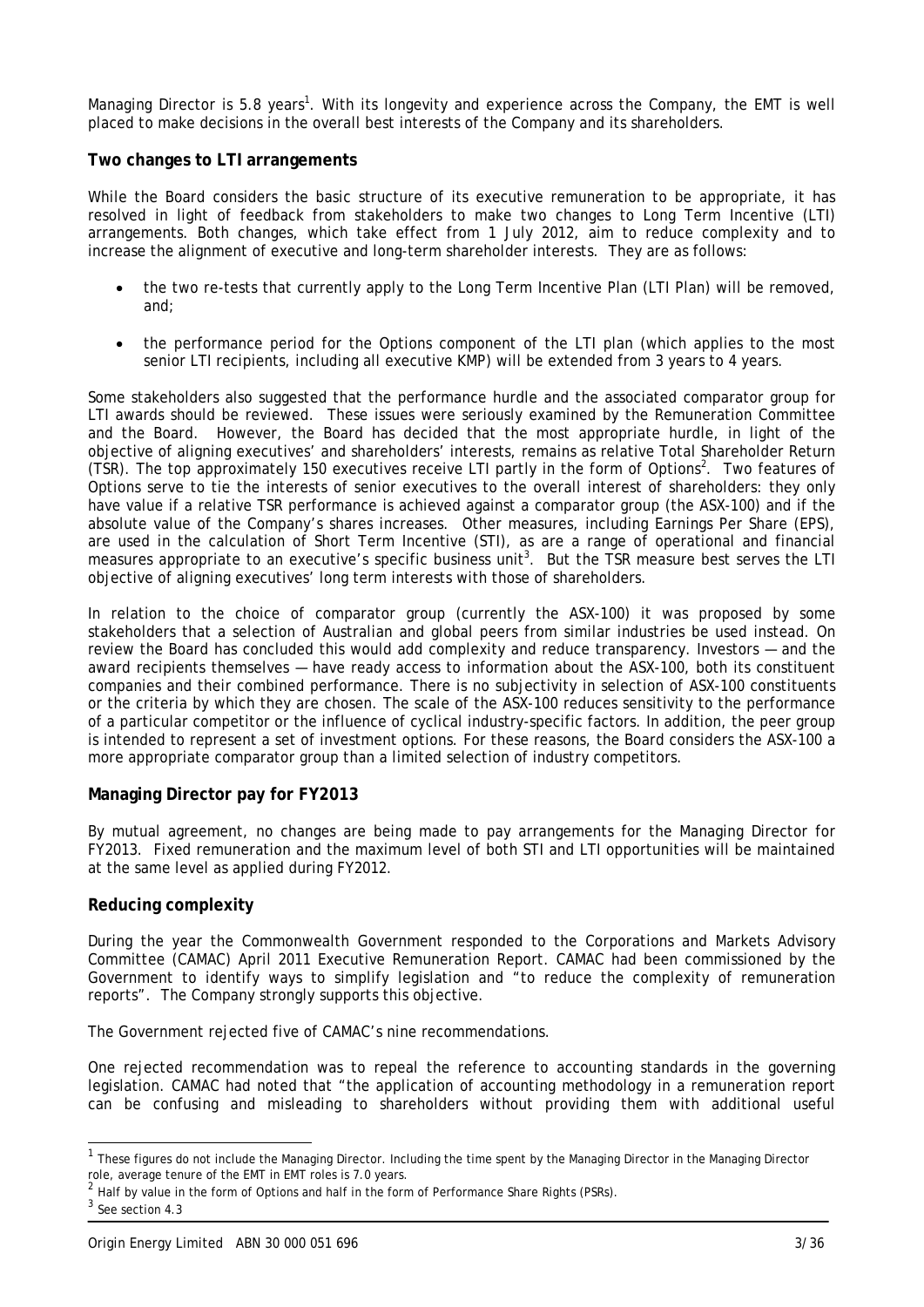Managing Director is 5.8 years<sup>1</sup>. With its longevity and experience across the Company, the EMT is well placed to make decisions in the overall best interests of the Company and its shareholders.

#### **Two changes to LTI arrangements**

While the Board considers the basic structure of its executive remuneration to be appropriate, it has resolved in light of feedback from stakeholders to make two changes to Long Term Incentive (LTI) arrangements. Both changes, which take effect from 1 July 2012, aim to reduce complexity and to increase the alignment of executive and long-term shareholder interests. They are as follows:

- the two re-tests that currently apply to the Long Term Incentive Plan (LTI Plan) will be removed, and;
- the performance period for the Options component of the LTI plan (which applies to the most senior LTI recipients, including all executive KMP) will be extended from 3 years to 4 years.

Some stakeholders also suggested that the performance hurdle and the associated comparator group for LTI awards should be reviewed. These issues were seriously examined by the Remuneration Committee and the Board. However, the Board has decided that the most appropriate hurdle, in light of the objective of aligning executives' and shareholders' interests, remains as relative Total Shareholder Return (TSR). The top approximately 150 executives receive LTI partly in the form of Options<sup>2</sup>. Two features of Options serve to tie the interests of senior executives to the overall interest of shareholders: they only have value if a relative TSR performance is achieved against a comparator group (the ASX-100) and if the absolute value of the Company's shares increases. Other measures, including Earnings Per Share (EPS), are used in the calculation of Short Term Incentive (STI), as are a range of operational and financial measures appropriate to an executive's specific business unit<sup>3</sup>. But the TSR measure best serves the LTI objective of aligning executives' long term interests with those of shareholders.

In relation to the choice of comparator group (currently the ASX-100) it was proposed by some stakeholders that a selection of Australian and global peers from similar industries be used instead. On review the Board has concluded this would add complexity and reduce transparency. Investors — and the award recipients themselves — have ready access to information about the ASX-100, both its constituent companies and their combined performance. There is no subjectivity in selection of ASX-100 constituents or the criteria by which they are chosen. The scale of the ASX-100 reduces sensitivity to the performance of a particular competitor or the influence of cyclical industry-specific factors. In addition, the peer group is intended to represent a set of investment options. For these reasons, the Board considers the ASX-100 a more appropriate comparator group than a limited selection of industry competitors.

### **Managing Director pay for FY2013**

By mutual agreement, no changes are being made to pay arrangements for the Managing Director for FY2013. Fixed remuneration and the maximum level of both STI and LTI opportunities will be maintained at the same level as applied during FY2012.

### **Reducing complexity**

During the year the Commonwealth Government responded to the Corporations and Markets Advisory Committee (CAMAC) April 2011 Executive Remuneration Report. CAMAC had been commissioned by the Government to identify ways to simplify legislation and "to reduce the complexity of remuneration reports". The Company strongly supports this objective.

The Government rejected five of CAMAC's nine recommendations.

One rejected recommendation was to repeal the reference to accounting standards in the governing legislation. CAMAC had noted that "the application of accounting methodology in a remuneration report can be confusing and misleading to shareholders without providing them with additional useful

l

<sup>&</sup>lt;sup>1</sup> These figures do not include the Managing Director. Including the time spent by the Managing Director in the Managing Director role, average tenure of the EMT in EMT roles is 7.0 years.

 $2$  Half by value in the form of Options and half in the form of Performance Share Rights (PSRs).

<sup>3</sup> See section 4.3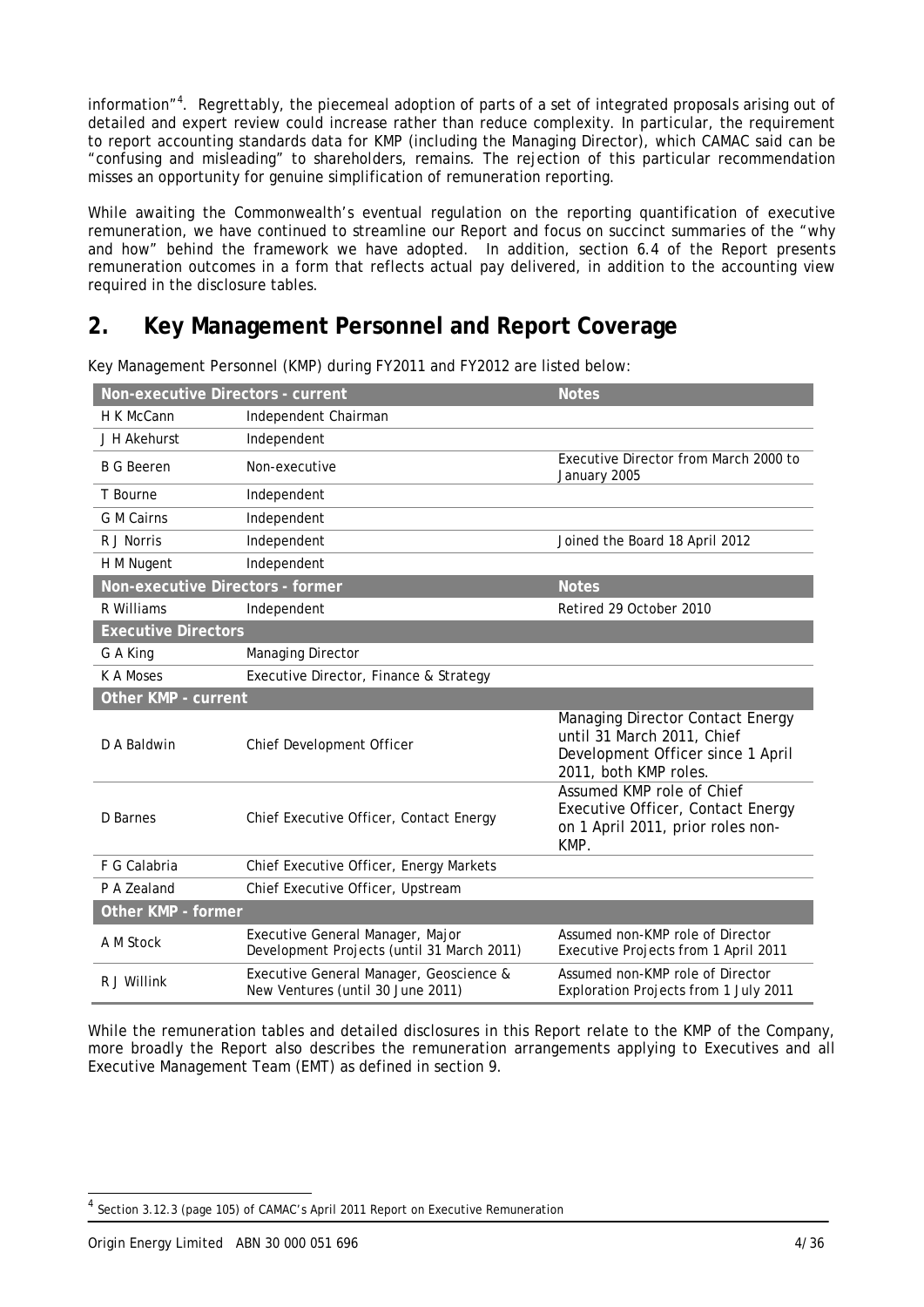information"<sup>4</sup>. Regrettably, the piecemeal adoption of parts of a set of integrated proposals arising out of detailed and expert review could increase rather than reduce complexity. In particular, the requirement to report accounting standards data for KMP (including the Managing Director), which CAMAC said can be "confusing and misleading" to shareholders, remains. The rejection of this particular recommendation misses an opportunity for genuine simplification of remuneration reporting.

While awaiting the Commonwealth's eventual regulation on the reporting quantification of executive remuneration, we have continued to streamline our Report and focus on succinct summaries of the "why and how" behind the framework we have adopted. In addition, section 6.4 of the Report presents remuneration outcomes in a form that reflects actual pay delivered, in addition to the accounting view required in the disclosure tables.

# **2. Key Management Personnel and Report Coverage**

| Non-executive Directors - current |                                                                                | <b>Notes</b>                                                                                                                 |
|-----------------------------------|--------------------------------------------------------------------------------|------------------------------------------------------------------------------------------------------------------------------|
| H K McCann                        | Independent Chairman                                                           |                                                                                                                              |
| J H Akehurst                      | Independent                                                                    |                                                                                                                              |
| <b>B G Beeren</b>                 | Non-executive                                                                  | Executive Director from March 2000 to<br>January 2005                                                                        |
| T Bourne                          | Independent                                                                    |                                                                                                                              |
| <b>G</b> M Cairns                 | Independent                                                                    |                                                                                                                              |
| R J Norris                        | Independent                                                                    | Joined the Board 18 April 2012                                                                                               |
| H M Nugent                        | Independent                                                                    |                                                                                                                              |
| Non-executive Directors - former  |                                                                                | <b>Notes</b>                                                                                                                 |
| R Williams                        | Independent                                                                    | Retired 29 October 2010                                                                                                      |
| <b>Executive Directors</b>        |                                                                                |                                                                                                                              |
| G A King                          | Managing Director                                                              |                                                                                                                              |
| K A Moses                         | Executive Director, Finance & Strategy                                         |                                                                                                                              |
| Other KMP - current               |                                                                                |                                                                                                                              |
| D A Baldwin                       | Chief Development Officer                                                      | Managing Director Contact Energy<br>until 31 March 2011, Chief<br>Development Officer since 1 April<br>2011, both KMP roles. |
| D Barnes                          | Chief Executive Officer, Contact Energy                                        | Assumed KMP role of Chief<br>Executive Officer, Contact Energy<br>on 1 April 2011, prior roles non-<br>KMP.                  |
|                                   |                                                                                |                                                                                                                              |
| F G Calabria                      | Chief Executive Officer, Energy Markets                                        |                                                                                                                              |
| P A Zealand                       | Chief Executive Officer, Upstream                                              |                                                                                                                              |
| Other KMP - former                |                                                                                |                                                                                                                              |
| A M Stock                         | Executive General Manager, Major<br>Development Projects (until 31 March 2011) | Assumed non-KMP role of Director<br>Executive Projects from 1 April 2011                                                     |
| R J Willink                       | Executive General Manager, Geoscience &<br>New Ventures (until 30 June 2011)   | Assumed non-KMP role of Director<br>Exploration Projects from 1 July 2011                                                    |

Key Management Personnel (KMP) during FY2011 and FY2012 are listed below:

While the remuneration tables and detailed disclosures in this Report relate to the KMP of the Company, more broadly the Report also describes the remuneration arrangements applying to Executives and all Executive Management Team (EMT) as defined in section 9.

l

<sup>4</sup> Section 3.12.3 (page 105) of CAMAC's April 2011 Report on Executive Remuneration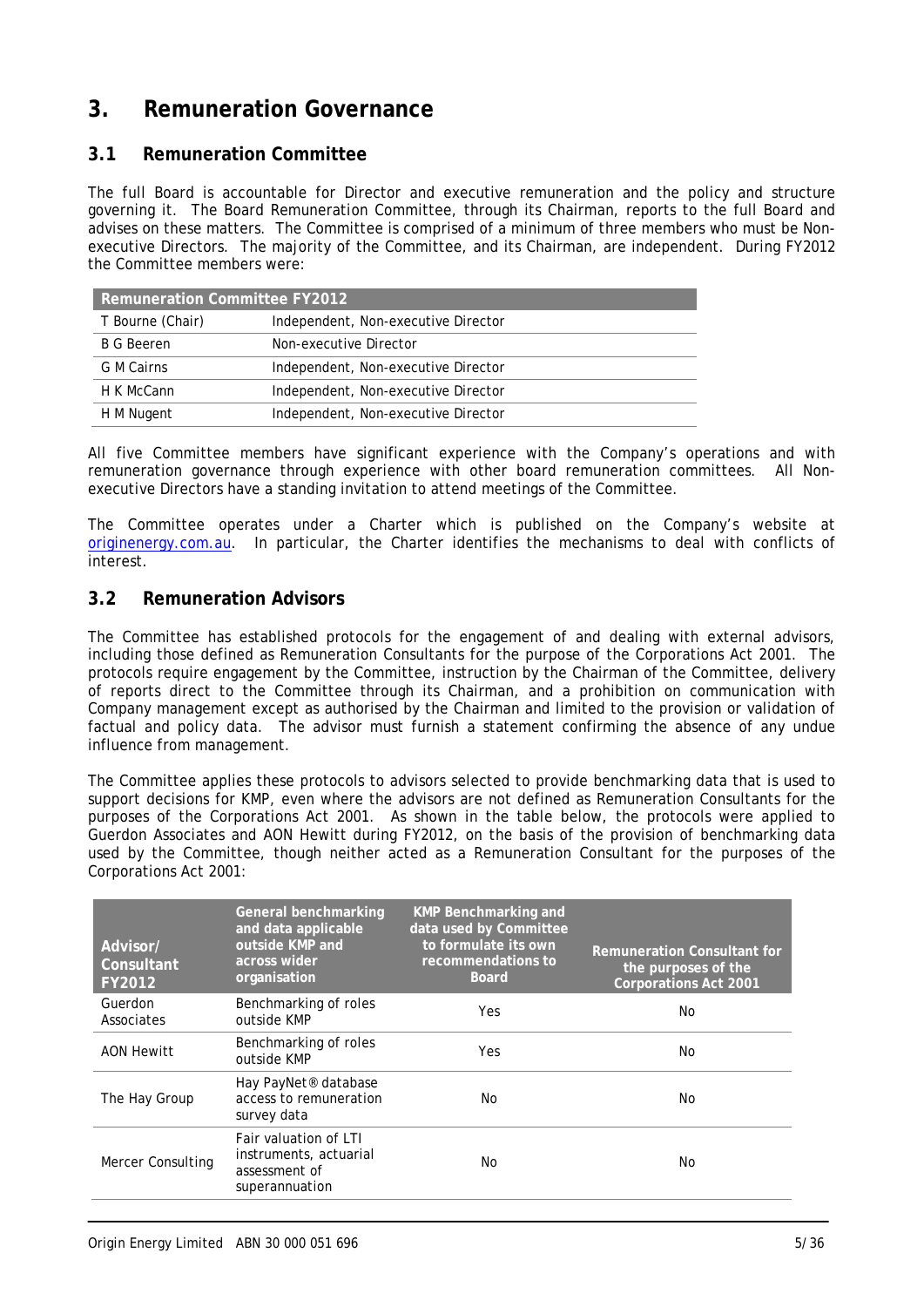# **3. Remuneration Governance**

## **3.1 Remuneration Committee**

The full Board is accountable for Director and executive remuneration and the policy and structure governing it. The Board Remuneration Committee, through its Chairman, reports to the full Board and advises on these matters. The Committee is comprised of a minimum of three members who must be Nonexecutive Directors. The majority of the Committee, and its Chairman, are independent. During FY2012 the Committee members were:

| <b>Remuneration Committee FY2012</b> |                                     |  |
|--------------------------------------|-------------------------------------|--|
| T Bourne (Chair)                     | Independent, Non-executive Director |  |
| <b>B G Beeren</b>                    | Non-executive Director              |  |
| G M Cairns                           | Independent, Non-executive Director |  |
| H K McCann                           | Independent, Non-executive Director |  |
| H M Nugent                           | Independent, Non-executive Director |  |

All five Committee members have significant experience with the Company's operations and with remuneration governance through experience with other board remuneration committees. All Nonexecutive Directors have a standing invitation to attend meetings of the Committee.

The Committee operates under a Charter which is published on the Company's website at originenergy.com.au. In particular, the Charter identifies the mechanisms to deal with conflicts of interest.

### **3.2 Remuneration Advisors**

The Committee has established protocols for the engagement of and dealing with external advisors, including those defined as Remuneration Consultants for the purpose of the Corporations Act 2001. The protocols require engagement by the Committee, instruction by the Chairman of the Committee, delivery of reports direct to the Committee through its Chairman, and a prohibition on communication with Company management except as authorised by the Chairman and limited to the provision or validation of factual and policy data. The advisor must furnish a statement confirming the absence of any undue influence from management.

The Committee applies these protocols to advisors selected to provide benchmarking data that is used to support decisions for KMP, even where the advisors are not defined as Remuneration Consultants for the purposes of the Corporations Act 2001. As shown in the table below, the protocols were applied to Guerdon Associates and AON Hewitt during FY2012, on the basis of the provision of benchmarking data used by the Committee, though neither acted as a Remuneration Consultant for the purposes of the Corporations Act 2001:

| Advisor/<br>Consultant<br>FY2012 | General benchmarking<br>and data applicable<br>outside KMP and<br>across wider<br>organisation | <b>KMP Benchmarking and</b><br>data used by Committee<br>to formulate its own<br>recommendations to<br><b>Board</b> | <b>Remuneration Consultant for</b><br>the purposes of the<br><b>Corporations Act 2001</b> |
|----------------------------------|------------------------------------------------------------------------------------------------|---------------------------------------------------------------------------------------------------------------------|-------------------------------------------------------------------------------------------|
| Guerdon<br>Associates            | Benchmarking of roles<br>outside KMP                                                           | Yes                                                                                                                 | No                                                                                        |
| <b>AON Hewitt</b>                | Benchmarking of roles<br>outside KMP                                                           | Yes                                                                                                                 | No                                                                                        |
| The Hay Group                    | Hay PayNet <sup>®</sup> database<br>access to remuneration<br>survey data                      | No.                                                                                                                 | No                                                                                        |
| <b>Mercer Consulting</b>         | Fair valuation of LTI<br>instruments, actuarial<br>assessment of<br>superannuation             | No.                                                                                                                 | No                                                                                        |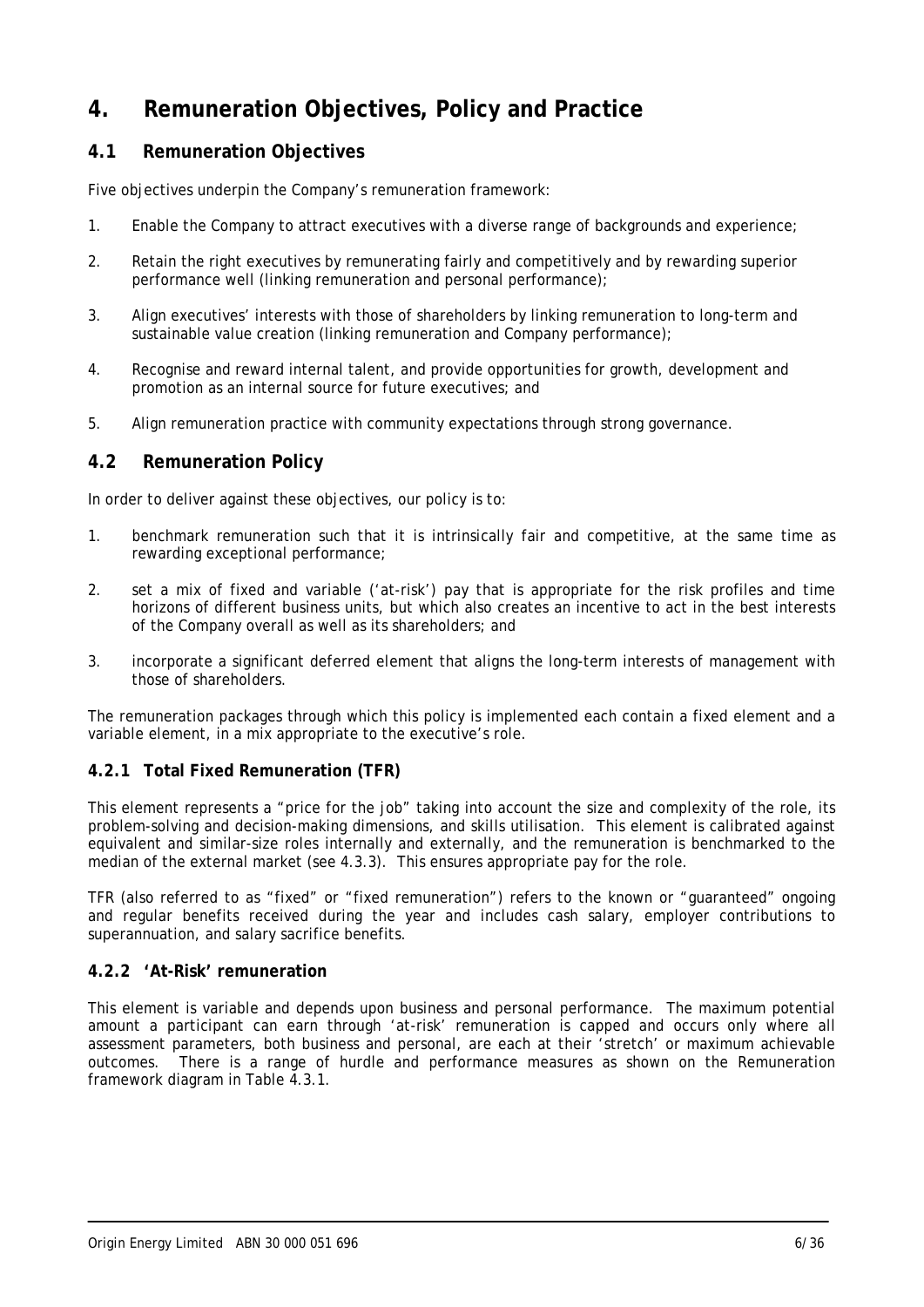# **4. Remuneration Objectives, Policy and Practice**

# **4.1 Remuneration Objectives**

Five objectives underpin the Company's remuneration framework:

- 1. Enable the Company to attract executives with a diverse range of backgrounds and experience;
- 2. Retain the right executives by remunerating fairly and competitively and by rewarding superior performance well (linking remuneration and personal performance);
- 3. Align executives' interests with those of shareholders by linking remuneration to long-term and sustainable value creation (linking remuneration and Company performance);
- 4. Recognise and reward internal talent, and provide opportunities for growth, development and promotion as an internal source for future executives; and
- 5. Align remuneration practice with community expectations through strong governance.

### **4.2 Remuneration Policy**

In order to deliver against these objectives, our policy is to:

- 1. benchmark remuneration such that it is intrinsically fair and competitive, at the same time as rewarding exceptional performance;
- 2. set a mix of fixed and variable ('at-risk') pay that is appropriate for the risk profiles and time horizons of different business units, but which also creates an incentive to act in the best interests of the Company overall as well as its shareholders; and
- 3. incorporate a significant deferred element that aligns the long-term interests of management with those of shareholders.

The remuneration packages through which this policy is implemented each contain a fixed element and a variable element, in a mix appropriate to the executive's role.

### **4.2.1 Total Fixed Remuneration (TFR)**

This element represents a "price for the job" taking into account the size and complexity of the role, its problem-solving and decision-making dimensions, and skills utilisation. This element is calibrated against equivalent and similar-size roles internally and externally, and the remuneration is benchmarked to the median of the external market (see 4.3.3). This ensures appropriate pay for the role.

TFR (also referred to as "fixed" or "fixed remuneration") refers to the known or "guaranteed" ongoing and regular benefits received during the year and includes cash salary, employer contributions to superannuation, and salary sacrifice benefits.

#### **4.2.2 'At-Risk' remuneration**

This element is variable and depends upon business and personal performance. The maximum potential amount a participant can earn through 'at-risk' remuneration is capped and occurs only where all assessment parameters, both business and personal, are each at their 'stretch' or maximum achievable outcomes. There is a range of hurdle and performance measures as shown on the Remuneration framework diagram in Table 4.3.1.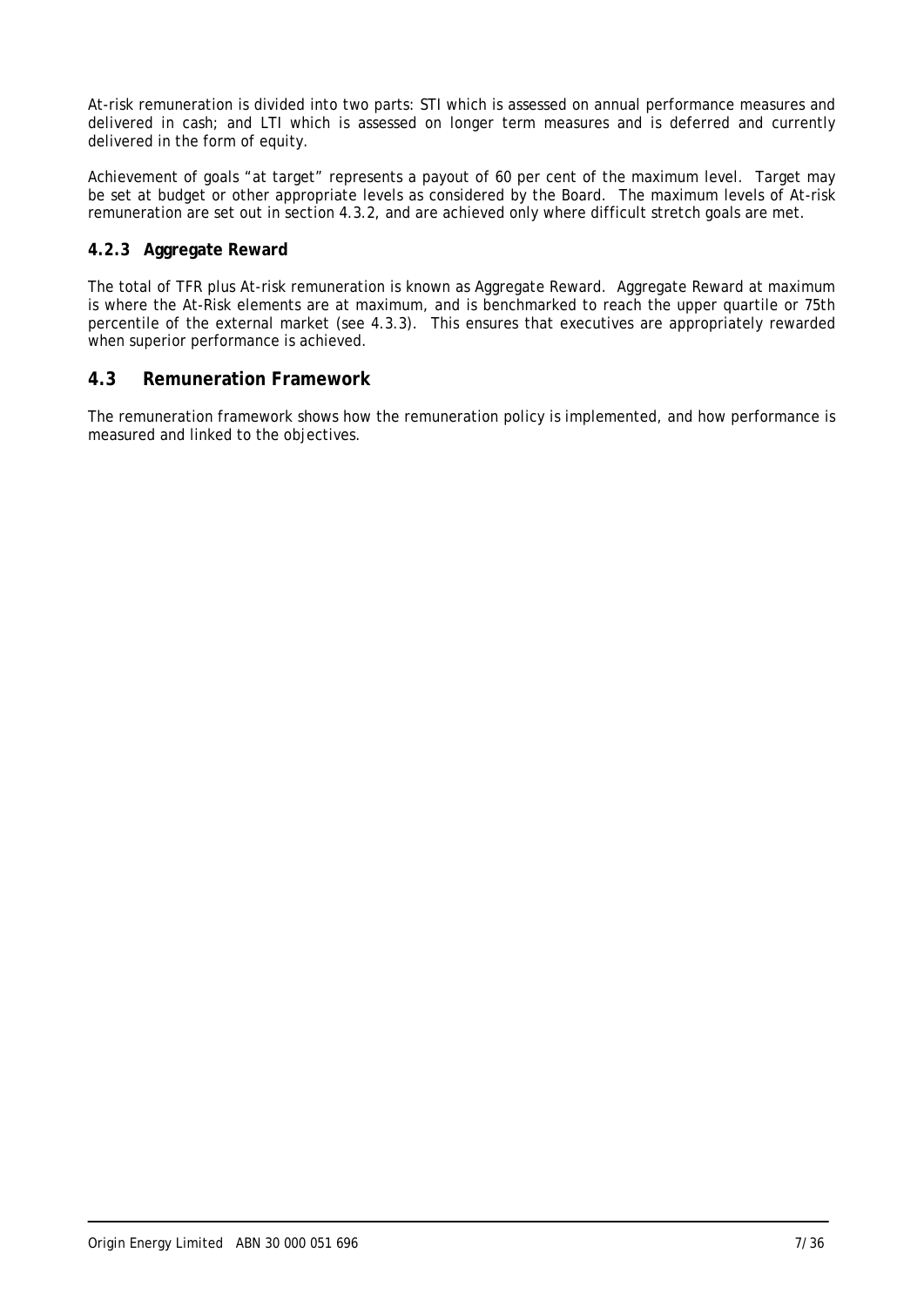At-risk remuneration is divided into two parts: STI which is assessed on annual performance measures and delivered in cash; and LTI which is assessed on longer term measures and is deferred and currently delivered in the form of equity.

Achievement of goals "at target" represents a payout of 60 per cent of the maximum level. Target may be set at budget or other appropriate levels as considered by the Board. The maximum levels of At-risk remuneration are set out in section 4.3.2, and are achieved only where difficult stretch goals are met.

### **4.2.3 Aggregate Reward**

The total of TFR plus At-risk remuneration is known as Aggregate Reward. Aggregate Reward at maximum is where the At-Risk elements are at maximum, and is benchmarked to reach the upper quartile or 75th percentile of the external market (see 4.3.3). This ensures that executives are appropriately rewarded when superior performance is achieved.

### **4.3 Remuneration Framework**

The remuneration framework shows how the remuneration policy is implemented, and how performance is measured and linked to the objectives.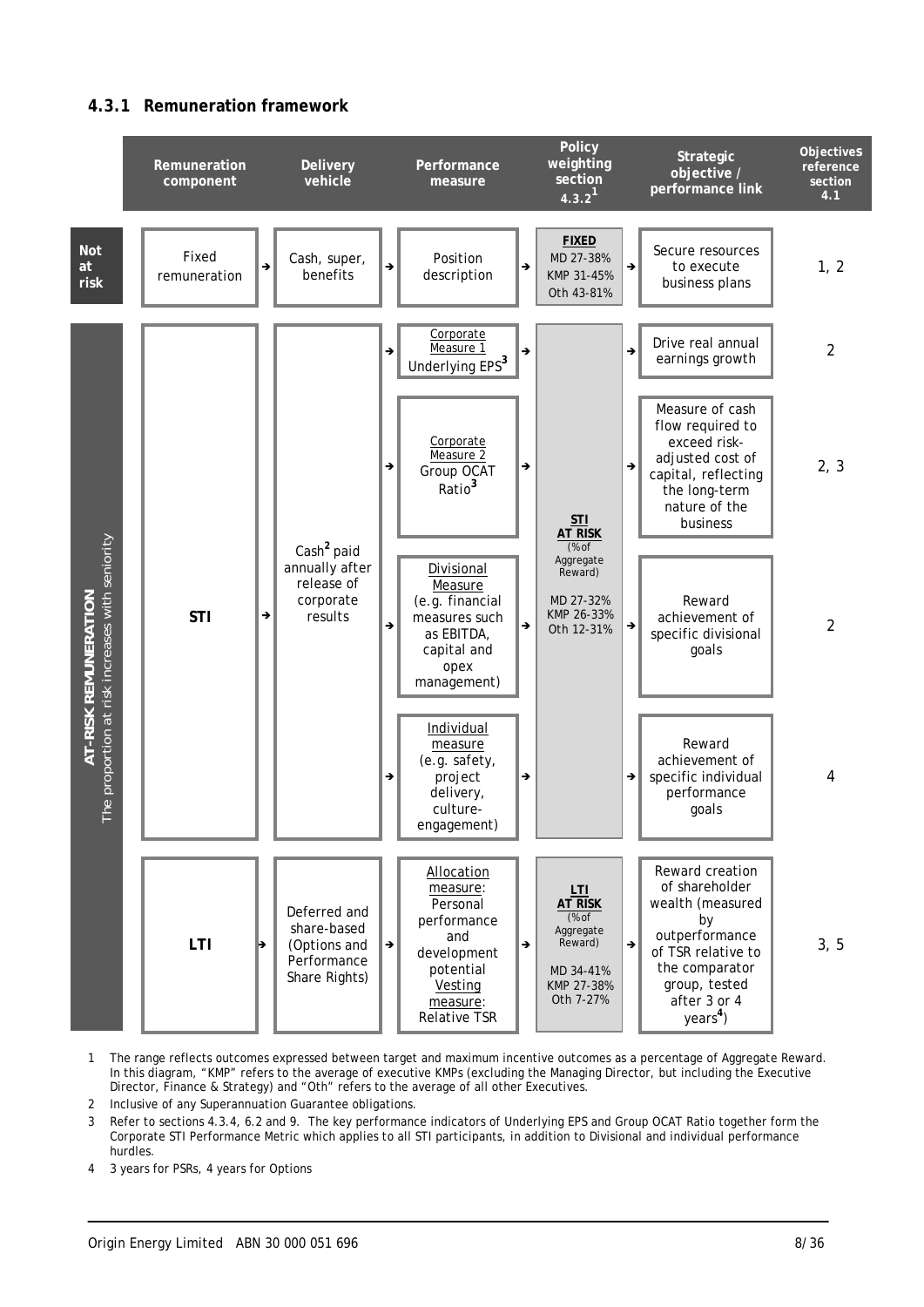### **4.3.1 Remuneration framework**



- 1 The range reflects outcomes expressed between target and maximum incentive outcomes as a percentage of Aggregate Reward. In this diagram, "KMP" refers to the average of executive KMPs (excluding the Managing Director, but including the Executive Director, Finance & Strategy) and "Oth" refers to the average of all other Executives.
- 2 Inclusive of any Superannuation Guarantee obligations.
- 3 Refer to sections 4.3.4, 6.2 and 9. The key performance indicators of Underlying EPS and Group OCAT Ratio together form the Corporate STI Performance Metric which applies to all STI participants, in addition to Divisional and individual performance hurdles.
- 4 3 years for PSRs, 4 years for Options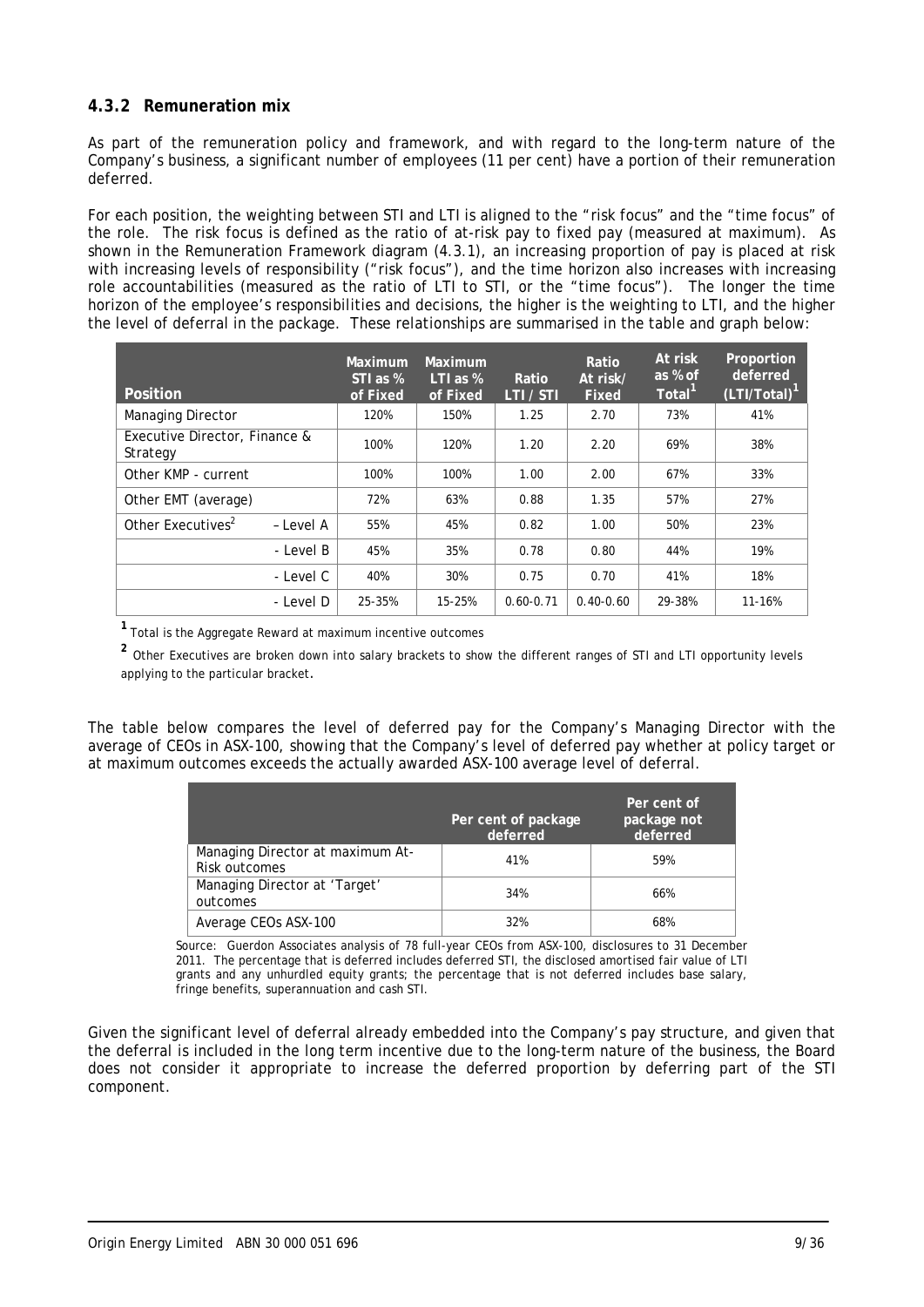### **4.3.2 Remuneration mix**

As part of the remuneration policy and framework, and with regard to the long-term nature of the Company's business, a significant number of employees (11 per cent) have a portion of their remuneration deferred.

For each position, the weighting between STI and LTI is aligned to the "risk focus" and the "time focus" of the role. The risk focus is defined as the ratio of at-risk pay to fixed pay (measured at maximum). As shown in the Remuneration Framework diagram (4.3.1), an increasing proportion of pay is placed at risk with increasing levels of responsibility ("risk focus"), and the time horizon also increases with increasing role accountabilities (measured as the ratio of LTI to STI, or the "time focus"). The longer the time horizon of the employee's responsibilities and decisions, the higher is the weighting to LTI, and the higher the level of deferral in the package. These relationships are summarised in the table and graph below:

| <b>Position</b>                            | Maximum<br>STI as %<br>of Fixed | Maximum<br>LTI as $%$<br>of Fixed | Ratio<br>LTI / STI | Ratio<br>At risk/<br><b>Fixed</b> | At risk<br>as % of<br>Total <sup>1</sup> | Proportion<br>deferred<br>$(LTI/Total)^{1}$ |
|--------------------------------------------|---------------------------------|-----------------------------------|--------------------|-----------------------------------|------------------------------------------|---------------------------------------------|
| Managing Director                          | 120%                            | 150%                              | 1.25               | 2.70                              | 73%                                      | 41%                                         |
| Executive Director, Finance &<br>Strategy  | 100%                            | 120%                              | 1.20               | 2.20                              | 69%                                      | 38%                                         |
| Other KMP - current                        | 100%                            | 100%                              | 1.00               | 2.00                              | 67%                                      | 33%                                         |
| Other EMT (average)                        | 72%                             | 63%                               | 0.88               | 1.35                              | 57%                                      | 27%                                         |
| Other Executives <sup>2</sup><br>- Level A | 55%                             | 45%                               | 0.82               | 1.00                              | 50%                                      | 23%                                         |
| - Level B                                  | 45%                             | 35%                               | 0.78               | 0.80                              | 44%                                      | 19%                                         |
| - Level C                                  | 40%                             | 30%                               | 0.75               | 0.70                              | 41%                                      | 18%                                         |
| - Level D                                  | 25-35%                          | 15-25%                            | $0.60 - 0.71$      | $0.40 - 0.60$                     | 29-38%                                   | 11-16%                                      |

**<sup>1</sup>**Total is the Aggregate Reward at maximum incentive outcomes

**<sup>2</sup>** Other Executives are broken down into salary brackets to show the different ranges of STI and LTI opportunity levels applying to the particular bracket.

The table below compares the level of deferred pay for the Company's Managing Director with the average of CEOs in ASX-100, showing that the Company's level of deferred pay whether at policy target or at maximum outcomes exceeds the actually awarded ASX-100 average level of deferral.

|                                                   | Per cent of package<br>deferred | Per cent of<br>package not<br>deferred |
|---------------------------------------------------|---------------------------------|----------------------------------------|
| Managing Director at maximum At-<br>Risk outcomes | 41%                             | 59%                                    |
| Managing Director at 'Target'<br>outcomes         | 34%                             | 66%                                    |
| Average CEOs ASX-100                              | 32%                             | 68%                                    |

Source: Guerdon Associates analysis of 78 full-year CEOs from ASX-100, disclosures to 31 December 2011. The percentage that is deferred includes deferred STI, the disclosed amortised fair value of LTI grants and any unhurdled equity grants; the percentage that is not deferred includes base salary, fringe benefits, superannuation and cash STI.

Given the significant level of deferral already embedded into the Company's pay structure, and given that the deferral is included in the long term incentive due to the long-term nature of the business, the Board does not consider it appropriate to increase the deferred proportion by deferring part of the STI component.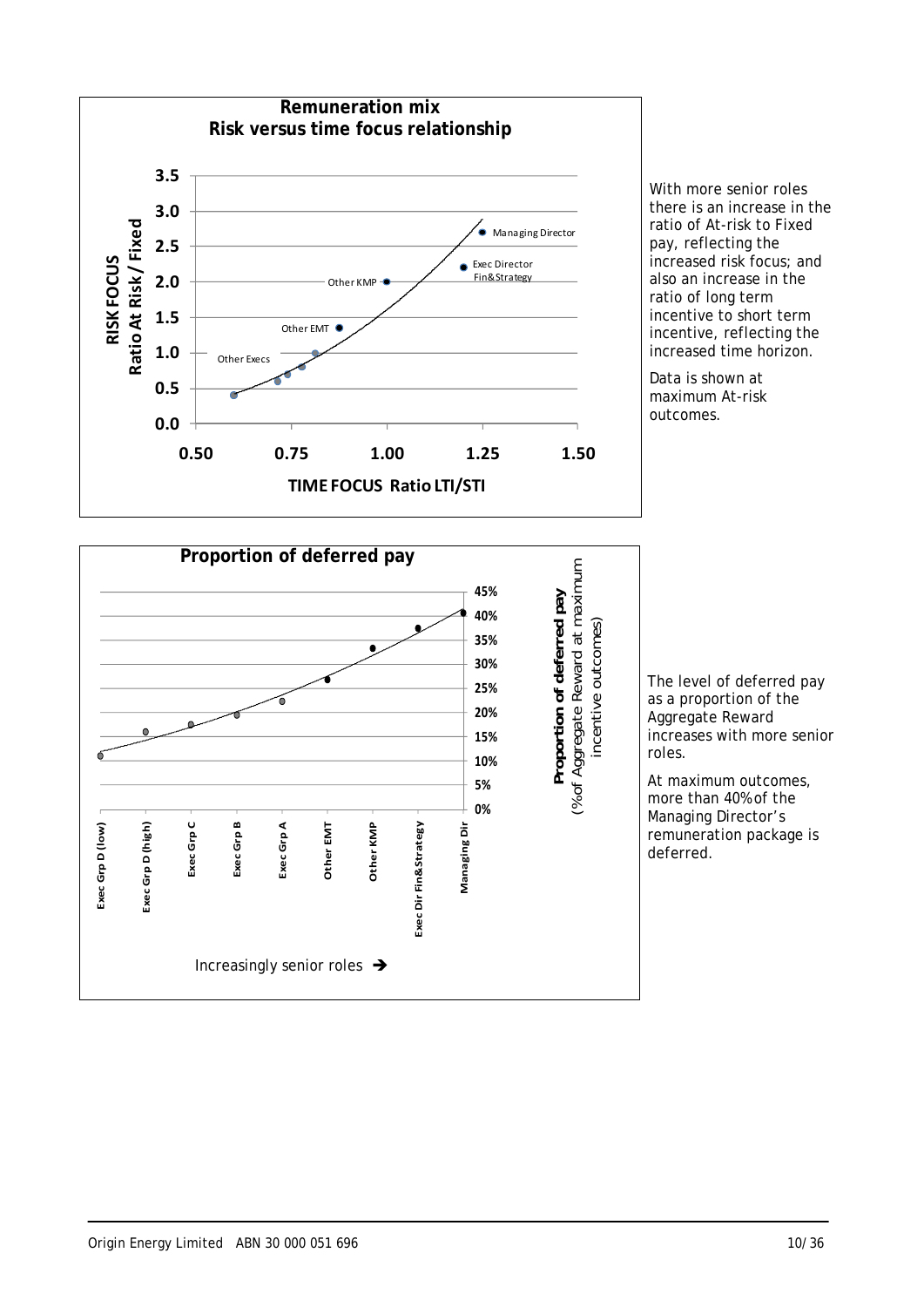

With more senior roles there is an increase in the ratio of At-risk to Fixed pay, reflecting the increased risk focus; and also an increase in the ratio of long term incentive to short term incentive, reflecting the increased time horizon.

Data is shown at maximum At-risk outcomes.



The level of deferred pay as a proportion of the Aggregate Reward increases with more senior roles.

At maximum outcomes, more than 40% of the Managing Director's remuneration package is deferred.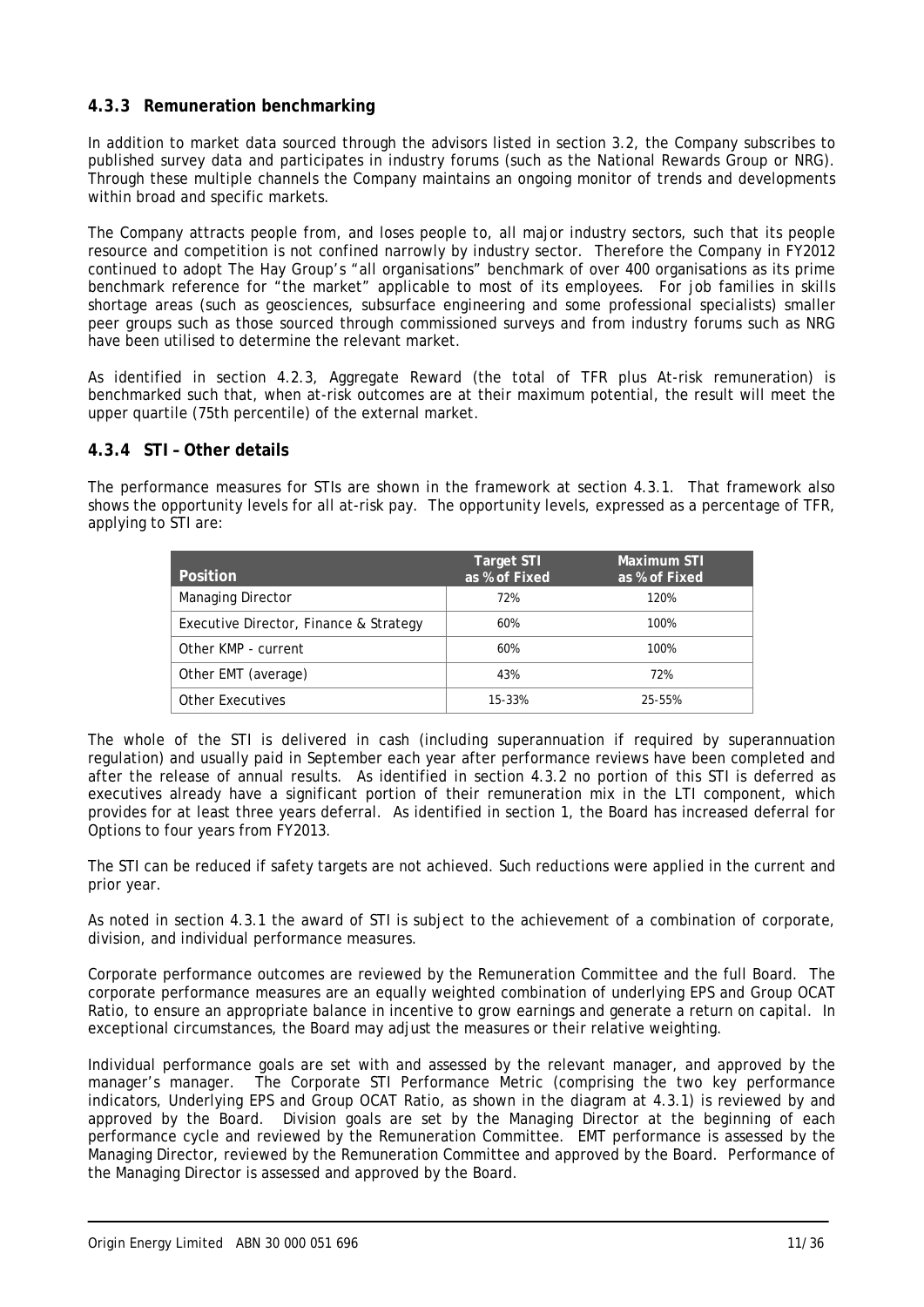### **4.3.3 Remuneration benchmarking**

In addition to market data sourced through the advisors listed in section 3.2, the Company subscribes to published survey data and participates in industry forums (such as the National Rewards Group or NRG). Through these multiple channels the Company maintains an ongoing monitor of trends and developments within broad and specific markets.

The Company attracts people from, and loses people to, all major industry sectors, such that its people resource and competition is not confined narrowly by industry sector. Therefore the Company in FY2012 continued to adopt The Hay Group's "all organisations" benchmark of over 400 organisations as its prime benchmark reference for "the market" applicable to most of its employees. For job families in skills shortage areas (such as geosciences, subsurface engineering and some professional specialists) smaller peer groups such as those sourced through commissioned surveys and from industry forums such as NRG have been utilised to determine the relevant market.

As identified in section 4.2.3, Aggregate Reward (the total of TFR plus At-risk remuneration) is benchmarked such that, when at-risk outcomes are at their maximum potential, the result will meet the upper quartile (75th percentile) of the external market.

### **4.3.4 STI – Other details**

The performance measures for STIs are shown in the framework at section 4.3.1. That framework also shows the opportunity levels for all at-risk pay. The opportunity levels, expressed as a percentage of TFR, applying to STI are:

| Position                               | <b>Target STI</b><br>as % of Fixed | Maximum STI<br>as % of Fixed |
|----------------------------------------|------------------------------------|------------------------------|
| <b>Managing Director</b>               | 72%                                | 120%                         |
| Executive Director, Finance & Strategy | 60%                                | 100%                         |
| Other KMP - current                    | 60%                                | 100%                         |
| Other EMT (average)                    | 43%                                | 72%                          |
| Other Executives                       | 15-33%                             | 25-55%                       |

The whole of the STI is delivered in cash (including superannuation if required by superannuation regulation) and usually paid in September each year after performance reviews have been completed and after the release of annual results. As identified in section 4.3.2 no portion of this STI is deferred as executives already have a significant portion of their remuneration mix in the LTI component, which provides for at least three years deferral. As identified in section 1, the Board has increased deferral for Options to four years from FY2013.

The STI can be reduced if safety targets are not achieved. Such reductions were applied in the current and prior year.

As noted in section 4.3.1 the award of STI is subject to the achievement of a combination of corporate, division, and individual performance measures.

Corporate performance outcomes are reviewed by the Remuneration Committee and the full Board. The corporate performance measures are an equally weighted combination of underlying EPS and Group OCAT Ratio, to ensure an appropriate balance in incentive to grow earnings and generate a return on capital. In exceptional circumstances, the Board may adjust the measures or their relative weighting.

Individual performance goals are set with and assessed by the relevant manager, and approved by the manager's manager. The Corporate STI Performance Metric (comprising the two key performance indicators, Underlying EPS and Group OCAT Ratio, as shown in the diagram at 4.3.1) is reviewed by and approved by the Board. Division goals are set by the Managing Director at the beginning of each performance cycle and reviewed by the Remuneration Committee. EMT performance is assessed by the Managing Director, reviewed by the Remuneration Committee and approved by the Board. Performance of the Managing Director is assessed and approved by the Board.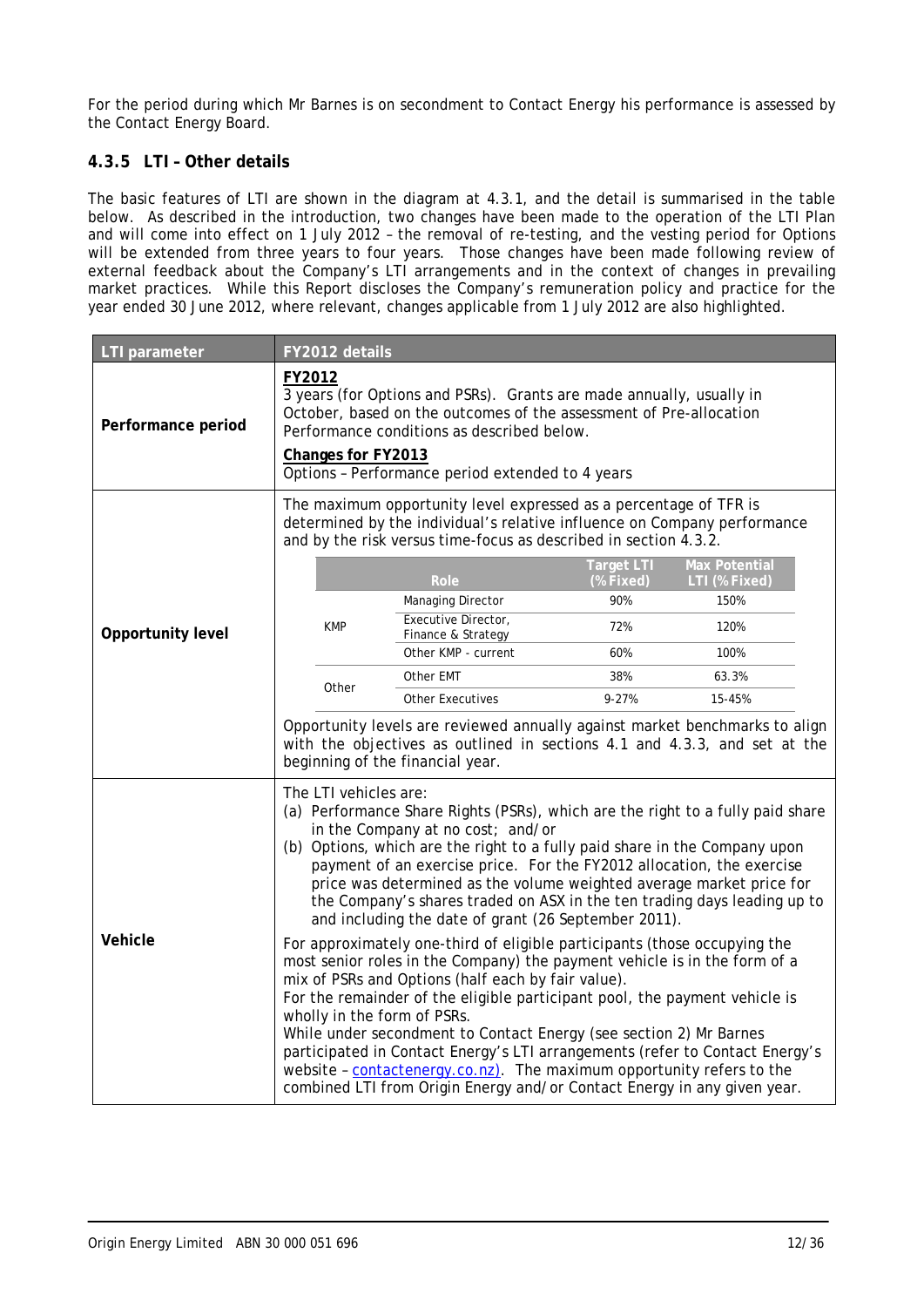For the period during which Mr Barnes is on secondment to Contact Energy his performance is assessed by the Contact Energy Board.

### **4.3.5 LTI – Other details**

The basic features of LTI are shown in the diagram at 4.3.1, and the detail is summarised in the table below. As described in the introduction, two changes have been made to the operation of the LTI Plan and will come into effect on 1 July 2012 – the removal of re-testing, and the vesting period for Options will be extended from three years to four years. Those changes have been made following review of external feedback about the Company's LTI arrangements and in the context of changes in prevailing market practices. While this Report discloses the Company's remuneration policy and practice for the year ended 30 June 2012, where relevant, changes applicable from 1 July 2012 are also highlighted.

| LTI parameter      | FY2012 details                                                                                                                                                                                                                                                                                                                                                                                                                                                                                                                                                                                                                                                                                                                                                                                                                                                                                                                                                                                                                                                                                                                                          |                                                                                                                                                                                                                   |                                |                                       |  |
|--------------------|---------------------------------------------------------------------------------------------------------------------------------------------------------------------------------------------------------------------------------------------------------------------------------------------------------------------------------------------------------------------------------------------------------------------------------------------------------------------------------------------------------------------------------------------------------------------------------------------------------------------------------------------------------------------------------------------------------------------------------------------------------------------------------------------------------------------------------------------------------------------------------------------------------------------------------------------------------------------------------------------------------------------------------------------------------------------------------------------------------------------------------------------------------|-------------------------------------------------------------------------------------------------------------------------------------------------------------------------------------------------------------------|--------------------------------|---------------------------------------|--|
| Performance period | FY2012<br>3 years (for Options and PSRs). Grants are made annually, usually in<br>October, based on the outcomes of the assessment of Pre-allocation<br>Performance conditions as described below.<br>Changes for FY2013<br>Options - Performance period extended to 4 years                                                                                                                                                                                                                                                                                                                                                                                                                                                                                                                                                                                                                                                                                                                                                                                                                                                                            |                                                                                                                                                                                                                   |                                |                                       |  |
|                    |                                                                                                                                                                                                                                                                                                                                                                                                                                                                                                                                                                                                                                                                                                                                                                                                                                                                                                                                                                                                                                                                                                                                                         | The maximum opportunity level expressed as a percentage of TFR is<br>determined by the individual's relative influence on Company performance<br>and by the risk versus time-focus as described in section 4.3.2. |                                |                                       |  |
|                    |                                                                                                                                                                                                                                                                                                                                                                                                                                                                                                                                                                                                                                                                                                                                                                                                                                                                                                                                                                                                                                                                                                                                                         | Role                                                                                                                                                                                                              | <b>Target LTI</b><br>(% Fixed) | <b>Max Potential</b><br>LTI (% Fixed) |  |
|                    |                                                                                                                                                                                                                                                                                                                                                                                                                                                                                                                                                                                                                                                                                                                                                                                                                                                                                                                                                                                                                                                                                                                                                         | Managing Director                                                                                                                                                                                                 | 90%                            | 150%                                  |  |
| Opportunity level  | <b>KMP</b>                                                                                                                                                                                                                                                                                                                                                                                                                                                                                                                                                                                                                                                                                                                                                                                                                                                                                                                                                                                                                                                                                                                                              | Executive Director,<br>Finance & Strategy                                                                                                                                                                         | 72%                            | 120%                                  |  |
|                    |                                                                                                                                                                                                                                                                                                                                                                                                                                                                                                                                                                                                                                                                                                                                                                                                                                                                                                                                                                                                                                                                                                                                                         | Other KMP - current                                                                                                                                                                                               | 60%                            | 100%                                  |  |
|                    | Other                                                                                                                                                                                                                                                                                                                                                                                                                                                                                                                                                                                                                                                                                                                                                                                                                                                                                                                                                                                                                                                                                                                                                   | Other EMT                                                                                                                                                                                                         | 38%                            | 63.3%                                 |  |
|                    |                                                                                                                                                                                                                                                                                                                                                                                                                                                                                                                                                                                                                                                                                                                                                                                                                                                                                                                                                                                                                                                                                                                                                         | <b>Other Executives</b>                                                                                                                                                                                           | $9 - 27%$                      | 15-45%                                |  |
|                    | Opportunity levels are reviewed annually against market benchmarks to align<br>with the objectives as outlined in sections 4.1 and 4.3.3, and set at the<br>beginning of the financial year.                                                                                                                                                                                                                                                                                                                                                                                                                                                                                                                                                                                                                                                                                                                                                                                                                                                                                                                                                            |                                                                                                                                                                                                                   |                                |                                       |  |
| Vehicle            | The LTI vehicles are:<br>(a) Performance Share Rights (PSRs), which are the right to a fully paid share<br>in the Company at no cost; and/or<br>(b) Options, which are the right to a fully paid share in the Company upon<br>payment of an exercise price. For the FY2012 allocation, the exercise<br>price was determined as the volume weighted average market price for<br>the Company's shares traded on ASX in the ten trading days leading up to<br>and including the date of grant (26 September 2011).<br>For approximately one-third of eligible participants (those occupying the<br>most senior roles in the Company) the payment vehicle is in the form of a<br>mix of PSRs and Options (half each by fair value).<br>For the remainder of the eligible participant pool, the payment vehicle is<br>wholly in the form of PSRs.<br>While under secondment to Contact Energy (see section 2) Mr Barnes<br>participated in Contact Energy's LTI arrangements (refer to Contact Energy's<br>website - contactenergy.co.nz). The maximum opportunity refers to the<br>combined LTI from Origin Energy and/or Contact Energy in any given year. |                                                                                                                                                                                                                   |                                |                                       |  |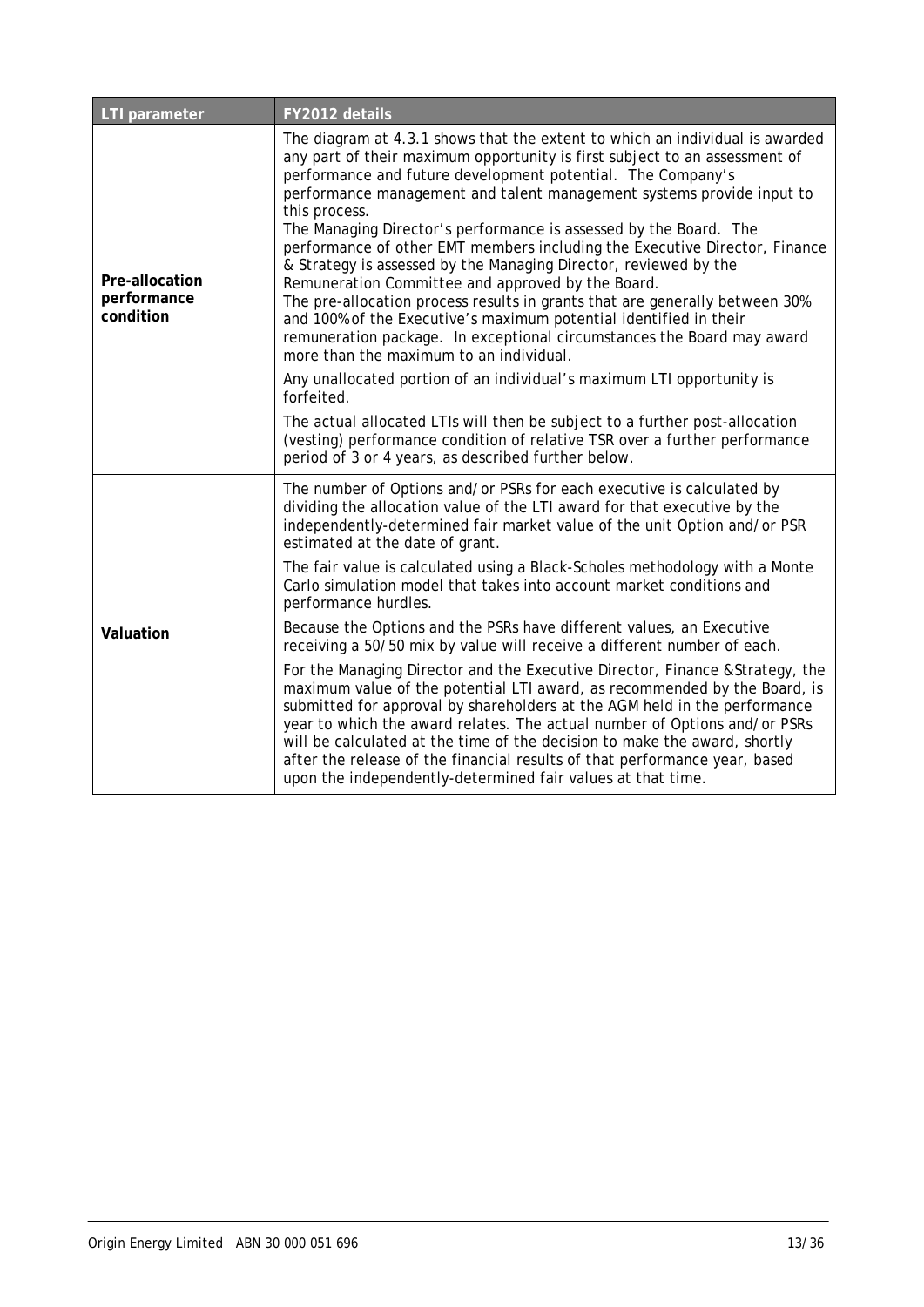| <b>LTI</b> parameter                       | FY2012 details                                                                                                                                                                                                                                                                                                                                                                                                                                                                                                                                                                                                                                                                                                                                                                                                                                                           |
|--------------------------------------------|--------------------------------------------------------------------------------------------------------------------------------------------------------------------------------------------------------------------------------------------------------------------------------------------------------------------------------------------------------------------------------------------------------------------------------------------------------------------------------------------------------------------------------------------------------------------------------------------------------------------------------------------------------------------------------------------------------------------------------------------------------------------------------------------------------------------------------------------------------------------------|
| Pre-allocation<br>performance<br>condition | The diagram at 4.3.1 shows that the extent to which an individual is awarded<br>any part of their maximum opportunity is first subject to an assessment of<br>performance and future development potential. The Company's<br>performance management and talent management systems provide input to<br>this process.<br>The Managing Director's performance is assessed by the Board. The<br>performance of other EMT members including the Executive Director, Finance<br>& Strategy is assessed by the Managing Director, reviewed by the<br>Remuneration Committee and approved by the Board.<br>The pre-allocation process results in grants that are generally between 30%<br>and 100% of the Executive's maximum potential identified in their<br>remuneration package. In exceptional circumstances the Board may award<br>more than the maximum to an individual. |
|                                            | Any unallocated portion of an individual's maximum LTI opportunity is<br>forfeited.                                                                                                                                                                                                                                                                                                                                                                                                                                                                                                                                                                                                                                                                                                                                                                                      |
|                                            | The actual allocated LTIs will then be subject to a further post-allocation<br>(vesting) performance condition of relative TSR over a further performance<br>period of 3 or 4 years, as described further below.                                                                                                                                                                                                                                                                                                                                                                                                                                                                                                                                                                                                                                                         |
|                                            | The number of Options and/or PSRs for each executive is calculated by<br>dividing the allocation value of the LTI award for that executive by the<br>independently-determined fair market value of the unit Option and/or PSR<br>estimated at the date of grant.                                                                                                                                                                                                                                                                                                                                                                                                                                                                                                                                                                                                         |
|                                            | The fair value is calculated using a Black-Scholes methodology with a Monte<br>Carlo simulation model that takes into account market conditions and<br>performance hurdles.                                                                                                                                                                                                                                                                                                                                                                                                                                                                                                                                                                                                                                                                                              |
| Valuation                                  | Because the Options and the PSRs have different values, an Executive<br>receiving a 50/50 mix by value will receive a different number of each.                                                                                                                                                                                                                                                                                                                                                                                                                                                                                                                                                                                                                                                                                                                          |
|                                            | For the Managing Director and the Executive Director, Finance & Strategy, the<br>maximum value of the potential LTI award, as recommended by the Board, is<br>submitted for approval by shareholders at the AGM held in the performance<br>year to which the award relates. The actual number of Options and/or PSRs<br>will be calculated at the time of the decision to make the award, shortly<br>after the release of the financial results of that performance year, based<br>upon the independently-determined fair values at that time.                                                                                                                                                                                                                                                                                                                           |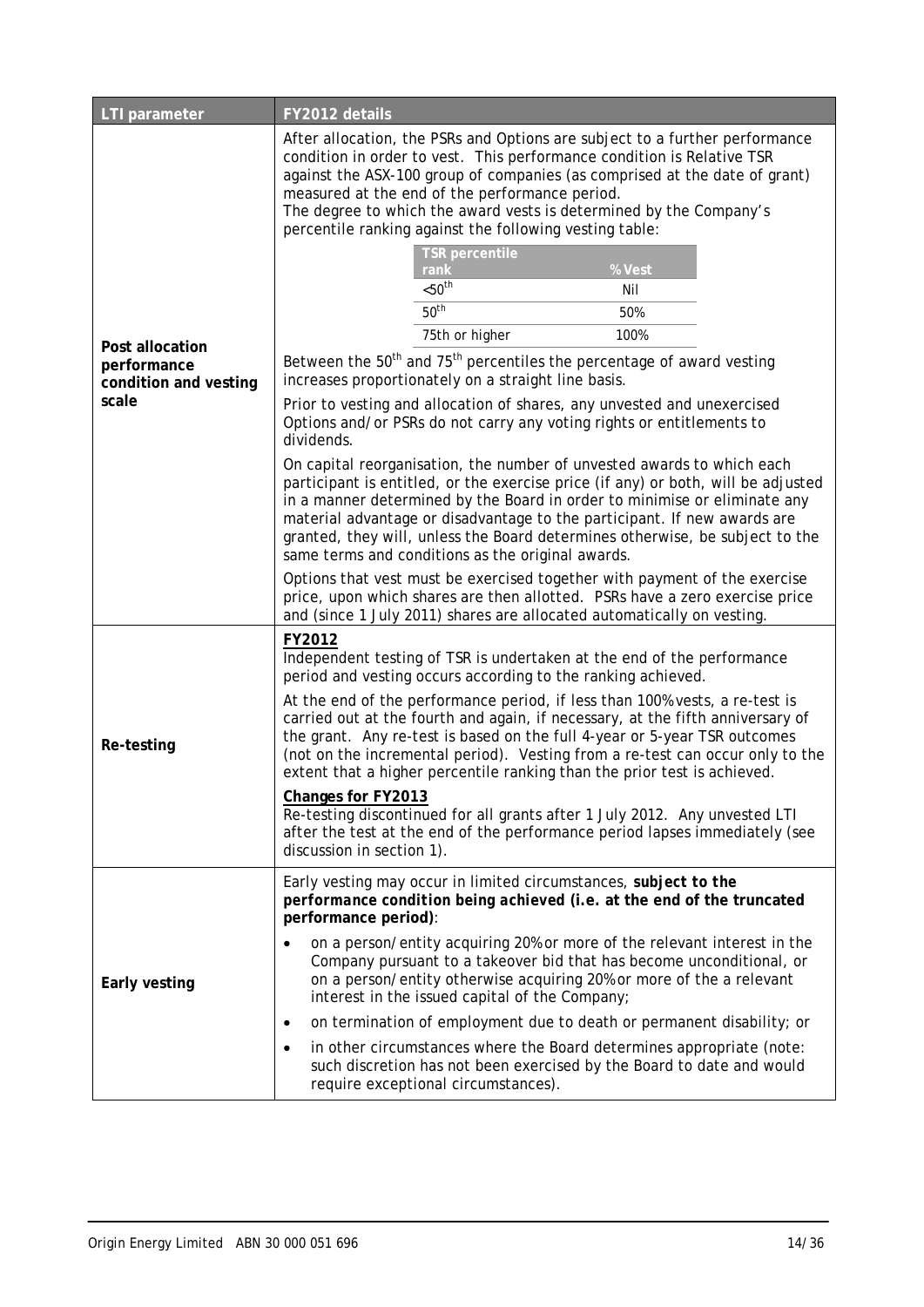| LTI parameter                                                    | FY2012 details                                                                                                                                                                                                                                                                                                                                                                                                                                                                                                                                                                                                                                                                                                                                                                                                                                                                                                                                                                         |
|------------------------------------------------------------------|----------------------------------------------------------------------------------------------------------------------------------------------------------------------------------------------------------------------------------------------------------------------------------------------------------------------------------------------------------------------------------------------------------------------------------------------------------------------------------------------------------------------------------------------------------------------------------------------------------------------------------------------------------------------------------------------------------------------------------------------------------------------------------------------------------------------------------------------------------------------------------------------------------------------------------------------------------------------------------------|
|                                                                  | After allocation, the PSRs and Options are subject to a further performance<br>condition in order to vest. This performance condition is Relative TSR<br>against the ASX-100 group of companies (as comprised at the date of grant)<br>measured at the end of the performance period.<br>The degree to which the award vests is determined by the Company's<br>percentile ranking against the following vesting table:                                                                                                                                                                                                                                                                                                                                                                                                                                                                                                                                                                 |
| Post allocation<br>performance<br>condition and vesting<br>scale | TSR percentile<br>% Vest<br>rank<br>< 50 <sup>th</sup><br>Nil<br>50 <sup>th</sup><br>50%<br>75th or higher<br>100%<br>Between the 50 <sup>th</sup> and 75 <sup>th</sup> percentiles the percentage of award vesting<br>increases proportionately on a straight line basis.<br>Prior to vesting and allocation of shares, any unvested and unexercised<br>Options and/or PSRs do not carry any voting rights or entitlements to<br>dividends.<br>On capital reorganisation, the number of unvested awards to which each<br>participant is entitled, or the exercise price (if any) or both, will be adjusted<br>in a manner determined by the Board in order to minimise or eliminate any<br>material advantage or disadvantage to the participant. If new awards are<br>granted, they will, unless the Board determines otherwise, be subject to the<br>same terms and conditions as the original awards.<br>Options that vest must be exercised together with payment of the exercise |
|                                                                  | price, upon which shares are then allotted. PSRs have a zero exercise price<br>and (since 1 July 2011) shares are allocated automatically on vesting.                                                                                                                                                                                                                                                                                                                                                                                                                                                                                                                                                                                                                                                                                                                                                                                                                                  |
| Re-testing                                                       | FY2012<br>Independent testing of TSR is undertaken at the end of the performance<br>period and vesting occurs according to the ranking achieved.<br>At the end of the performance period, if less than 100% vests, a re-test is<br>carried out at the fourth and again, if necessary, at the fifth anniversary of<br>the grant. Any re-test is based on the full 4-year or 5-year TSR outcomes<br>(not on the incremental period). Vesting from a re-test can occur only to the<br>extent that a higher percentile ranking than the prior test is achieved.<br>Changes for FY2013<br>Re-testing discontinued for all grants after 1 July 2012. Any unvested LTI<br>after the test at the end of the performance period lapses immediately (see<br>discussion in section 1).                                                                                                                                                                                                            |
| Early vesting                                                    | Early vesting may occur in limited circumstances, subject to the<br>performance condition being achieved (i.e. at the end of the truncated<br>performance period):<br>on a person/entity acquiring 20% or more of the relevant interest in the<br>Company pursuant to a takeover bid that has become unconditional, or<br>on a person/entity otherwise acquiring 20% or more of the a relevant<br>interest in the issued capital of the Company;<br>on termination of employment due to death or permanent disability; or<br>$\bullet$<br>in other circumstances where the Board determines appropriate (note:<br>٠<br>such discretion has not been exercised by the Board to date and would<br>require exceptional circumstances).                                                                                                                                                                                                                                                    |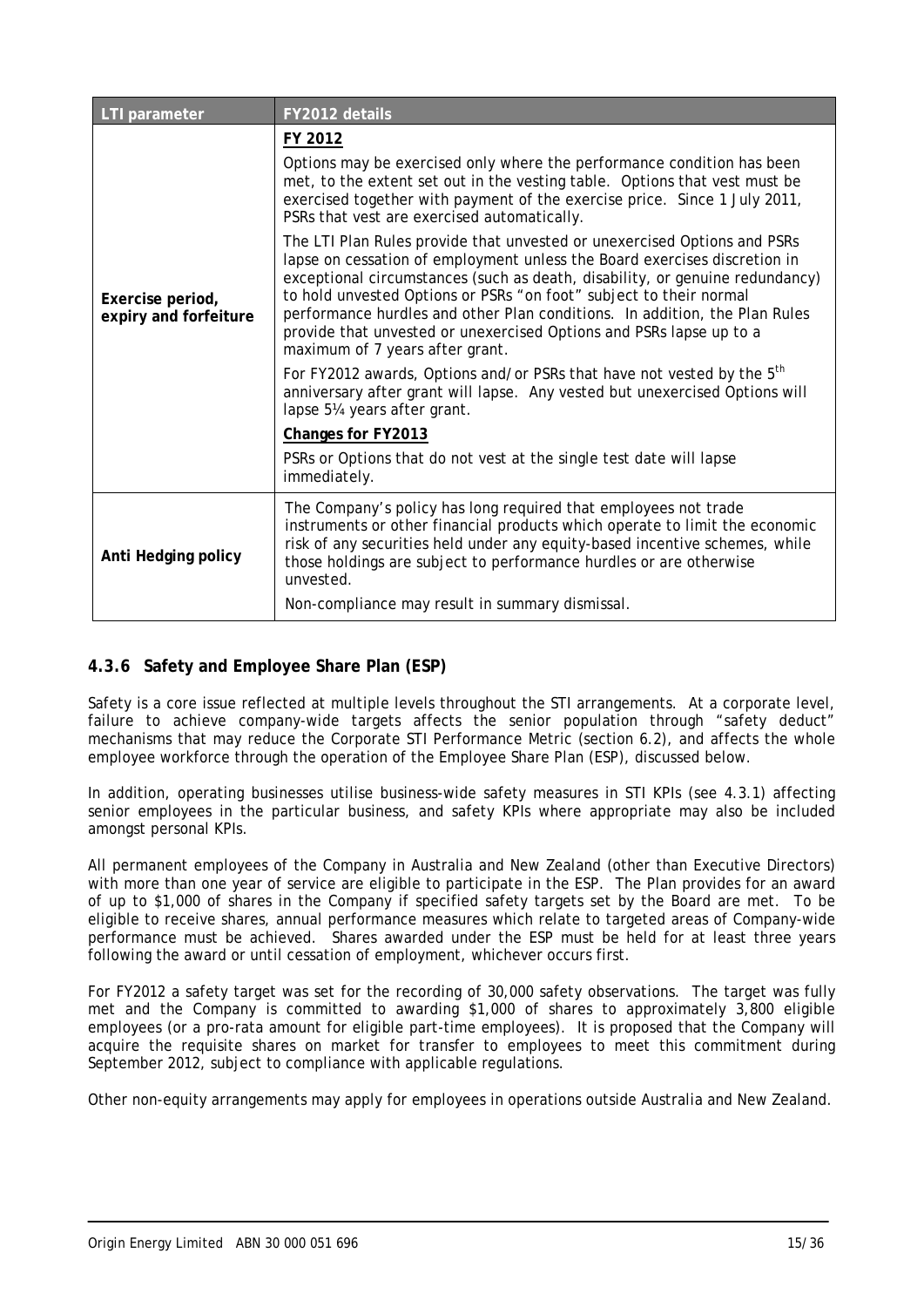| <b>LTI</b> parameter                      | FY2012 details                                                                                                                                                                                                                                                                                                                                                                                                                                                                                                                                                                                                                                                                                                                                                                                                                                                                                                                                                                                                                                                                                                        |
|-------------------------------------------|-----------------------------------------------------------------------------------------------------------------------------------------------------------------------------------------------------------------------------------------------------------------------------------------------------------------------------------------------------------------------------------------------------------------------------------------------------------------------------------------------------------------------------------------------------------------------------------------------------------------------------------------------------------------------------------------------------------------------------------------------------------------------------------------------------------------------------------------------------------------------------------------------------------------------------------------------------------------------------------------------------------------------------------------------------------------------------------------------------------------------|
| Exercise period,<br>expiry and forfeiture | FY 2012<br>Options may be exercised only where the performance condition has been<br>met, to the extent set out in the vesting table. Options that vest must be<br>exercised together with payment of the exercise price. Since 1 July 2011,<br>PSRs that vest are exercised automatically.<br>The LTI Plan Rules provide that unvested or unexercised Options and PSRs<br>lapse on cessation of employment unless the Board exercises discretion in<br>exceptional circumstances (such as death, disability, or genuine redundancy)<br>to hold unvested Options or PSRs "on foot" subject to their normal<br>performance hurdles and other Plan conditions. In addition, the Plan Rules<br>provide that unvested or unexercised Options and PSRs lapse up to a<br>maximum of 7 years after grant.<br>For FY2012 awards, Options and/or PSRs that have not vested by the 5 <sup>th</sup><br>anniversary after grant will lapse. Any vested but unexercised Options will<br>lapse 51/4 years after grant.<br>Changes for FY2013<br>PSRs or Options that do not vest at the single test date will lapse<br>immediately. |
| Anti Hedging policy                       | The Company's policy has long required that employees not trade<br>instruments or other financial products which operate to limit the economic<br>risk of any securities held under any equity-based incentive schemes, while<br>those holdings are subject to performance hurdles or are otherwise<br>unvested.<br>Non-compliance may result in summary dismissal.                                                                                                                                                                                                                                                                                                                                                                                                                                                                                                                                                                                                                                                                                                                                                   |

### **4.3.6 Safety and Employee Share Plan (ESP)**

Safety is a core issue reflected at multiple levels throughout the STI arrangements. At a corporate level, failure to achieve company-wide targets affects the senior population through "safety deduct" mechanisms that may reduce the Corporate STI Performance Metric (section 6.2), and affects the whole employee workforce through the operation of the Employee Share Plan (ESP), discussed below.

In addition, operating businesses utilise business-wide safety measures in STI KPIs (see 4.3.1) affecting senior employees in the particular business, and safety KPIs where appropriate may also be included amongst personal KPIs.

All permanent employees of the Company in Australia and New Zealand (other than Executive Directors) with more than one year of service are eligible to participate in the ESP. The Plan provides for an award of up to \$1,000 of shares in the Company if specified safety targets set by the Board are met. To be eligible to receive shares, annual performance measures which relate to targeted areas of Company-wide performance must be achieved. Shares awarded under the ESP must be held for at least three years following the award or until cessation of employment, whichever occurs first.

For FY2012 a safety target was set for the recording of 30,000 safety observations. The target was fully met and the Company is committed to awarding \$1,000 of shares to approximately 3,800 eligible employees (or a pro-rata amount for eligible part-time employees). It is proposed that the Company will acquire the requisite shares on market for transfer to employees to meet this commitment during September 2012, subject to compliance with applicable regulations.

Other non-equity arrangements may apply for employees in operations outside Australia and New Zealand.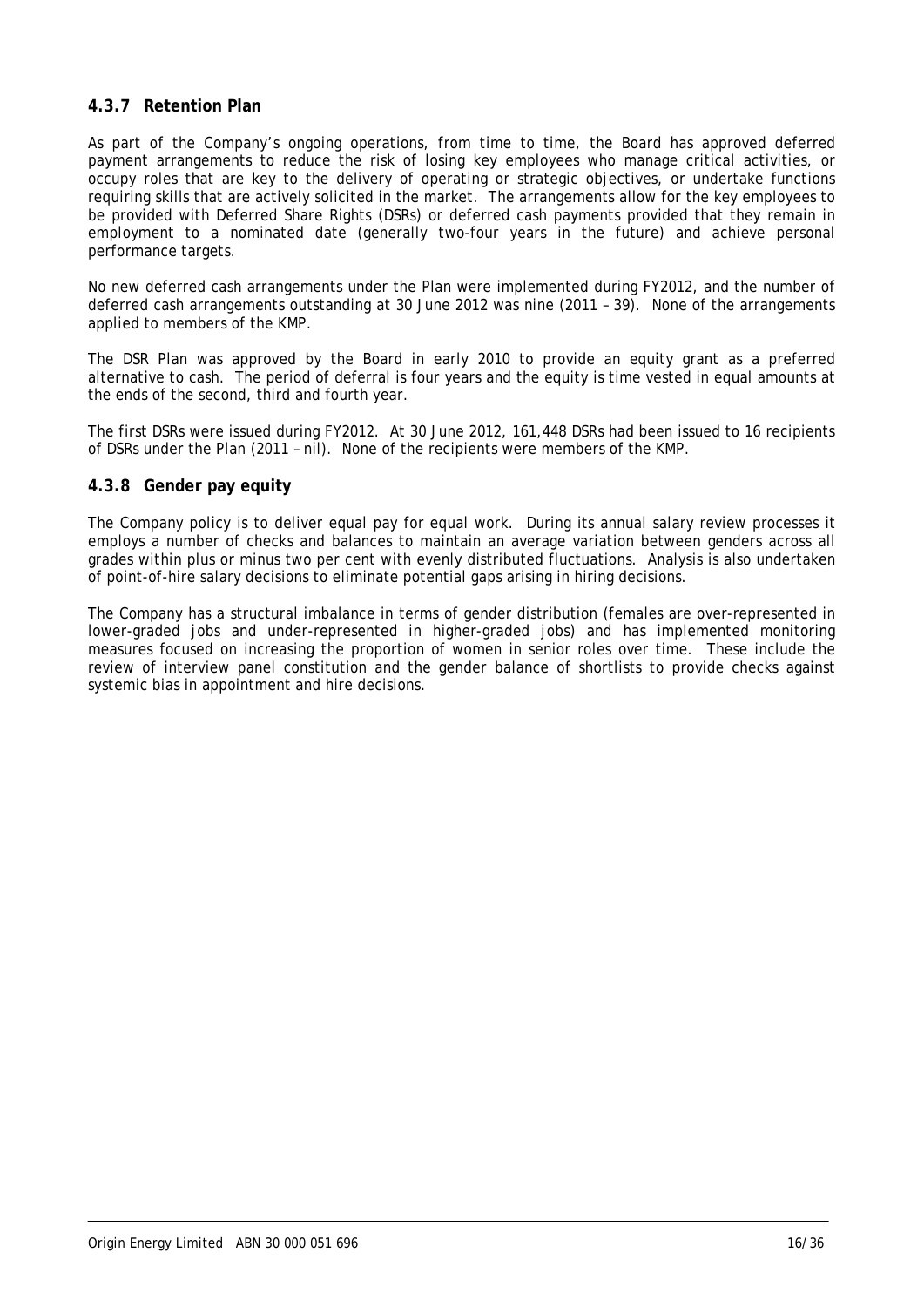### **4.3.7 Retention Plan**

As part of the Company's ongoing operations, from time to time, the Board has approved deferred payment arrangements to reduce the risk of losing key employees who manage critical activities, or occupy roles that are key to the delivery of operating or strategic objectives, or undertake functions requiring skills that are actively solicited in the market. The arrangements allow for the key employees to be provided with Deferred Share Rights (DSRs) or deferred cash payments provided that they remain in employment to a nominated date (generally two-four years in the future) and achieve personal performance targets.

No new deferred cash arrangements under the Plan were implemented during FY2012, and the number of deferred cash arrangements outstanding at 30 June 2012 was nine (2011 – 39). None of the arrangements applied to members of the KMP.

The DSR Plan was approved by the Board in early 2010 to provide an equity grant as a preferred alternative to cash. The period of deferral is four years and the equity is time vested in equal amounts at the ends of the second, third and fourth year.

The first DSRs were issued during FY2012. At 30 June 2012, 161,448 DSRs had been issued to 16 recipients of DSRs under the Plan (2011 – nil). None of the recipients were members of the KMP.

#### **4.3.8 Gender pay equity**

The Company policy is to deliver equal pay for equal work. During its annual salary review processes it employs a number of checks and balances to maintain an average variation between genders across all grades within plus or minus two per cent with evenly distributed fluctuations. Analysis is also undertaken of point-of-hire salary decisions to eliminate potential gaps arising in hiring decisions.

The Company has a structural imbalance in terms of gender distribution (females are over-represented in lower-graded jobs and under-represented in higher-graded jobs) and has implemented monitoring measures focused on increasing the proportion of women in senior roles over time. These include the review of interview panel constitution and the gender balance of shortlists to provide checks against systemic bias in appointment and hire decisions.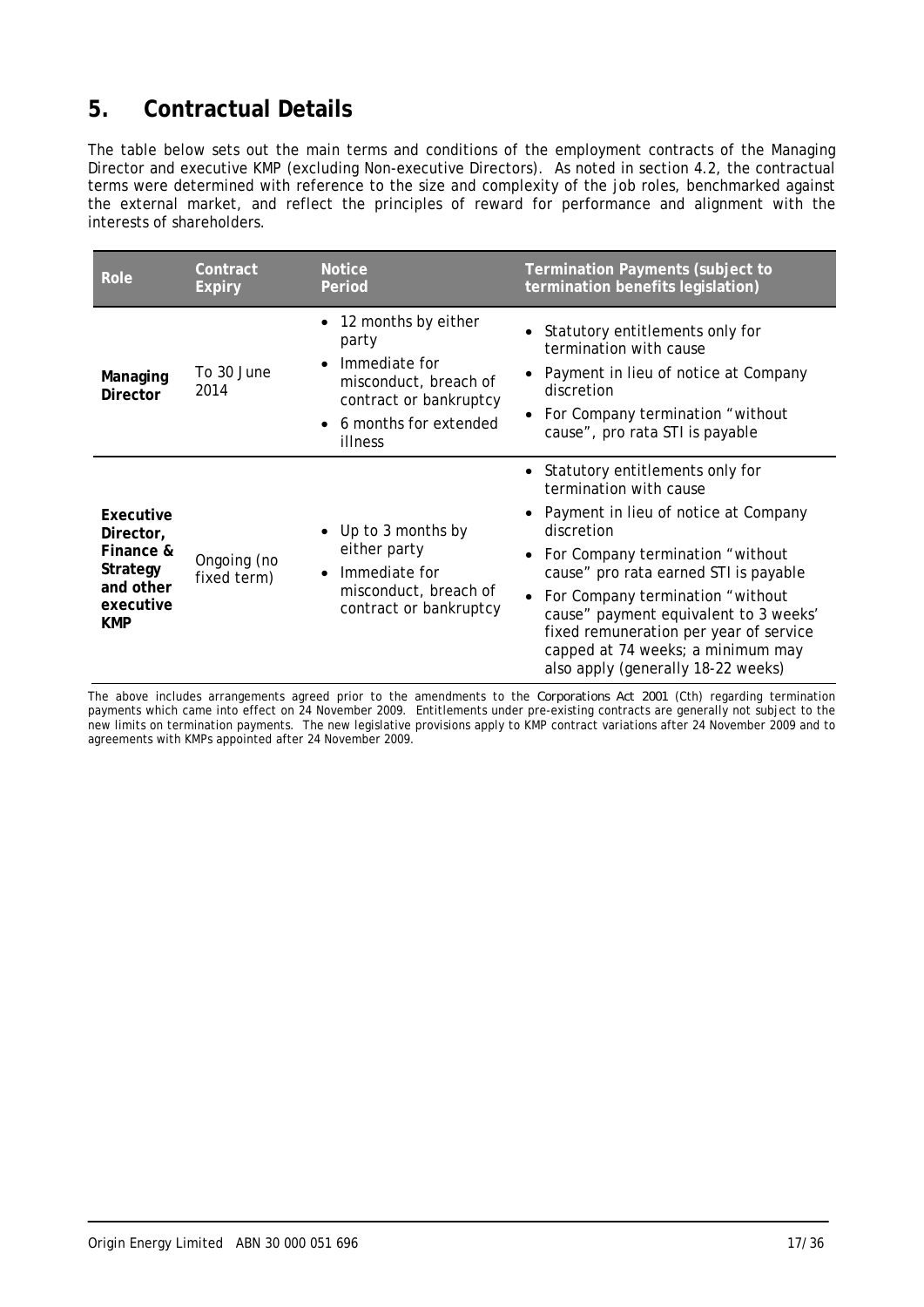# **5. Contractual Details**

The table below sets out the main terms and conditions of the employment contracts of the Managing Director and executive KMP (excluding Non-executive Directors). As noted in section 4.2, the contractual terms were determined with reference to the size and complexity of the job roles, benchmarked against the external market, and reflect the principles of reward for performance and alignment with the interests of shareholders.

| Role                                                                             | Contract<br><b>Expiry</b>  | <b>Notice</b><br>Termination Payments (subject to<br>termination benefits legislation)<br>Period                                                               |                                                                                                                                                                                                                                                                                                                                                                                                  |
|----------------------------------------------------------------------------------|----------------------------|----------------------------------------------------------------------------------------------------------------------------------------------------------------|--------------------------------------------------------------------------------------------------------------------------------------------------------------------------------------------------------------------------------------------------------------------------------------------------------------------------------------------------------------------------------------------------|
| Managing<br><b>Director</b>                                                      | To 30 June<br>2014         | 12 months by either<br>party<br>Immediate for<br>$\bullet$<br>misconduct, breach of<br>contract or bankruptcy<br>6 months for extended<br>$\bullet$<br>illness | Statutory entitlements only for<br>termination with cause<br>Payment in lieu of notice at Company<br>discretion<br>For Company termination "without<br>cause", pro rata STI is payable                                                                                                                                                                                                           |
| Executive<br>Director,<br>Finance &<br>Strategy<br>and other<br>executive<br>KMP | Ongoing (no<br>fixed term) | Up to 3 months by<br>$\bullet$<br>either party<br>Immediate for<br>$\bullet$<br>misconduct, breach of<br>contract or bankruptcy                                | Statutory entitlements only for<br>termination with cause<br>Payment in lieu of notice at Company<br>discretion<br>For Company termination "without<br>cause" pro rata earned STI is payable<br>• For Company termination "without<br>cause" payment equivalent to 3 weeks'<br>fixed remuneration per year of service<br>capped at 74 weeks; a minimum may<br>also apply (generally 18-22 weeks) |

The above includes arrangements agreed prior to the amendments to the *Corporations Act 2001* (Cth) regarding termination payments which came into effect on 24 November 2009. Entitlements under pre-existing contracts are generally not subject to the new limits on termination payments. The new legislative provisions apply to KMP contract variations after 24 November 2009 and to agreements with KMPs appointed after 24 November 2009.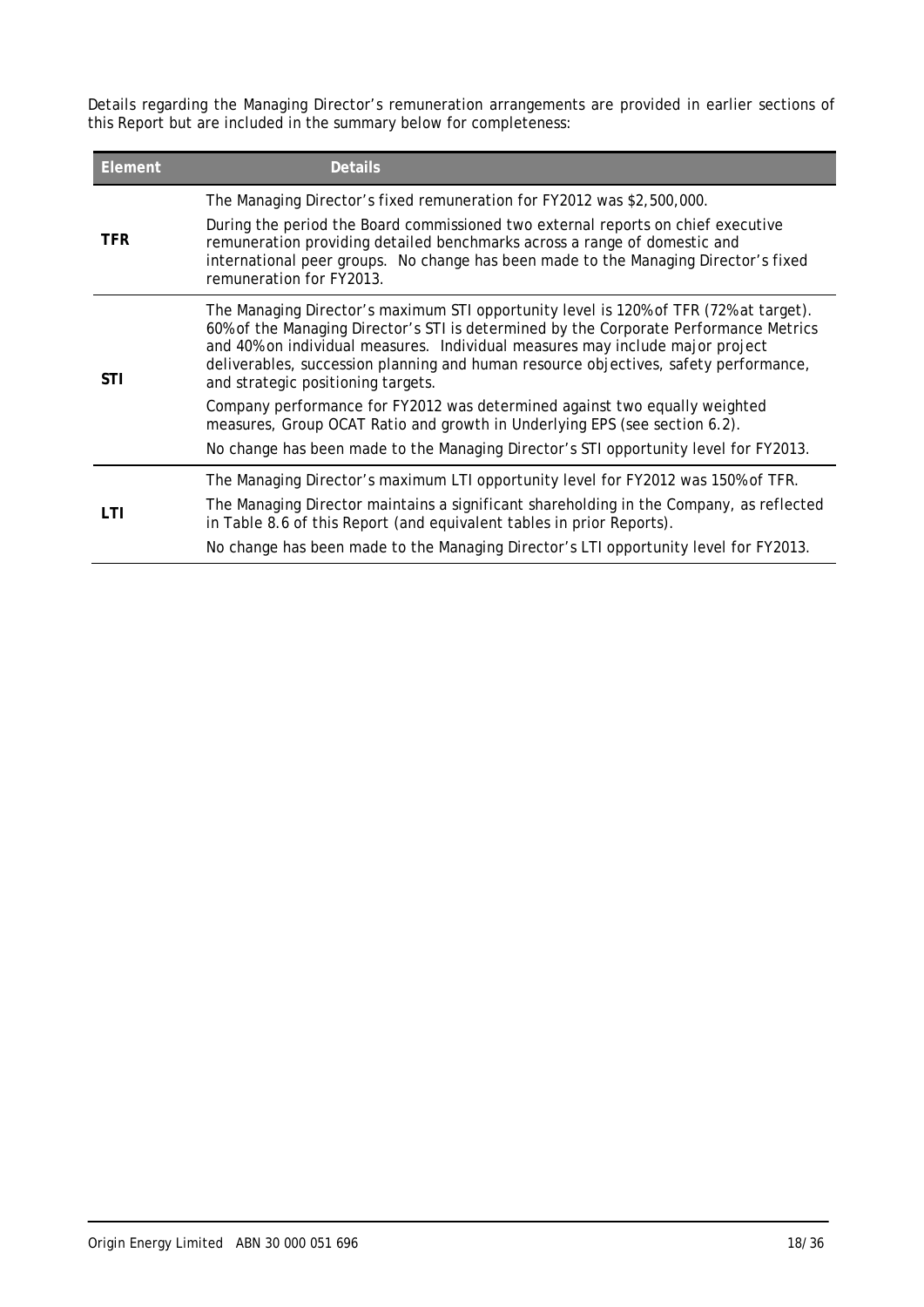Details regarding the Managing Director's remuneration arrangements are provided in earlier sections of this Report but are included in the summary below for completeness:

| <b>Element</b> | <b>Details</b>                                                                                                                                                                                                                                                                                                                                                                                                                                                              |
|----------------|-----------------------------------------------------------------------------------------------------------------------------------------------------------------------------------------------------------------------------------------------------------------------------------------------------------------------------------------------------------------------------------------------------------------------------------------------------------------------------|
| <b>TFR</b>     | The Managing Director's fixed remuneration for FY2012 was \$2,500,000.<br>During the period the Board commissioned two external reports on chief executive<br>remuneration providing detailed benchmarks across a range of domestic and<br>international peer groups. No change has been made to the Managing Director's fixed<br>remuneration for FY2013.                                                                                                                  |
| STI            | The Managing Director's maximum STI opportunity level is 120% of TFR (72% at target).<br>60% of the Managing Director's STI is determined by the Corporate Performance Metrics<br>and 40% on individual measures. Individual measures may include major project<br>deliverables, succession planning and human resource objectives, safety performance,<br>and strategic positioning targets.<br>Company performance for FY2012 was determined against two equally weighted |
|                | measures, Group OCAT Ratio and growth in Underlying EPS (see section 6.2).<br>No change has been made to the Managing Director's STI opportunity level for FY2013.                                                                                                                                                                                                                                                                                                          |
|                | The Managing Director's maximum LTI opportunity level for FY2012 was 150% of TFR.                                                                                                                                                                                                                                                                                                                                                                                           |
| LTI            | The Managing Director maintains a significant shareholding in the Company, as reflected<br>in Table 8.6 of this Report (and equivalent tables in prior Reports).                                                                                                                                                                                                                                                                                                            |
|                | No change has been made to the Managing Director's LTI opportunity level for FY2013.                                                                                                                                                                                                                                                                                                                                                                                        |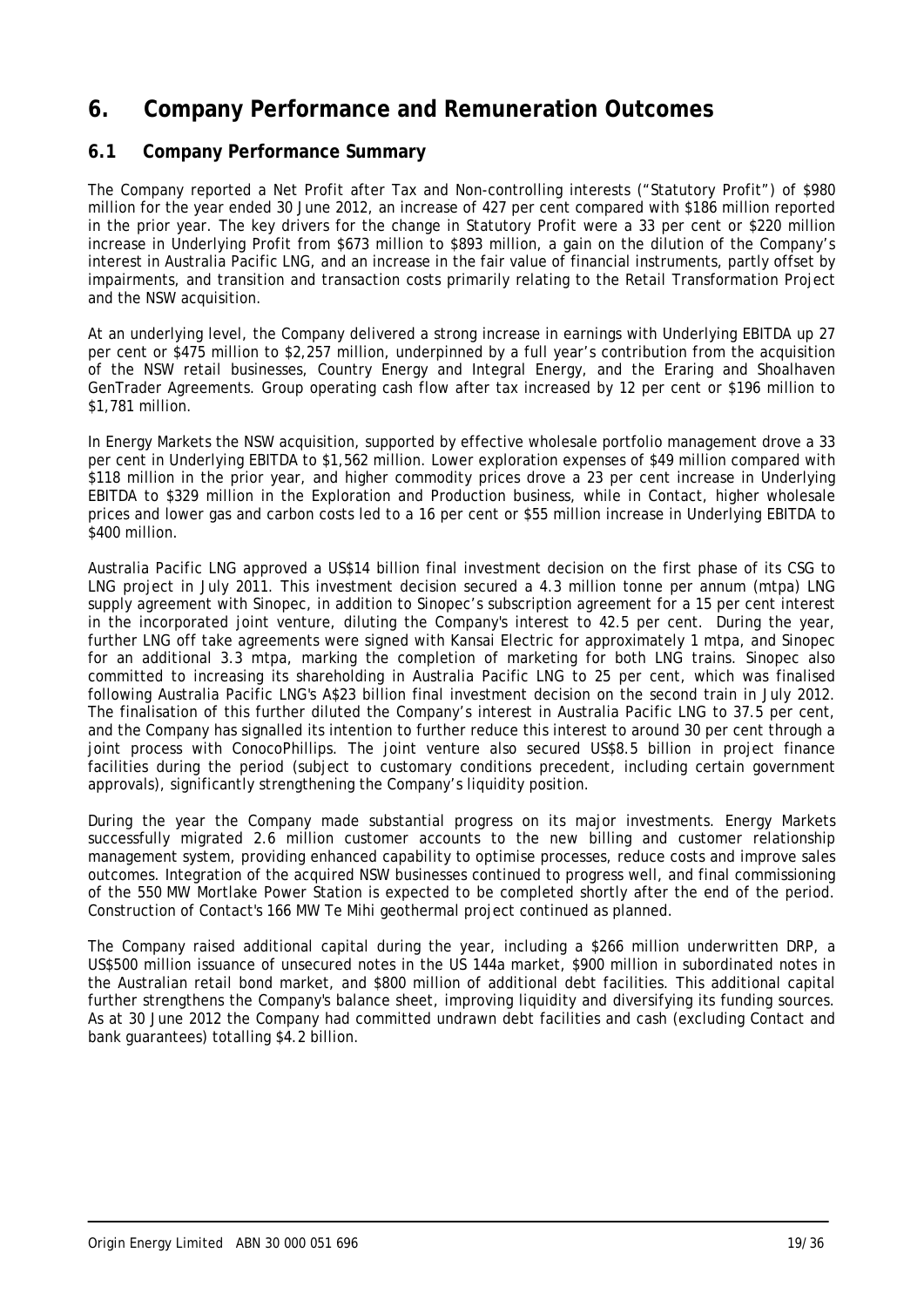# **6. Company Performance and Remuneration Outcomes**

# **6.1 Company Performance Summary**

The Company reported a Net Profit after Tax and Non-controlling interests ("Statutory Profit") of \$980 million for the year ended 30 June 2012, an increase of 427 per cent compared with \$186 million reported in the prior year. The key drivers for the change in Statutory Profit were a 33 per cent or \$220 million increase in Underlying Profit from \$673 million to \$893 million, a gain on the dilution of the Company's interest in Australia Pacific LNG, and an increase in the fair value of financial instruments, partly offset by impairments, and transition and transaction costs primarily relating to the Retail Transformation Project and the NSW acquisition.

At an underlying level, the Company delivered a strong increase in earnings with Underlying EBITDA up 27 per cent or \$475 million to \$2,257 million, underpinned by a full year's contribution from the acquisition of the NSW retail businesses, Country Energy and Integral Energy, and the Eraring and Shoalhaven GenTrader Agreements. Group operating cash flow after tax increased by 12 per cent or \$196 million to \$1,781 million.

In Energy Markets the NSW acquisition, supported by effective wholesale portfolio management drove a 33 per cent in Underlying EBITDA to \$1,562 million. Lower exploration expenses of \$49 million compared with \$118 million in the prior year, and higher commodity prices drove a 23 per cent increase in Underlying EBITDA to \$329 million in the Exploration and Production business, while in Contact, higher wholesale prices and lower gas and carbon costs led to a 16 per cent or \$55 million increase in Underlying EBITDA to \$400 million.

Australia Pacific LNG approved a US\$14 billion final investment decision on the first phase of its CSG to LNG project in July 2011. This investment decision secured a 4.3 million tonne per annum (mtpa) LNG supply agreement with Sinopec, in addition to Sinopec's subscription agreement for a 15 per cent interest in the incorporated joint venture, diluting the Company's interest to 42.5 per cent. During the year, further LNG off take agreements were signed with Kansai Electric for approximately 1 mtpa, and Sinopec for an additional 3.3 mtpa, marking the completion of marketing for both LNG trains. Sinopec also committed to increasing its shareholding in Australia Pacific LNG to 25 per cent, which was finalised following Australia Pacific LNG's A\$23 billion final investment decision on the second train in July 2012. The finalisation of this further diluted the Company's interest in Australia Pacific LNG to 37.5 per cent, and the Company has signalled its intention to further reduce this interest to around 30 per cent through a joint process with ConocoPhillips. The joint venture also secured US\$8.5 billion in project finance facilities during the period (subject to customary conditions precedent, including certain government approvals), significantly strengthening the Company's liquidity position.

During the year the Company made substantial progress on its major investments. Energy Markets successfully migrated 2.6 million customer accounts to the new billing and customer relationship management system, providing enhanced capability to optimise processes, reduce costs and improve sales outcomes. Integration of the acquired NSW businesses continued to progress well, and final commissioning of the 550 MW Mortlake Power Station is expected to be completed shortly after the end of the period. Construction of Contact's 166 MW Te Mihi geothermal project continued as planned.

The Company raised additional capital during the year, including a \$266 million underwritten DRP, a US\$500 million issuance of unsecured notes in the US 144a market, \$900 million in subordinated notes in the Australian retail bond market, and \$800 million of additional debt facilities. This additional capital further strengthens the Company's balance sheet, improving liquidity and diversifying its funding sources. As at 30 June 2012 the Company had committed undrawn debt facilities and cash (excluding Contact and bank guarantees) totalling \$4.2 billion.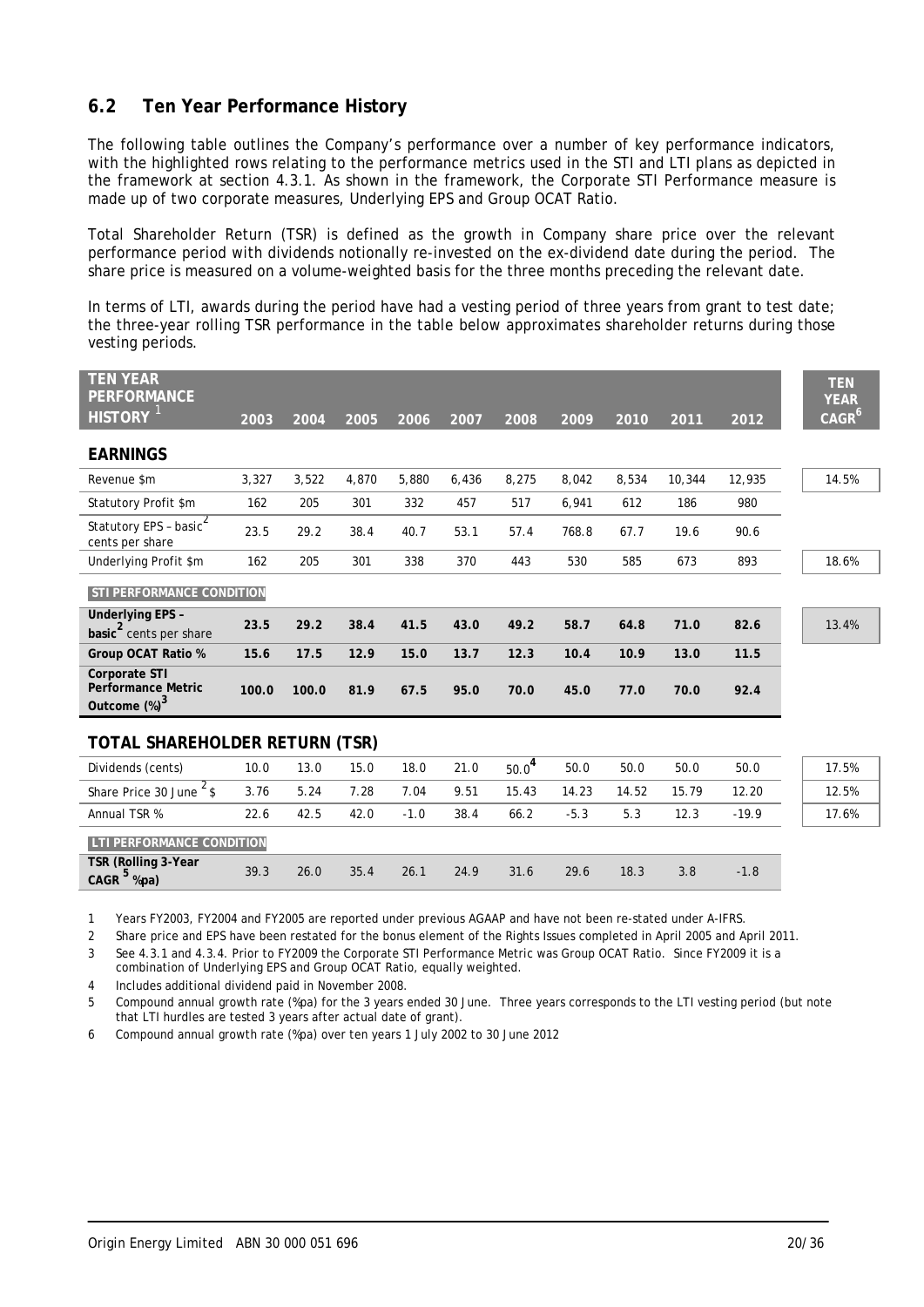# **6.2 Ten Year Performance History**

The following table outlines the Company's performance over a number of key performance indicators, with the highlighted rows relating to the performance metrics used in the STI and LTI plans as depicted in the framework at section 4.3.1. As shown in the framework, the Corporate STI Performance measure is made up of two corporate measures, Underlying EPS and Group OCAT Ratio.

Total Shareholder Return (TSR) is defined as the growth in Company share price over the relevant performance period with dividends notionally re-invested on the ex-dividend date during the period. The share price is measured on a volume-weighted basis for the three months preceding the relevant date.

In terms of LTI, awards during the period have had a vesting period of three years from grant to test date; the three-year rolling TSR performance in the table below approximates shareholder returns during those vesting periods.

| <b>TEN YEAR</b><br><b>PERFORMANCE</b><br><b>HISTORY</b>        | 2003  | 2004  | 2005  | 2006  | 2007  | 2008  | 2009  | 2010  | 2011   | 2012   | <b>TEN</b><br><b>YEAR</b><br>CAGR <sup>6</sup> |
|----------------------------------------------------------------|-------|-------|-------|-------|-------|-------|-------|-------|--------|--------|------------------------------------------------|
| <b>EARNINGS</b>                                                |       |       |       |       |       |       |       |       |        |        |                                                |
| Revenue \$m                                                    | 3,327 | 3,522 | 4,870 | 5,880 | 6,436 | 8,275 | 8,042 | 8,534 | 10,344 | 12,935 | 14.5%                                          |
| Statutory Profit \$m                                           | 162   | 205   | 301   | 332   | 457   | 517   | 6,941 | 612   | 186    | 980    |                                                |
| Statutory EPS - basic $^2$<br>cents per share                  | 23.5  | 29.2  | 38.4  | 40.7  | 53.1  | 57.4  | 768.8 | 67.7  | 19.6   | 90.6   |                                                |
| Underlying Profit \$m                                          | 162   | 205   | 301   | 338   | 370   | 443   | 530   | 585   | 673    | 893    | 18.6%                                          |
| <b>STI PERFORMANCE CONDITION</b>                               |       |       |       |       |       |       |       |       |        |        |                                                |
| <b>Underlying EPS -</b><br>basic <sup>2</sup> cents per share  | 23.5  | 29.2  | 38.4  | 41.5  | 43.0  | 49.2  | 58.7  | 64.8  | 71.0   | 82.6   | 13.4%                                          |
| Group OCAT Ratio %                                             | 15.6  | 17.5  | 12.9  | 15.0  | 13.7  | 12.3  | 10.4  | 10.9  | 13.0   | 11.5   |                                                |
| Corporate STI<br><b>Performance Metric</b><br>Outcome $(\%)^3$ | 100.0 | 100.0 | 81.9  | 67.5  | 95.0  | 70.0  | 45.0  | 77.0  | 70.0   | 92.4   |                                                |
| TOTAL SHAREHOLDER RETURN (TSR)                                 |       |       |       |       |       |       |       |       |        |        |                                                |

| Dividends (cents)                   | 10.0 | 13.0 | 15.0 | 18.0   | 21.0 | $50.0^4$ | 50.0   | 50.0  | 50.0  | 50.0    |  | 17.5% |
|-------------------------------------|------|------|------|--------|------|----------|--------|-------|-------|---------|--|-------|
| Share Price 30 June 5               | 3.76 | 5.24 | 7.28 | 7.04   | 9.51 | 15.43    | 14.23  | 14.52 | 15.79 | 12.20   |  | 12.5% |
| Annual TSR %                        | 22.6 | 42.5 | 42.0 | $-1.0$ | 38.4 | 66.2     | $-5.3$ | 5.3   | 12.3  | $-19.9$ |  | 17.6% |
| <b>LTI PERFORMANCE CONDITION</b>    |      |      |      |        |      |          |        |       |       |         |  |       |
| TSR (Rolling 3-Year<br>CAGR<br>%pa) | 39.3 | 26.0 | 35.4 | 26.1   | 24.9 | 31.6     | 29.6   | 18.3  | 3.8   | $-1.8$  |  |       |

1 Years FY2003, FY2004 and FY2005 are reported under previous AGAAP and have not been re-stated under A-IFRS.

2 Share price and EPS have been restated for the bonus element of the Rights Issues completed in April 2005 and April 2011.

3 See 4.3.1 and 4.3.4. Prior to FY2009 the Corporate STI Performance Metric was Group OCAT Ratio. Since FY2009 it is a combination of Underlying EPS and Group OCAT Ratio, equally weighted.

4 Includes additional dividend paid in November 2008.

5 Compound annual growth rate (%pa) for the 3 years ended 30 June. Three years corresponds to the LTI vesting period (but note that LTI hurdles are tested 3 years after actual date of grant).

6 Compound annual growth rate (%pa) over ten years 1 July 2002 to 30 June 2012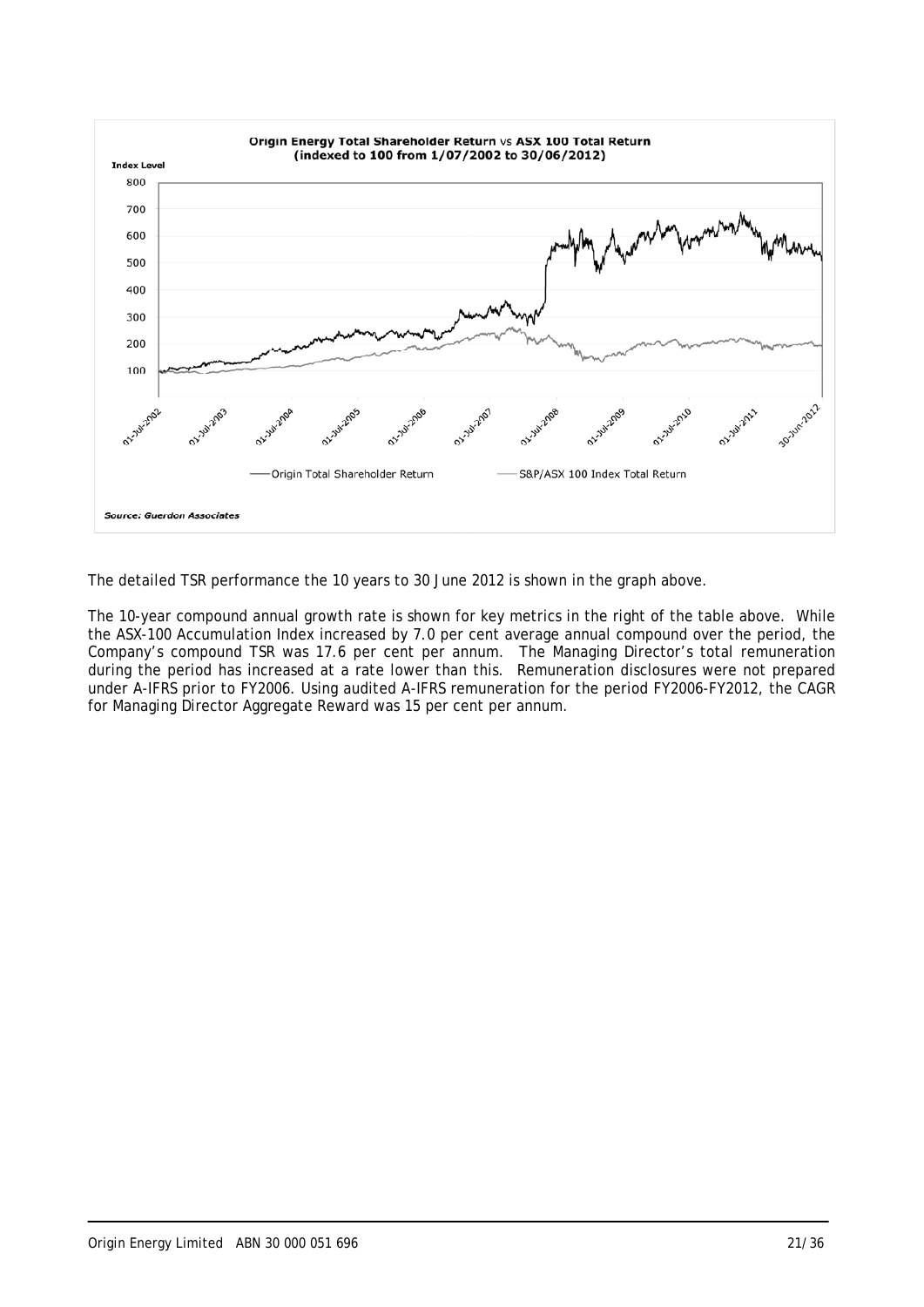

The detailed TSR performance the 10 years to 30 June 2012 is shown in the graph above.

The 10-year compound annual growth rate is shown for key metrics in the right of the table above. While the ASX-100 Accumulation Index increased by 7.0 per cent average annual compound over the period, the Company's compound TSR was 17.6 per cent per annum. The Managing Director's total remuneration during the period has increased at a rate lower than this. Remuneration disclosures were not prepared under A-IFRS prior to FY2006. Using audited A-IFRS remuneration for the period FY2006-FY2012, the CAGR for Managing Director Aggregate Reward was 15 per cent per annum.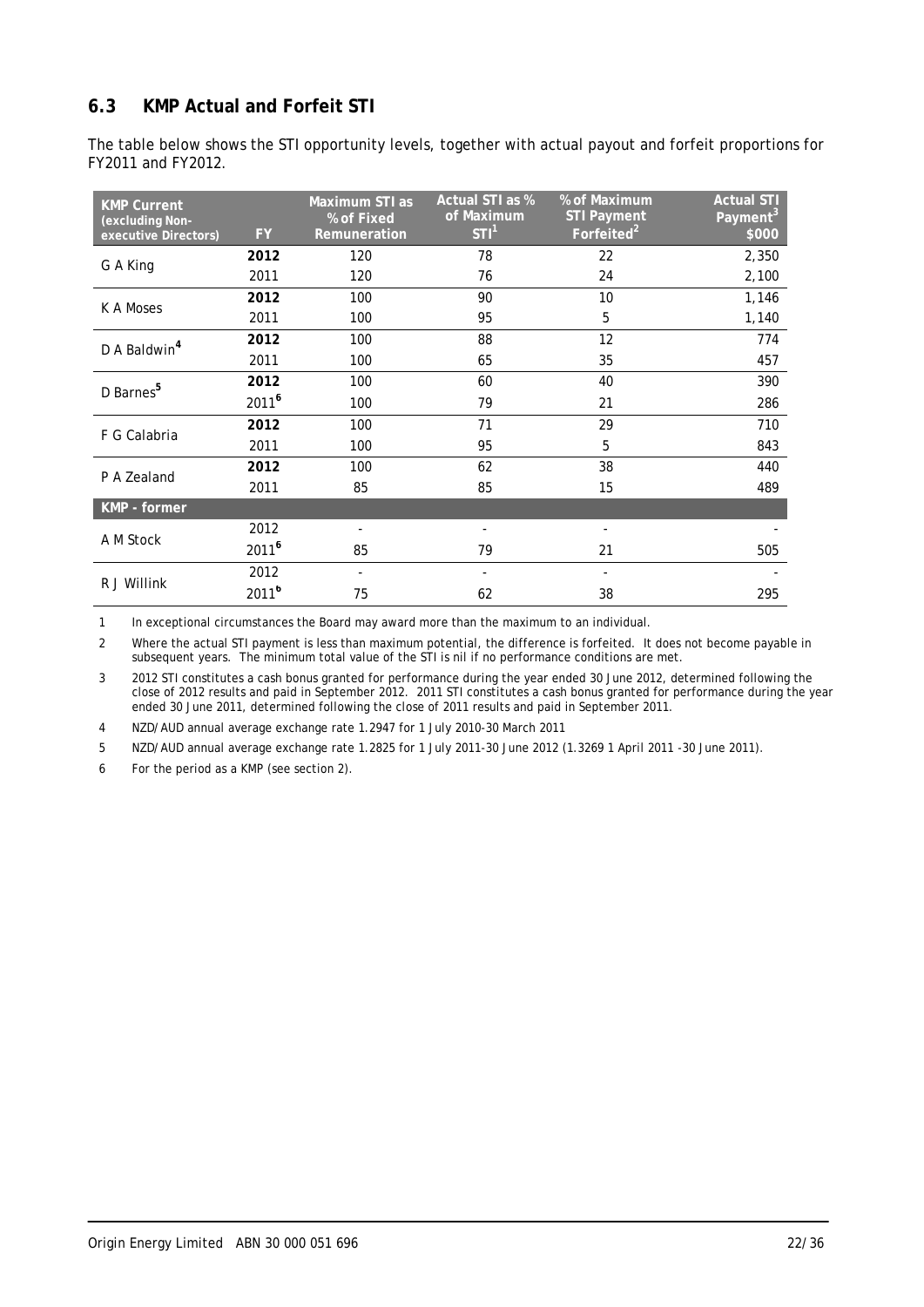# **6.3 KMP Actual and Forfeit STI**

The table below shows the STI opportunity levels, together with actual payout and forfeit proportions for FY2011 and FY2012.

| <b>KMP Current</b><br>(excluding Non-<br>executive Directors) | FY.               | Maximum STI as<br>% of Fixed<br>Remuneration | Actual STI as %<br>of Maximum<br>STI <sup>1</sup> | % of Maximum<br><b>STI Payment</b><br>Forfeited <sup>2</sup> | <b>Actual STI</b><br>Payment <sup>3</sup><br>\$000 |
|---------------------------------------------------------------|-------------------|----------------------------------------------|---------------------------------------------------|--------------------------------------------------------------|----------------------------------------------------|
|                                                               | 2012              | 120                                          | 78                                                | 22                                                           | 2,350                                              |
| G A King                                                      | 2011              | 120                                          | 76                                                | 24                                                           | 2,100                                              |
| K A Moses                                                     | 2012              | 100                                          | 90                                                | 10                                                           | 1,146                                              |
|                                                               | 2011              | 100                                          | 95                                                | 5                                                            | 1,140                                              |
| D A Baldwin <sup>4</sup>                                      | 2012              | 100                                          | 88                                                | $12 \overline{ }$                                            | 774                                                |
|                                                               | 2011              | 100                                          | 65                                                | 35                                                           | 457                                                |
| D Barnes <sup>5</sup>                                         | 2012              | 100                                          | 60                                                | 40                                                           | 390                                                |
|                                                               | 2011 <sup>6</sup> | 100                                          | 79                                                | 21                                                           | 286                                                |
|                                                               | 2012              | 100                                          | 71                                                | 29                                                           | 710                                                |
| F G Calabria                                                  | 2011              | 100                                          | 95                                                | 5                                                            | 843                                                |
| P A Zealand                                                   | 2012              | 100                                          | 62                                                | 38                                                           | 440                                                |
|                                                               | 2011              | 85                                           | 85                                                | 15                                                           | 489                                                |
| KMP - former                                                  |                   |                                              |                                                   |                                                              |                                                    |
| A M Stock                                                     | 2012              |                                              |                                                   |                                                              |                                                    |
|                                                               | 2011 <sup>6</sup> | 85                                           | 79                                                | 21                                                           | 505                                                |
|                                                               | 2012              |                                              |                                                   |                                                              |                                                    |
| R J Willink                                                   | 2011 <sup>6</sup> | 75                                           | 62                                                | 38                                                           | 295                                                |

1 In exceptional circumstances the Board may award more than the maximum to an individual.

2 Where the actual STI payment is less than maximum potential, the difference is forfeited. It does not become payable in subsequent years. The minimum total value of the STI is nil if no performance conditions are met.

3 2012 STI constitutes a cash bonus granted for performance during the year ended 30 June 2012, determined following the close of 2012 results and paid in September 2012. 2011 STI constitutes a cash bonus granted for performance during the year ended 30 June 2011, determined following the close of 2011 results and paid in September 2011.

4 NZD/AUD annual average exchange rate 1.2947 for 1 July 2010-30 March 2011

5 NZD/AUD annual average exchange rate 1.2825 for 1 July 2011-30 June 2012 (1.3269 1 April 2011 -30 June 2011).

6 For the period as a KMP (see section 2).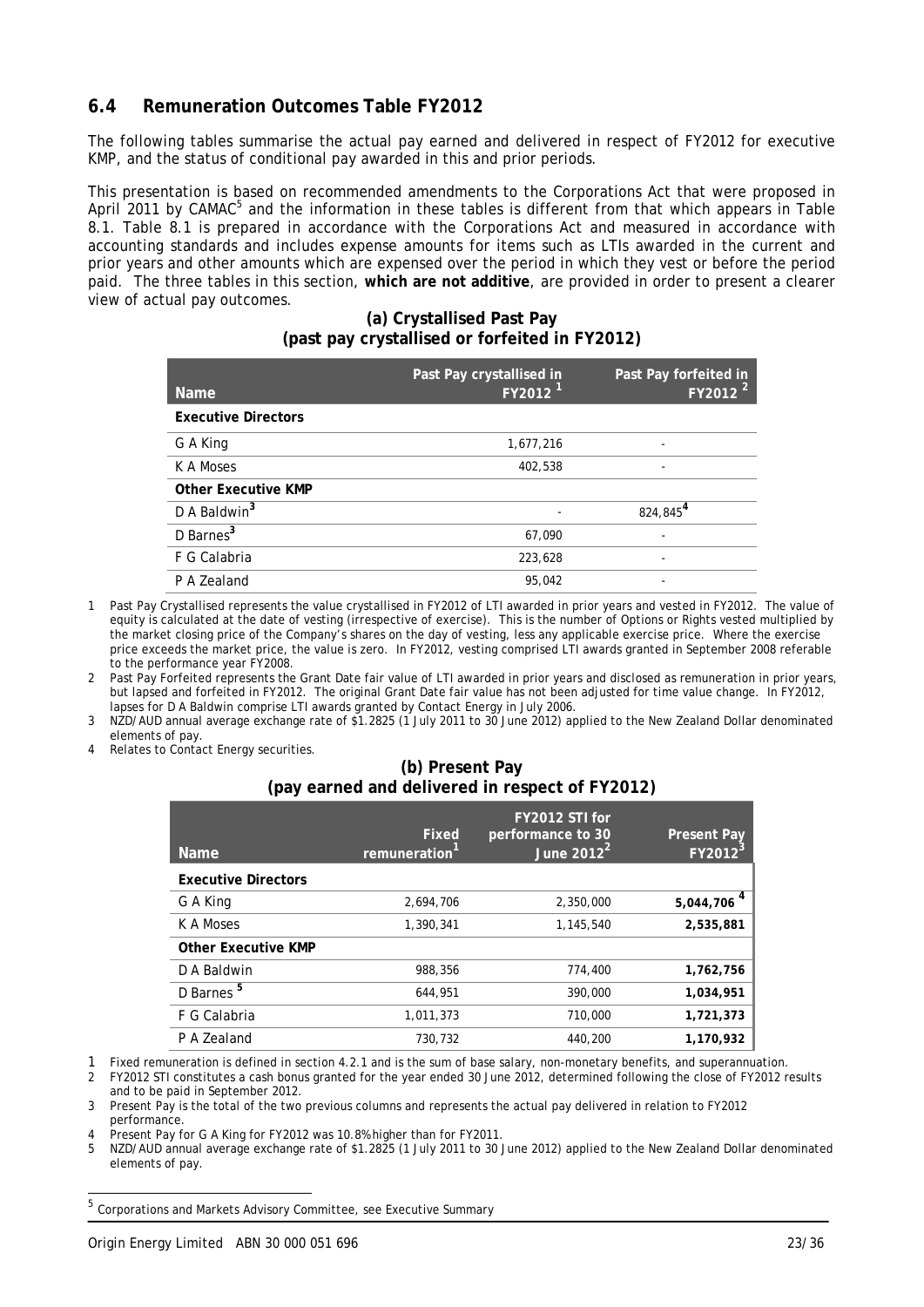### **6.4 Remuneration Outcomes Table FY2012**

The following tables summarise the actual pay earned and delivered in respect of FY2012 for executive KMP, and the status of conditional pay awarded in this and prior periods.

This presentation is based on recommended amendments to the Corporations Act that were proposed in April 2011 by CAMAC<sup>5</sup> and the information in these tables is different from that which appears in Table 8.1. Table 8.1 is prepared in accordance with the Corporations Act and measured in accordance with accounting standards and includes expense amounts for items such as LTIs awarded in the current and prior years and other amounts which are expensed over the period in which they vest or before the period paid. The three tables in this section, **which are not additive**, are provided in order to present a clearer view of actual pay outcomes.

#### **(a) Crystallised Past Pay (past pay crystallised or forfeited in FY2012)**

| <b>Name</b>                | Past Pay crystallised in<br>FY2012 <sup>1</sup> | Past Pay forfeited in<br>FY2012 <sup>2</sup> |
|----------------------------|-------------------------------------------------|----------------------------------------------|
| <b>Executive Directors</b> |                                                 |                                              |
| G A King                   | 1,677,216                                       |                                              |
| K A Moses                  | 402,538                                         |                                              |
| <b>Other Executive KMP</b> |                                                 |                                              |
| D A Baldwin <sup>3</sup>   |                                                 | 824,845 <sup>4</sup>                         |
| D Barnes <sup>3</sup>      | 67,090                                          |                                              |
| F G Calabria               | 223,628                                         |                                              |
| P A Zealand                | 95.042                                          |                                              |

1 Past Pay Crystallised represents the value crystallised in FY2012 of LTI awarded in prior years and vested in FY2012. The value of equity is calculated at the date of vesting (irrespective of exercise). This is the number of Options or Rights vested multiplied by the market closing price of the Company's shares on the day of vesting, less any applicable exercise price. Where the exercise price exceeds the market price, the value is zero. In FY2012, vesting comprised LTI awards granted in September 2008 referable to the performance year FY2008.

2 Past Pay Forfeited represents the Grant Date fair value of LTI awarded in prior years and disclosed as remuneration in prior years, but lapsed and forfeited in FY2012. The original Grant Date fair value has not been adjusted for time value change. In FY2012, lapses for D A Baldwin comprise LTI awards granted by Contact Energy in July 2006.

- 3 NZD/AUD annual average exchange rate of \$1.2825 (1 July 2011 to 30 June 2012) applied to the New Zealand Dollar denominated elements of pay.
- Relates to Contact Energy securities.

### **(b) Present Pay (pay earned and delivered in respect of FY2012)**

| <b>Name</b>                | Fixed<br>remuneration | FY2012 STI for<br>performance to 30<br>June $2012^2$ | <b>Present Pay</b><br>FY2012 |
|----------------------------|-----------------------|------------------------------------------------------|------------------------------|
| <b>Executive Directors</b> |                       |                                                      |                              |
| G A King                   | 2,694,706             | 2,350,000                                            | 5,044,706                    |
| K A Moses                  | 1,390,341             | 1,145,540                                            | 2,535,881                    |
| <b>Other Executive KMP</b> |                       |                                                      |                              |
| D A Baldwin                | 988,356               | 774,400                                              | 1,762,756                    |
| D Barnes <sup>5</sup>      | 644,951               | 390,000                                              | 1,034,951                    |
| F G Calabria               | 1,011,373             | 710,000                                              | 1,721,373                    |
| P A Zealand                | 730.732               | 440,200                                              | 1,170,932                    |

1 Fixed remuneration is defined in section 4.2.1 and is the sum of base salary, non-monetary benefits, and superannuation.<br>2 FY2012 STI constitutes a cash bonus granted for the year ended 30 June 2012, determined following 2 FY2012 STI constitutes a cash bonus granted for the year ended 30 June 2012, determined following the close of FY2012 results and to be paid in September 2012.

3 Present Pay is the total of the two previous columns and represents the actual pay delivered in relation to FY2012 performance.

Present Pay for G A King for FY2012 was 10.8% higher than for FY2011.

5 NZD/AUD annual average exchange rate of \$1.2825 (1 July 2011 to 30 June 2012) applied to the New Zealand Dollar denominated elements of pay.

 $^5$  Corporations and Markets Advisory Committee, see Executive Summary

l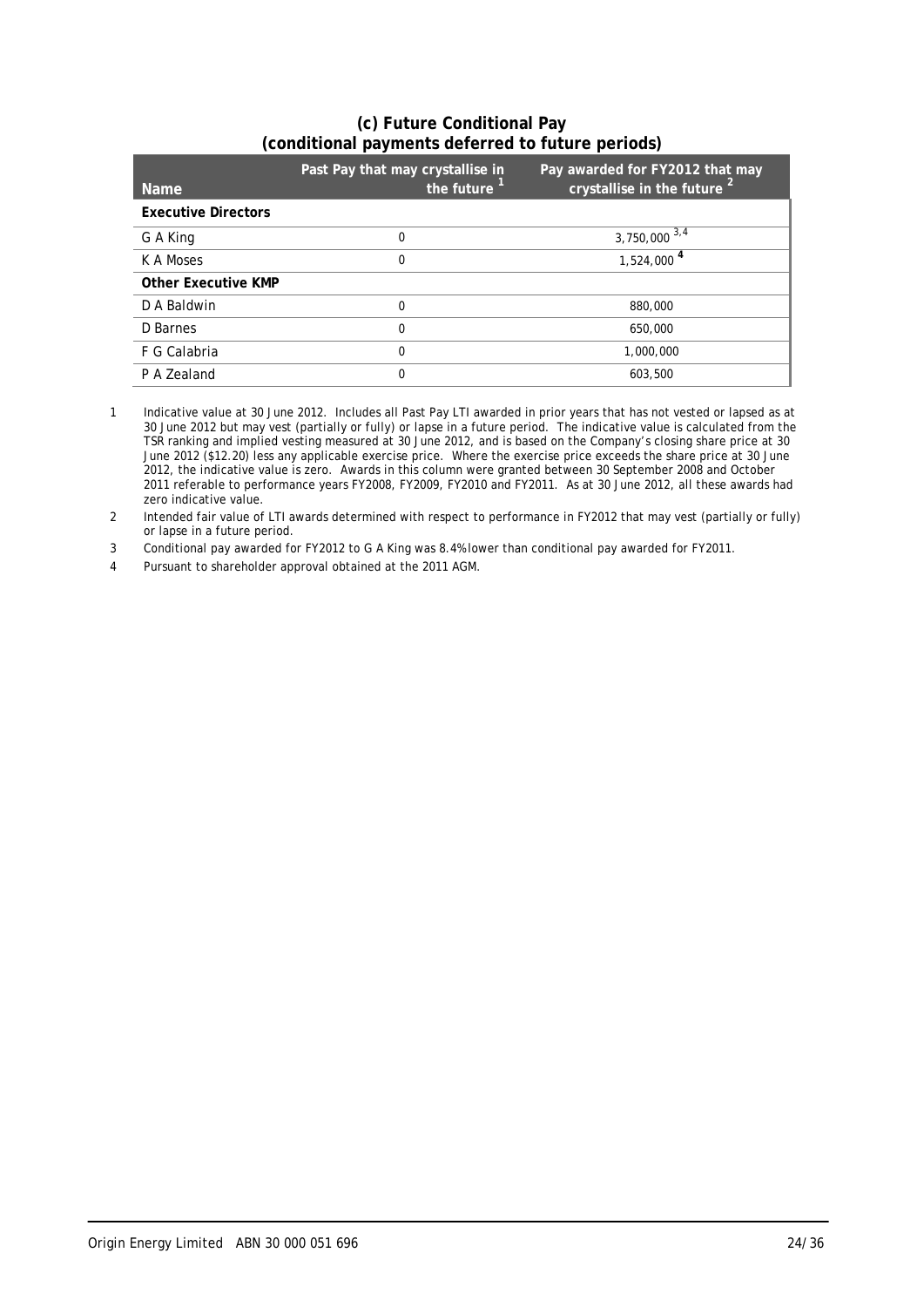### **(c) Future Conditional Pay (conditional payments deferred to future periods)**

| <b>Name</b>                | Past Pay that may crystallise in<br>the future | Pay awarded for FY2012 that may<br>crystallise in the future <sup>2</sup> |
|----------------------------|------------------------------------------------|---------------------------------------------------------------------------|
| <b>Executive Directors</b> |                                                |                                                                           |
| G A King                   | 0                                              | 3,750,000 $3,\overline{4}$                                                |
| K A Moses                  | 0                                              | $1,524,000$ <sup>4</sup>                                                  |
| <b>Other Executive KMP</b> |                                                |                                                                           |
| D A Baldwin                | 0                                              | 880,000                                                                   |
| D Barnes                   | 0                                              | 650,000                                                                   |
| F G Calabria               | 0                                              | 1,000,000                                                                 |
| P A Zealand                | 0                                              | 603.500                                                                   |

1 Indicative value at 30 June 2012. Includes all Past Pay LTI awarded in prior years that has not vested or lapsed as at 30 June 2012 but may vest (partially or fully) or lapse in a future period. The indicative value is calculated from the TSR ranking and implied vesting measured at 30 June 2012, and is based on the Company's closing share price at 30 June 2012 (\$12.20) less any applicable exercise price. Where the exercise price exceeds the share price at 30 June 2012, the indicative value is zero. Awards in this column were granted between 30 September 2008 and October 2011 referable to performance years FY2008, FY2009, FY2010 and FY2011. As at 30 June 2012, all these awards had zero indicative value.

2 Intended fair value of LTI awards determined with respect to performance in FY2012 that may vest (partially or fully) or lapse in a future period.

3 Conditional pay awarded for FY2012 to G A King was 8.4% lower than conditional pay awarded for FY2011.

4 Pursuant to shareholder approval obtained at the 2011 AGM.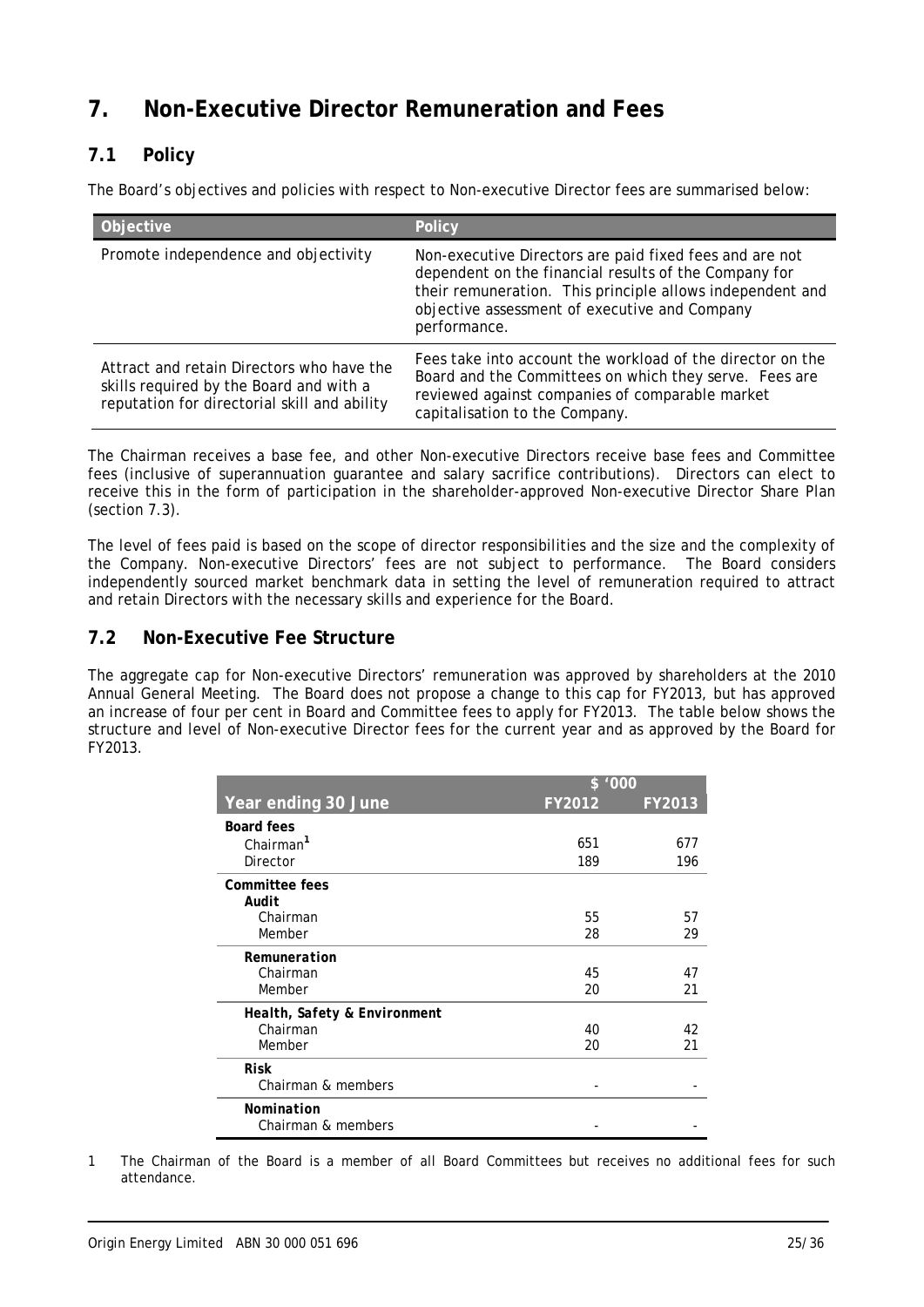# **7. Non-Executive Director Remuneration and Fees**

# **7.1 Policy**

The Board's objectives and policies with respect to Non-executive Director fees are summarised below:

| Objective                                                                                                                            | <b>Policy</b>                                                                                                                                                                                                                                  |
|--------------------------------------------------------------------------------------------------------------------------------------|------------------------------------------------------------------------------------------------------------------------------------------------------------------------------------------------------------------------------------------------|
| Promote independence and objectivity                                                                                                 | Non-executive Directors are paid fixed fees and are not<br>dependent on the financial results of the Company for<br>their remuneration. This principle allows independent and<br>objective assessment of executive and Company<br>performance. |
| Attract and retain Directors who have the<br>skills required by the Board and with a<br>reputation for directorial skill and ability | Fees take into account the workload of the director on the<br>Board and the Committees on which they serve. Fees are<br>reviewed against companies of comparable market<br>capitalisation to the Company.                                      |

The Chairman receives a base fee, and other Non-executive Directors receive base fees and Committee fees (inclusive of superannuation guarantee and salary sacrifice contributions). Directors can elect to receive this in the form of participation in the shareholder-approved Non-executive Director Share Plan (section 7.3).

The level of fees paid is based on the scope of director responsibilities and the size and the complexity of the Company. Non-executive Directors' fees are not subject to performance. The Board considers independently sourced market benchmark data in setting the level of remuneration required to attract and retain Directors with the necessary skills and experience for the Board.

# **7.2 Non-Executive Fee Structure**

The aggregate cap for Non-executive Directors' remuneration was approved by shareholders at the 2010 Annual General Meeting. The Board does not propose a change to this cap for FY2013, but has approved an increase of four per cent in Board and Committee fees to apply for FY2013. The table below shows the structure and level of Non-executive Director fees for the current year and as approved by the Board for FY2013.

|                              | \$ '000 |        |  |  |  |
|------------------------------|---------|--------|--|--|--|
| Year ending 30 June          | FY2012  | FY2013 |  |  |  |
| <b>Board fees</b>            |         |        |  |  |  |
| Chairman <sup>1</sup>        | 651     | 677    |  |  |  |
| Director                     | 189     | 196    |  |  |  |
| <b>Committee fees</b>        |         |        |  |  |  |
| Audit                        |         |        |  |  |  |
| Chairman                     | 55      | 57     |  |  |  |
| Member                       | 28      | 29     |  |  |  |
| Remuneration                 |         |        |  |  |  |
| Chairman                     | 45      | 47     |  |  |  |
| Member                       | 20      | 21     |  |  |  |
| Health, Safety & Environment |         |        |  |  |  |
| Chairman                     | 40      | 42     |  |  |  |
| Member                       | 20      | 21     |  |  |  |
| <b>Risk</b>                  |         |        |  |  |  |
| Chairman & members           |         |        |  |  |  |
| Nomination                   |         |        |  |  |  |
| Chairman & members           |         |        |  |  |  |

1 The Chairman of the Board is a member of all Board Committees but receives no additional fees for such attendance.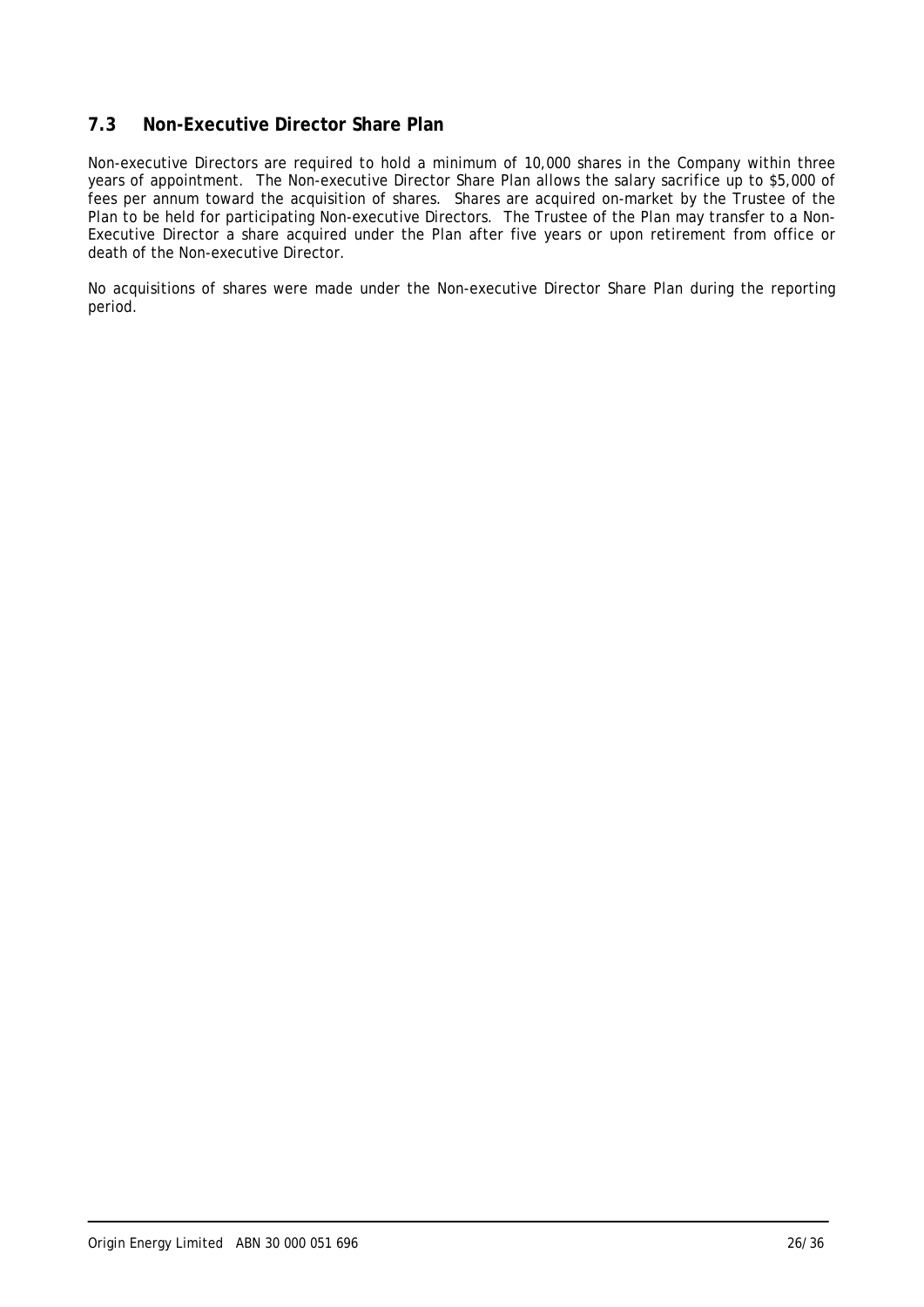## **7.3 Non-Executive Director Share Plan**

Non-executive Directors are required to hold a minimum of 10,000 shares in the Company within three years of appointment. The Non-executive Director Share Plan allows the salary sacrifice up to \$5,000 of fees per annum toward the acquisition of shares. Shares are acquired on-market by the Trustee of the Plan to be held for participating Non-executive Directors. The Trustee of the Plan may transfer to a Non-Executive Director a share acquired under the Plan after five years or upon retirement from office or death of the Non-executive Director.

No acquisitions of shares were made under the Non-executive Director Share Plan during the reporting period.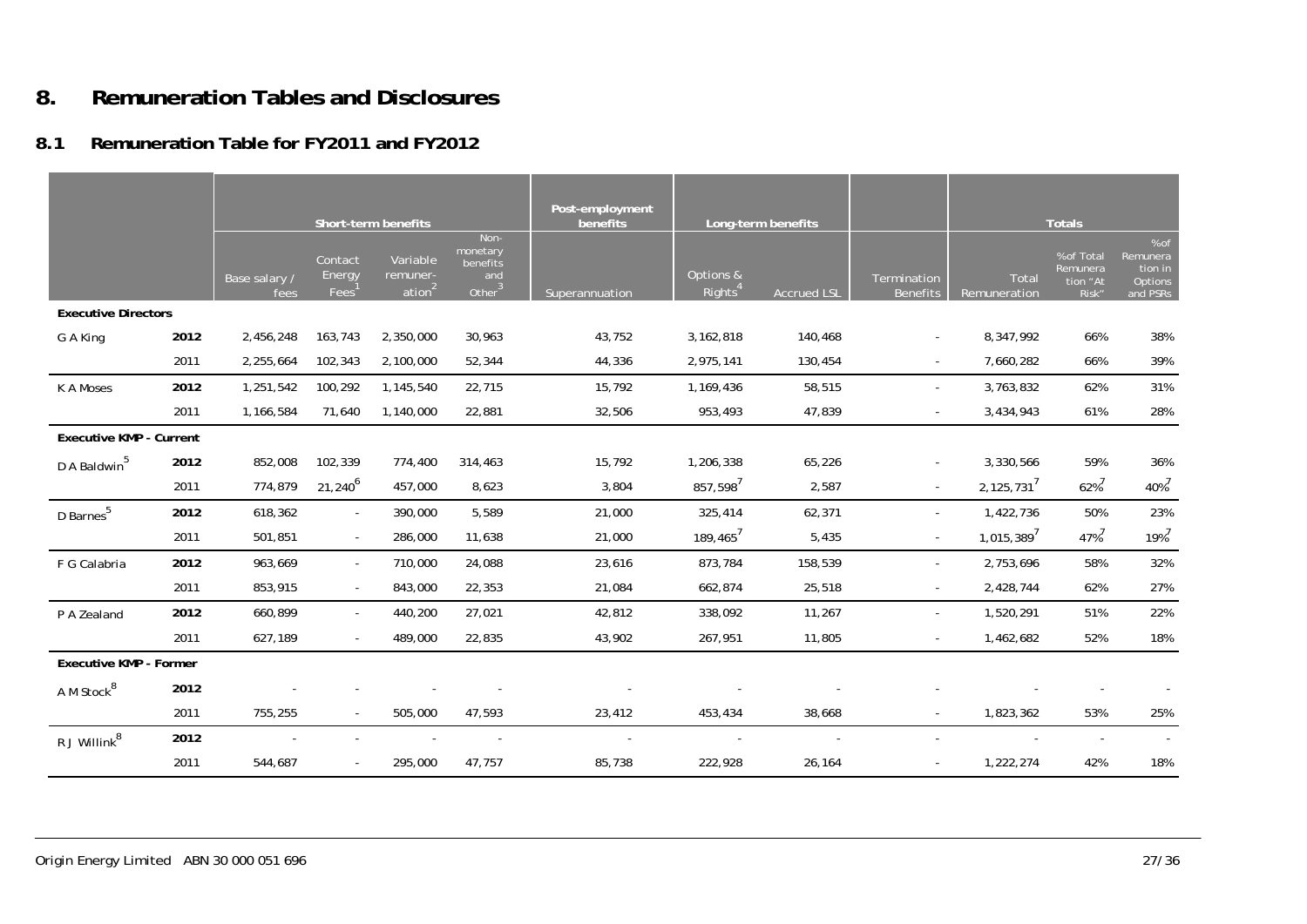#### **8.Remuneration Tables and Disclosures**

# **8.1 Remuneration Table for FY2011 and FY2012**

|                                |      |                       |                             | Short-term benefits                        |                                                  | Post-employment<br>benefits |                                  | Long-term benefits |                                |                       | <b>Totals</b>                               |                                                    |
|--------------------------------|------|-----------------------|-----------------------------|--------------------------------------------|--------------------------------------------------|-----------------------------|----------------------------------|--------------------|--------------------------------|-----------------------|---------------------------------------------|----------------------------------------------------|
|                                |      | Base salary /<br>fees | Contact<br>Energy<br>Fees   | Variable<br>remuner-<br>ation <sup>2</sup> | Non-<br>monetary<br>benefits<br>and<br>Other $3$ | Superannuation              | Options &<br>Rights <sup>4</sup> | <b>Accrued LSL</b> | Termination<br><b>Benefits</b> | Total<br>Remuneration | % of Total<br>Remunera<br>tion "At<br>Risk" | % of<br>Remunera<br>tion in<br>Options<br>and PSRs |
| <b>Executive Directors</b>     |      |                       |                             |                                            |                                                  |                             |                                  |                    |                                |                       |                                             |                                                    |
| G A King                       | 2012 | 2,456,248             | 163,743                     | 2,350,000                                  | 30,963                                           | 43,752                      | 3, 162, 818                      | 140,468            | $\sim$                         | 8,347,992             | 66%                                         | 38%                                                |
|                                | 2011 | 2,255,664             | 102,343                     | 2,100,000                                  | 52,344                                           | 44,336                      | 2,975,141                        | 130,454            |                                | 7,660,282             | 66%                                         | 39%                                                |
| K A Moses                      | 2012 | 1,251,542             | 100,292                     | 1,145,540                                  | 22,715                                           | 15,792                      | 1,169,436                        | 58,515             | $\sim$                         | 3,763,832             | 62%                                         | 31%                                                |
|                                | 2011 | 1,166,584             | 71,640                      | 1,140,000                                  | 22,881                                           | 32,506                      | 953,493                          | 47,839             | $\sim$                         | 3,434,943             | 61%                                         | 28%                                                |
| <b>Executive KMP - Current</b> |      |                       |                             |                                            |                                                  |                             |                                  |                    |                                |                       |                                             |                                                    |
| D A Baldwin <sup>5</sup>       | 2012 | 852,008               | 102,339                     | 774,400                                    | 314,463                                          | 15,792                      | 1,206,338                        | 65,226             |                                | 3,330,566             | 59%                                         | 36%                                                |
|                                | 2011 | 774,879               | $21,240^{6}$                | 457,000                                    | 8,623                                            | 3,804                       | 857,598 <sup>7</sup>             | 2,587              |                                | 2,125,731'            | 62%                                         | 40% <sup>7</sup>                                   |
| D Barnes <sup>5</sup>          | 2012 | 618,362               | $\sim$                      | 390,000                                    | 5,589                                            | 21,000                      | 325,414                          | 62,371             |                                | 1,422,736             | 50%                                         | 23%                                                |
|                                | 2011 | 501,851               | $\mathcal{L}_{\mathcal{A}}$ | 286,000                                    | 11,638                                           | 21,000                      | 189,465 <sup>7</sup>             | 5,435              |                                | 1,015,389'            | 47%                                         | $19%^{7}$                                          |
| F G Calabria                   | 2012 | 963,669               | $\sim$                      | 710,000                                    | 24,088                                           | 23,616                      | 873,784                          | 158,539            |                                | 2,753,696             | 58%                                         | 32%                                                |
|                                | 2011 | 853,915               | $\blacksquare$              | 843,000                                    | 22,353                                           | 21,084                      | 662,874                          | 25,518             |                                | 2,428,744             | 62%                                         | 27%                                                |
| P A Zealand                    | 2012 | 660,899               | $\sim$                      | 440,200                                    | 27,021                                           | 42,812                      | 338,092                          | 11,267             |                                | 1,520,291             | 51%                                         | 22%                                                |
|                                | 2011 | 627,189               | $\sim$                      | 489,000                                    | 22,835                                           | 43,902                      | 267,951                          | 11,805             |                                | 1,462,682             | 52%                                         | 18%                                                |
| <b>Executive KMP - Former</b>  |      |                       |                             |                                            |                                                  |                             |                                  |                    |                                |                       |                                             |                                                    |
| A M Stock <sup>8</sup>         | 2012 |                       |                             |                                            |                                                  |                             |                                  |                    |                                |                       |                                             |                                                    |
|                                | 2011 | 755,255               | $\blacksquare$              | 505,000                                    | 47,593                                           | 23,412                      | 453,434                          | 38,668             |                                | 1,823,362             | 53%                                         | 25%                                                |
| R J Willink $^8$               | 2012 |                       |                             |                                            |                                                  |                             |                                  |                    |                                |                       |                                             |                                                    |
|                                | 2011 | 544,687               | $\blacksquare$              | 295,000                                    | 47,757                                           | 85,738                      | 222,928                          | 26,164             |                                | 1,222,274             | 42%                                         | 18%                                                |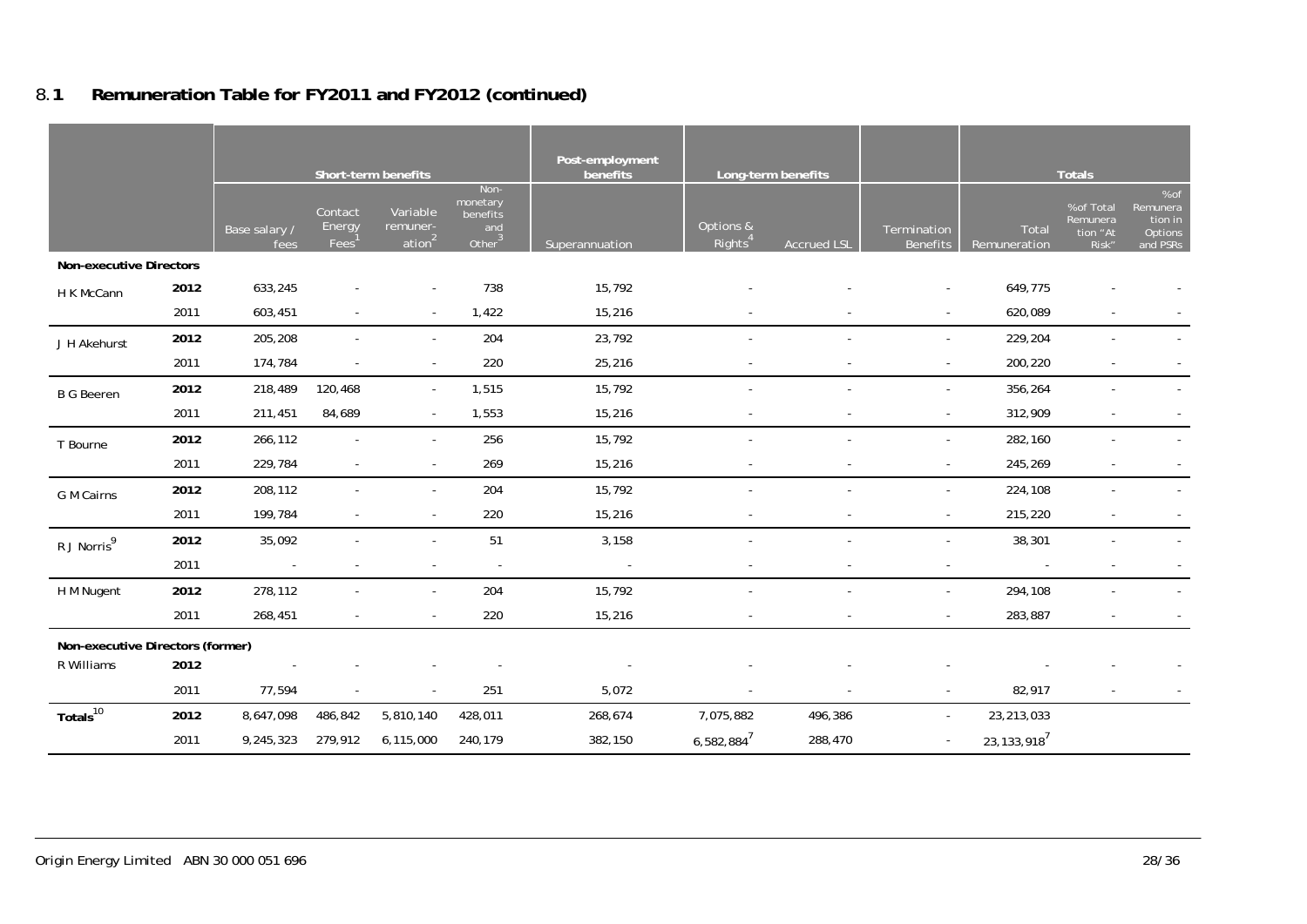#### **Short-term benefits Post-employment benefits Long-term benefits Research Congress in the Long-term benefits Research Congress in the Congress of Totals** Base salary / fees Contact **Energy** Fees Variable remuneration<sup>2</sup> Nonmonetary benefits and Other<sup>3</sup> Superannuation Options & <sup>2</sup> Termination Total Termination Total Termination Total Total Benefits Remuneration % of Total Remunera tion "At Risk" % of Remunera tion in Options and PSRs **Non-executive Directors** H K McCann **2012** 633,245 - - 738 15,792 - - - 649,775 - - 2011 603,451 - - 1,422 15,216 - - - 620,089 - -J H Akehurst **2012** 205,208 - - 204 23,792 - - - 229,204 - - 2011 174,784 - - 220 25,216 - - - - 200,220 - - - - - 200,220 B G Beeren 2012 218,489 120,468 - 1,515 15,792 - - - - - - - 356,264 - - - - - 356,264 - - - - - - - - - - - -2011 211,451 84,689 - 1,553 15,216 - - - 312,909 - - T Bourne **2012** 266,112 - - 256 15,792 - - - 282,160 - - 2011 229,784 - - 269 15,216 - - - 245,269 - - G M Cairns **2012** 208,112 - - 204 15,792 - - - 224,108 - - 2011 199,784 - - 220 15,216 - - - - 20 15,216 - - - - - 215,220 - - -R J Norris9 **<sup>2012</sup>**35,092 - - 51 3,158 - - - 38,301 - - 2011 - - - - - - - - - - - H M Nugent **2012** 278,112 - - 204 15,792 - - - 294,108 - - 2011 - 268,451 - - - - - 220 - 15,216 - - - - - - - - - - - - - 283,887 - - - - -**Non-executive Directors (former)** R Williams **2012** - - - - - - - - - - - 2011 - 77.594 - - - 251 - 5.072 - - - - - - 82.917 - - -**Totals**<sup>10</sup> **<sup>2012</sup>**8,647,098 486,842 5,810,140 428,011 268,674 7,075,882 496,386 - 23,213,033  $2011$   $9,245,323$   $279,912$   $6,115,000$   $240,179$   $382,150$   $6,582,884^7$   $288,470$   $23,133,918^7$

# 8.**1 Remuneration Table for FY2011 and FY2012 (continued)**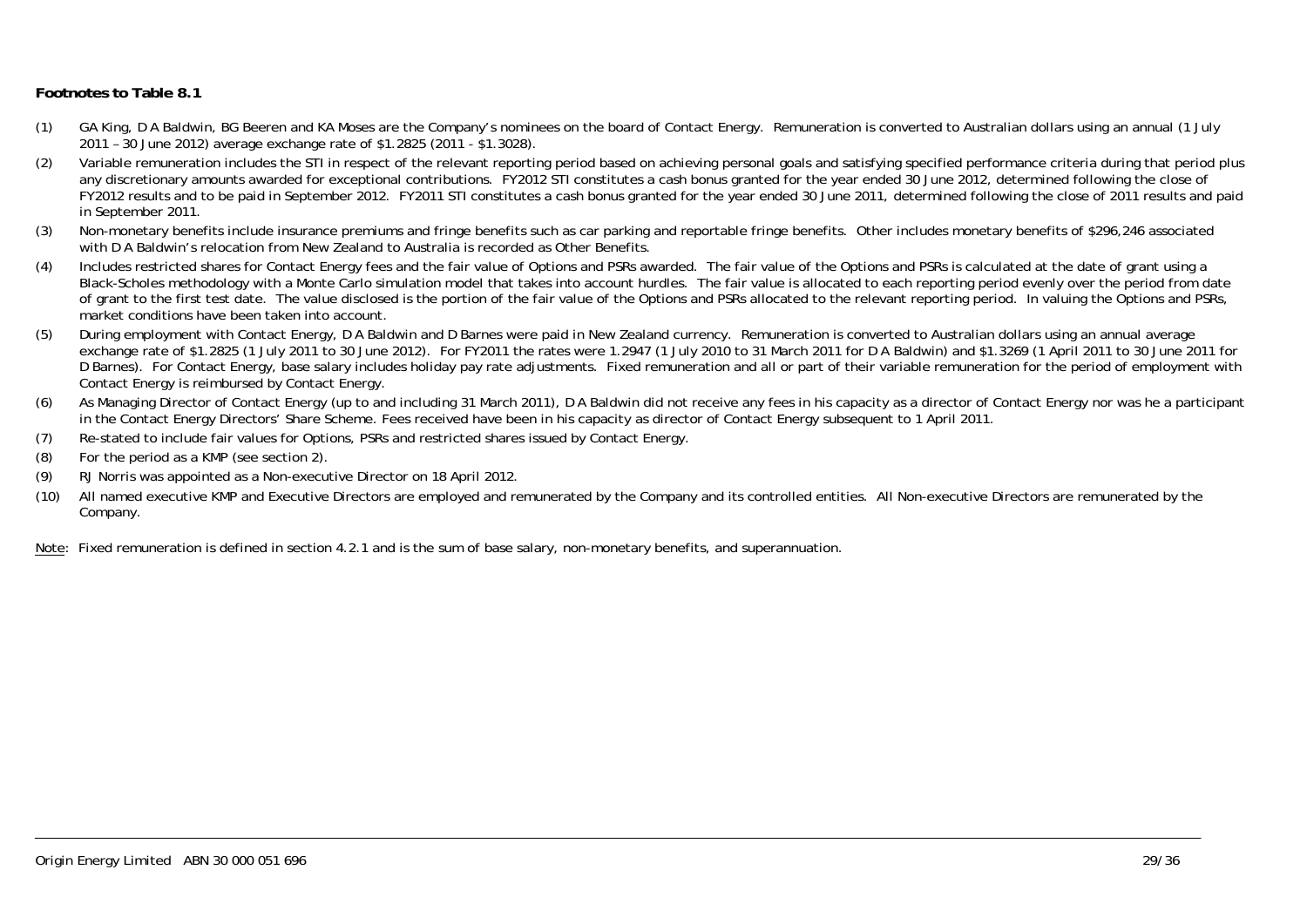#### **Footnotes to Table 8.1**

- (1) GA King, D A Baldwin, BG Beeren and KA Moses are the Company's nominees on the board of Contact Energy. Remuneration is converted to Australian dollars using an annual (1 July 2011 – 30 June 2012) average exchange rate of \$1.2825 (2011 - \$1.3028).
- (2) Variable remuneration includes the STI in respect of the relevant reporting period based on achieving personal goals and satisfying specified performance criteria during that period plus any discretionary amounts awarded for exceptional contributions. FY2012 STI constitutes a cash bonus granted for the year ended 30 June 2012, determined following the close of FY2012 results and to be paid in September 2012. FY2011 STI constitutes a cash bonus granted for the year ended 30 June 2011, determined following the close of 2011 results and paid in September 2011.
- (3) Non-monetary benefits include insurance premiums and fringe benefits such as car parking and reportable fringe benefits. Other includes monetary benefits of \$296,246 associated with D A Baldwin's relocation from New Zealand to Australia is recorded as Other Benefits.
- (4) Includes restricted shares for Contact Energy fees and the fair value of Options and PSRs awarded. The fair value of the Options and PSRs is calculated at the date of grant using a Black-Scholes methodology with a Monte Carlo simulation model that takes into account hurdles. The fair value is allocated to each reporting period evenly over the period from date of grant to the first test date. The value disclosed is the portion of the fair value of the Options and PSRs allocated to the relevant reporting period. In valuing the Options and PSRs, market conditions have been taken into account.
- (5) During employment with Contact Energy, D A Baldwin and D Barnes were paid in New Zealand currency. Remuneration is converted to Australian dollars using an annual average exchange rate of \$1.2825 (1 July 2011 to 30 June 2012). For FY2011 the rates were 1.2947 (1 July 2010 to 31 March 2011 for D A Baldwin) and \$1.3269 (1 April 2011 to 30 June 2011 for D Barnes). For Contact Energy, base salary includes holiday pay rate adjustments. Fixed remuneration and all or part of their variable remuneration for the period of employment with Contact Energy is reimbursed by Contact Energy.
- (6) As Managing Director of Contact Energy (up to and including 31 March 2011), D A Baldwin did not receive any fees in his capacity as a director of Contact Energy nor was he a participant in the Contact Energy Directors' Share Scheme. Fees received have been in his capacity as director of Contact Energy subsequent to 1 April 2011.
- (7) Re-stated to include fair values for Options, PSRs and restricted shares issued by Contact Energy.
- (8) For the period as a KMP (see section 2).
- (9) RJ Norris was appointed as a Non-executive Director on 18 April 2012.
- (10) All named executive KMP and Executive Directors are employed and remunerated by the Company and its controlled entities. All Non-executive Directors are remunerated by the Company.

Note: Fixed remuneration is defined in section 4.2.1 and is the sum of base salary, non-monetary benefits, and superannuation.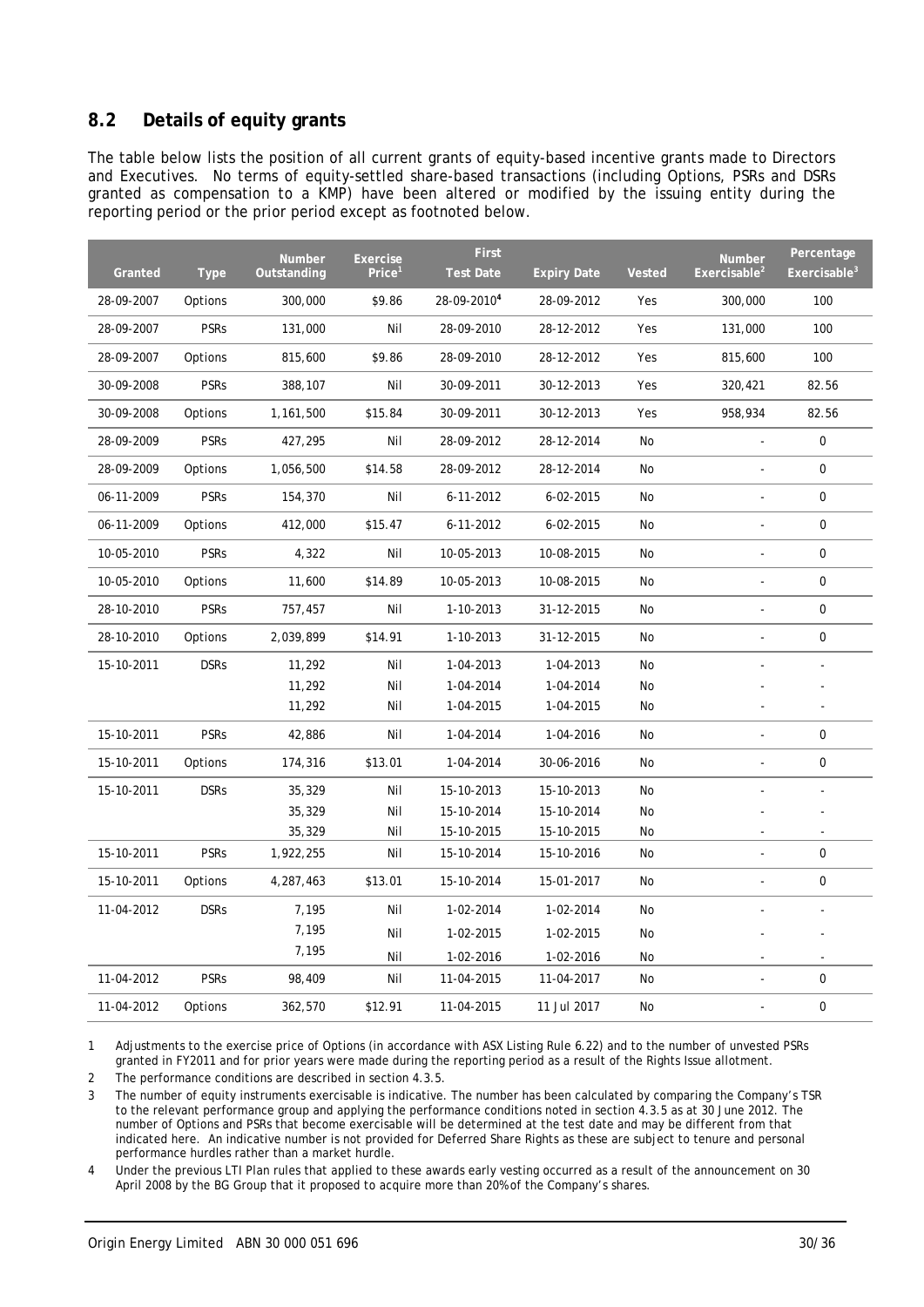# **8.2 Details of equity grants**

The table below lists the position of all current grants of equity-based incentive grants made to Directors and Executives. No terms of equity-settled share-based transactions (including Options, PSRs and DSRs granted as compensation to a KMP) have been altered or modified by the issuing entity during the reporting period or the prior period except as footnoted below.

|            |             | <b>Number</b> | <b>Exercise</b>    | <b>First</b>     |                    |               | <b>Number</b>            | Percentage      |
|------------|-------------|---------------|--------------------|------------------|--------------------|---------------|--------------------------|-----------------|
| Granted    | <b>Type</b> | Outstanding   | Price <sup>1</sup> | <b>Test Date</b> | <b>Expiry Date</b> | <b>Vested</b> | Exercisable <sup>2</sup> | Exercisable $3$ |
| 28-09-2007 | Options     | 300,000       | \$9.86             | 28-09-20104      | 28-09-2012         | Yes           | 300,000                  | 100             |
| 28-09-2007 | <b>PSRs</b> | 131,000       | Nil                | 28-09-2010       | 28-12-2012         | Yes           | 131,000                  | 100             |
| 28-09-2007 | Options     | 815,600       | \$9.86             | 28-09-2010       | 28-12-2012         | Yes           | 815,600                  | 100             |
| 30-09-2008 | <b>PSRs</b> | 388,107       | Nil                | 30-09-2011       | 30-12-2013         | Yes           | 320,421                  | 82.56           |
| 30-09-2008 | Options     | 1,161,500     | \$15.84            | 30-09-2011       | 30-12-2013         | Yes           | 958,934                  | 82.56           |
| 28-09-2009 | <b>PSRs</b> | 427,295       | Nil                | 28-09-2012       | 28-12-2014         | No            |                          | 0               |
| 28-09-2009 | Options     | 1,056,500     | \$14.58            | 28-09-2012       | 28-12-2014         | No            |                          | 0               |
| 06-11-2009 | <b>PSRs</b> | 154,370       | Nil                | 6-11-2012        | $6 - 02 - 2015$    | No            | ÷,                       | 0               |
| 06-11-2009 | Options     | 412,000       | \$15.47            | $6 - 11 - 2012$  | $6 - 02 - 2015$    | <b>No</b>     |                          | 0               |
| 10-05-2010 | <b>PSRs</b> | 4,322         | Nil                | 10-05-2013       | 10-08-2015         | No            | ÷,                       | 0               |
| 10-05-2010 | Options     | 11,600        | \$14.89            | 10-05-2013       | 10-08-2015         | No            | ä,                       | 0               |
| 28-10-2010 | <b>PSRs</b> | 757,457       | Nil                | 1-10-2013        | 31-12-2015         | No            | $\blacksquare$           | 0               |
| 28-10-2010 | Options     | 2,039,899     | \$14.91            | 1-10-2013        | 31-12-2015         | <b>No</b>     |                          | 0               |
| 15-10-2011 | <b>DSRs</b> | 11,292        | Nil                | 1-04-2013        | 1-04-2013          | No            |                          |                 |
|            |             | 11,292        | Nil                | 1-04-2014        | 1-04-2014          | No            |                          |                 |
|            |             | 11,292        | Nil                | 1-04-2015        | 1-04-2015          | No            |                          |                 |
| 15-10-2011 | <b>PSRs</b> | 42,886        | Nil                | 1-04-2014        | 1-04-2016          | No            | ÷,                       | 0               |
| 15-10-2011 | Options     | 174,316       | \$13.01            | 1-04-2014        | 30-06-2016         | No            |                          | 0               |
| 15-10-2011 | <b>DSRs</b> | 35,329        | Nil                | 15-10-2013       | 15-10-2013         | No            |                          |                 |
|            |             | 35,329        | Nil                | 15-10-2014       | 15-10-2014         | No            |                          |                 |
|            |             | 35,329        | Nil                | 15-10-2015       | 15-10-2015         | No            |                          |                 |
| 15-10-2011 | <b>PSRs</b> | 1,922,255     | Nil                | 15-10-2014       | 15-10-2016         | No            |                          | 0               |
| 15-10-2011 | Options     | 4,287,463     | \$13.01            | 15-10-2014       | 15-01-2017         | No            | ÷,                       | 0               |
| 11-04-2012 | <b>DSRs</b> | 7,195         | Nil                | 1-02-2014        | 1-02-2014          | No            |                          |                 |
|            |             | 7,195         | Nil                | 1-02-2015        | 1-02-2015          | No            |                          |                 |
|            |             | 7,195         | Nil                | 1-02-2016        | 1-02-2016          | No            |                          |                 |
| 11-04-2012 | <b>PSRs</b> | 98,409        | Nil                | 11-04-2015       | 11-04-2017         | <b>No</b>     |                          | $\mathbf 0$     |
| 11-04-2012 | Options     | 362,570       | \$12.91            | 11-04-2015       | 11 Jul 2017        | No            |                          | 0               |

1 Adjustments to the exercise price of Options (in accordance with ASX Listing Rule 6.22) and to the number of unvested PSRs granted in FY2011 and for prior years were made during the reporting period as a result of the Rights Issue allotment.

2 The performance conditions are described in section 4.3.5.

3 The number of equity instruments exercisable is indicative. The number has been calculated by comparing the Company's TSR to the relevant performance group and applying the performance conditions noted in section 4.3.5 as at 30 June 2012. The number of Options and PSRs that become exercisable will be determined at the test date and may be different from that indicated here. An indicative number is not provided for Deferred Share Rights as these are subject to tenure and personal performance hurdles rather than a market hurdle.

4 Under the previous LTI Plan rules that applied to these awards early vesting occurred as a result of the announcement on 30 April 2008 by the BG Group that it proposed to acquire more than 20% of the Company's shares.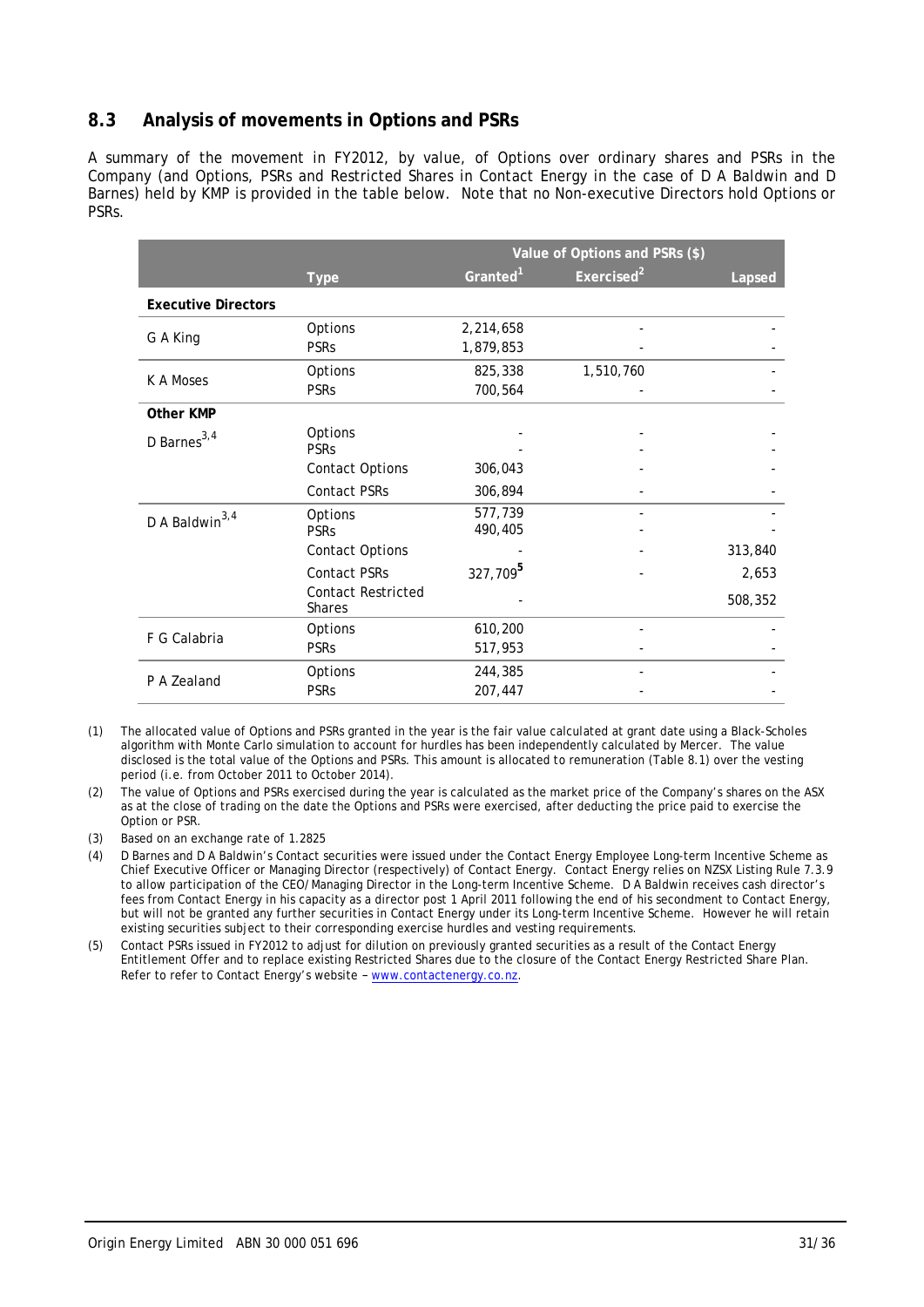## **8.3 Analysis of movements in Options and PSRs**

A summary of the movement in FY2012, by value, of Options over ordinary shares and PSRs in the Company (and Options, PSRs and Restricted Shares in Contact Energy in the case of D A Baldwin and D Barnes) held by KMP is provided in the table below. Note that no Non-executive Directors hold Options or PSRs.

|                            |                           | Value of Options and PSRs (\$) |                        |         |  |  |  |  |
|----------------------------|---------------------------|--------------------------------|------------------------|---------|--|--|--|--|
|                            | <b>Type</b>               | Granted <sup>1</sup>           | Exercised <sup>2</sup> | Lapsed  |  |  |  |  |
| <b>Executive Directors</b> |                           |                                |                        |         |  |  |  |  |
| G A King                   | Options                   | 2,214,658                      |                        |         |  |  |  |  |
|                            | <b>PSRs</b>               | 1,879,853                      |                        |         |  |  |  |  |
| K A Moses                  | Options                   | 825,338                        | 1,510,760              |         |  |  |  |  |
|                            | <b>PSRs</b>               | 700,564                        |                        |         |  |  |  |  |
| Other KMP                  |                           |                                |                        |         |  |  |  |  |
| D Barnes <sup>3,4</sup>    | Options<br><b>PSRs</b>    |                                |                        |         |  |  |  |  |
|                            | <b>Contact Options</b>    | 306,043                        |                        |         |  |  |  |  |
|                            | Contact PSRs              | 306,894                        |                        |         |  |  |  |  |
| D A Baldwin <sup>3,4</sup> | Options                   | 577,739                        |                        |         |  |  |  |  |
|                            | <b>PSRs</b>               | 490,405                        |                        |         |  |  |  |  |
|                            | <b>Contact Options</b>    |                                |                        | 313,840 |  |  |  |  |
|                            | <b>Contact PSRs</b>       | 327,709 <sup>5</sup>           |                        | 2,653   |  |  |  |  |
|                            | <b>Contact Restricted</b> |                                |                        | 508,352 |  |  |  |  |
|                            | <b>Shares</b>             |                                |                        |         |  |  |  |  |
| F G Calabria               | Options                   | 610,200                        |                        |         |  |  |  |  |
|                            | <b>PSRs</b>               | 517,953                        |                        |         |  |  |  |  |
| P A Zealand                | Options                   | 244,385                        |                        |         |  |  |  |  |
|                            | <b>PSRs</b>               | 207,447                        |                        |         |  |  |  |  |

- (1) The allocated value of Options and PSRs granted in the year is the fair value calculated at grant date using a Black-Scholes algorithm with Monte Carlo simulation to account for hurdles has been independently calculated by Mercer. The value disclosed is the total value of the Options and PSRs. This amount is allocated to remuneration (Table 8.1) over the vesting period (i.e. from October 2011 to October 2014).
- (2) The value of Options and PSRs exercised during the year is calculated as the market price of the Company's shares on the ASX as at the close of trading on the date the Options and PSRs were exercised, after deducting the price paid to exercise the Option or PSR.
- (3) Based on an exchange rate of 1.2825
- (4) D Barnes and D A Baldwin's Contact securities were issued under the Contact Energy Employee Long-term Incentive Scheme as Chief Executive Officer or Managing Director (respectively) of Contact Energy. Contact Energy relies on NZSX Listing Rule 7.3.9 to allow participation of the CEO/Managing Director in the Long-term Incentive Scheme. D A Baldwin receives cash director's fees from Contact Energy in his capacity as a director post 1 April 2011 following the end of his secondment to Contact Energy, but will not be granted any further securities in Contact Energy under its Long-term Incentive Scheme. However he will retain existing securities subject to their corresponding exercise hurdles and vesting requirements.
- (5) Contact PSRs issued in FY2012 to adjust for dilution on previously granted securities as a result of the Contact Energy Entitlement Offer and to replace existing Restricted Shares due to the closure of the Contact Energy Restricted Share Plan. Refer to refer to Contact Energy's website – www.contactenergy.co.nz.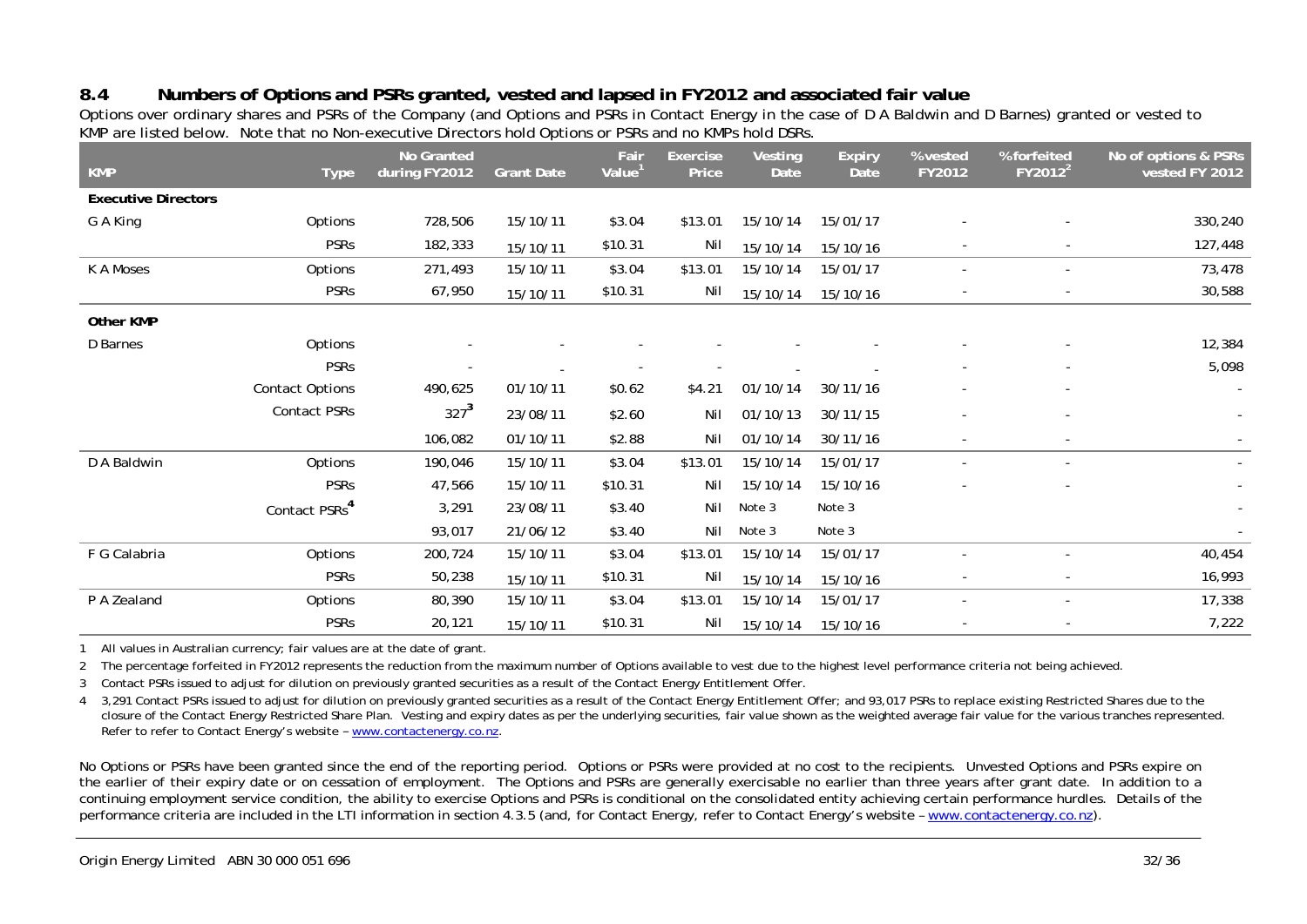# **8.4 Numbers of Options and PSRs granted, vested and lapsed in FY2012 and associated fair value**

Options over ordinary shares and PSRs of the Company (and Options and PSRs in Contact Energy in the case of D A Baldwin and D Barnes) granted or vested to KMP are listed below. Note that no Non-executive Directors hold Options or PSRs and no KMPs hold DSRs.

| <b>KMP</b>                 | <b>Type</b>               | No Granted<br>during FY2012 | <b>Grant Date</b> | Fair<br>Value <sup>1</sup> | <b>Exercise</b><br>Price | Vesting<br>Date | <b>Expiry</b><br><b>Date</b> | % vested<br>FY2012       | % forfeited<br>FY2012 <sup>2</sup> | No of options & PSRs<br>vested FY 2012 |
|----------------------------|---------------------------|-----------------------------|-------------------|----------------------------|--------------------------|-----------------|------------------------------|--------------------------|------------------------------------|----------------------------------------|
| <b>Executive Directors</b> |                           |                             |                   |                            |                          |                 |                              |                          |                                    |                                        |
| G A King                   | Options                   | 728,506                     | 15/10/11          | \$3.04                     | \$13.01                  | 15/10/14        | 15/01/17                     |                          |                                    | 330,240                                |
|                            | <b>PSRs</b>               | 182,333                     | 15/10/11          | \$10.31                    | Nil                      | 15/10/14        | 15/10/16                     |                          |                                    | 127,448                                |
| K A Moses                  | Options                   | 271,493                     | 15/10/11          | \$3.04                     | \$13.01                  | 15/10/14        | 15/01/17                     |                          |                                    | 73,478                                 |
|                            | <b>PSRs</b>               | 67,950                      | 15/10/11          | \$10.31                    | Nil                      | 15/10/14        | 15/10/16                     |                          |                                    | 30,588                                 |
| <b>Other KMP</b>           |                           |                             |                   |                            |                          |                 |                              |                          |                                    |                                        |
| D Barnes                   | Options                   |                             |                   |                            |                          |                 |                              |                          |                                    | 12,384                                 |
|                            | <b>PSRs</b>               |                             |                   |                            |                          |                 |                              |                          |                                    | 5,098                                  |
|                            | <b>Contact Options</b>    | 490,625                     | 01/10/11          | \$0.62                     | \$4.21                   | 01/10/14        | 30/11/16                     |                          |                                    |                                        |
|                            | Contact PSRs              | $327^3$                     | 23/08/11          | \$2.60                     | Nil                      | 01/10/13        | 30/11/15                     |                          |                                    | $\sim$                                 |
|                            |                           | 106,082                     | 01/10/11          | \$2.88                     | Nil                      | 01/10/14        | 30/11/16                     | $\overline{\phantom{a}}$ | $\sim$                             |                                        |
| D A Baldwin                | Options                   | 190,046                     | 15/10/11          | \$3.04                     | \$13.01                  | 15/10/14        | 15/01/17                     |                          |                                    | $\sim$                                 |
|                            | <b>PSRs</b>               | 47,566                      | 15/10/11          | \$10.31                    | Nil                      | 15/10/14        | 15/10/16                     |                          |                                    | $\sim$                                 |
|                            | Contact PSRs <sup>4</sup> | 3,291                       | 23/08/11          | \$3.40                     | Nil                      | Note 3          | Note 3                       |                          |                                    |                                        |
|                            |                           | 93,017                      | 21/06/12          | \$3.40                     | Nil                      | Note 3          | Note 3                       |                          |                                    | $\sim$                                 |
| F G Calabria               | Options                   | 200,724                     | 15/10/11          | \$3.04                     | \$13.01                  | 15/10/14        | 15/01/17                     |                          |                                    | 40,454                                 |
|                            | <b>PSRs</b>               | 50,238                      | 15/10/11          | \$10.31                    | Nil                      | 15/10/14        | 15/10/16                     |                          |                                    | 16,993                                 |
| P A Zealand                | Options                   | 80,390                      | 15/10/11          | \$3.04                     | \$13.01                  | 15/10/14        | 15/01/17                     |                          |                                    | 17,338                                 |
|                            | <b>PSRs</b>               | 20,121                      | 15/10/11          | \$10.31                    | Nil                      | 15/10/14        | 15/10/16                     |                          |                                    | 7,222                                  |

1 All values in Australian currency; fair values are at the date of grant.

2 The percentage forfeited in FY2012 represents the reduction from the maximum number of Options available to vest due to the highest level performance criteria not being achieved.

3 Contact PSRs issued to adjust for dilution on previously granted securities as a result of the Contact Energy Entitlement Offer.

4 3,291 Contact PSRs issued to adjust for dilution on previously granted securities as a result of the Contact Energy Entitlement Offer; and 93,017 PSRs to replace existing Restricted Shares due to the closure of the Contact Energy Restricted Share Plan. Vesting and expiry dates as per the underlying securities, fair value shown as the weighted average fair value for the various tranches represented. Refer to refer to Contact Energy's website – www.contactenergy.co.nz.

No Options or PSRs have been granted since the end of the reporting period. Options or PSRs were provided at no cost to the recipients. Unvested Options and PSRs expire on the earlier of their expiry date or on cessation of employment. The Options and PSRs are generally exercisable no earlier than three years after grant date. In addition to a continuing employment service condition, the ability to exercise Options and PSRs is conditional on the consolidated entity achieving certain performance hurdles. Details of the performance criteria are included in the LTI information in section 4.3.5 (and, for Contact Energy, refer to Contact Energy's website – www.contactenergy.co.nz).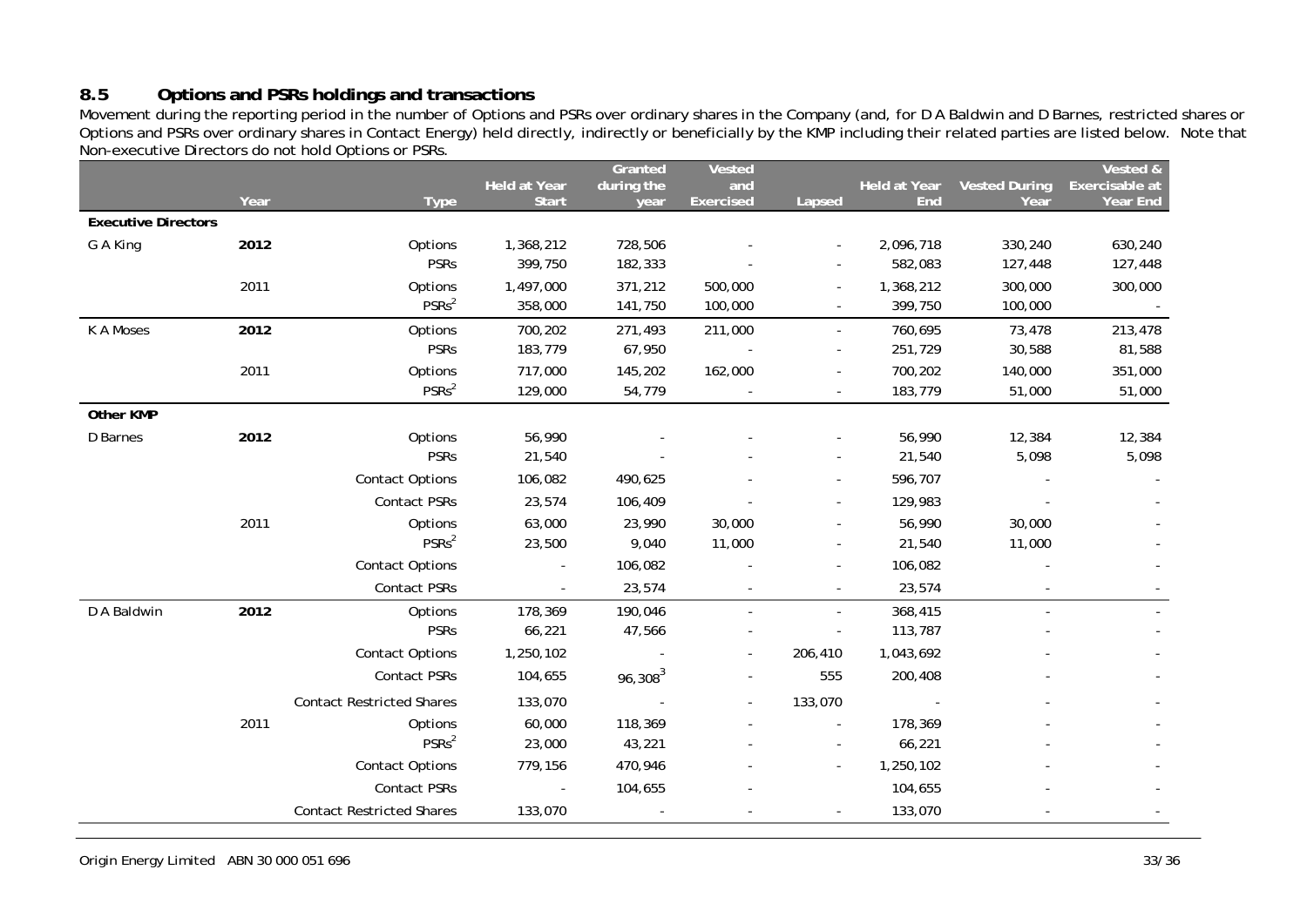# **8.5 Options and PSRs holdings and transactions**

Movement during the reporting period in the number of Options and PSRs over ordinary shares in the Company (and, for D A Baldwin and D Barnes, restricted shares or Options and PSRs over ordinary shares in Contact Energy) held directly, indirectly or beneficially by the KMP including their related parties are listed below. Note that Non-executive Directors do not hold Options or PSRs.

|                            |      |                                  |                     | Granted    | Vested           |          |                     |                      | Vested &       |
|----------------------------|------|----------------------------------|---------------------|------------|------------------|----------|---------------------|----------------------|----------------|
|                            | Year |                                  | <b>Held at Year</b> | during the | and              |          | <b>Held at Year</b> | <b>Vested During</b> | Exercisable at |
| <b>Executive Directors</b> |      | <b>Type</b>                      | <b>Start</b>        | year       | <b>Exercised</b> | Lapsed   | <b>End</b>          | Year                 | Year End       |
|                            |      |                                  |                     |            |                  |          |                     |                      |                |
| G A King                   | 2012 | Options<br><b>PSRs</b>           | 1,368,212           | 728,506    |                  |          | 2,096,718           | 330,240              | 630,240        |
|                            |      |                                  | 399,750             | 182,333    |                  |          | 582,083             | 127,448              | 127,448        |
|                            | 2011 | Options<br>PSSRs <sup>2</sup>    | 1,497,000           | 371,212    | 500,000          |          | 1,368,212           | 300,000              | 300,000        |
|                            |      |                                  | 358,000             | 141,750    | 100,000          |          | 399,750             | 100,000              |                |
| K A Moses                  | 2012 | Options                          | 700,202             | 271,493    | 211,000          | $\sim$   | 760,695             | 73,478               | 213,478        |
|                            |      | <b>PSRs</b>                      | 183,779             | 67,950     |                  |          | 251,729             | 30,588               | 81,588         |
|                            | 2011 | Options                          | 717,000             | 145,202    | 162,000          |          | 700,202             | 140,000              | 351,000        |
|                            |      | PSSRs <sup>2</sup>               | 129,000             | 54,779     |                  |          | 183,779             | 51,000               | 51,000         |
| Other KMP                  |      |                                  |                     |            |                  |          |                     |                      |                |
| D Barnes                   | 2012 | Options                          | 56,990              |            |                  |          | 56,990              | 12,384               | 12,384         |
|                            |      | <b>PSRs</b>                      | 21,540              |            |                  |          | 21,540              | 5,098                | 5,098          |
|                            |      | <b>Contact Options</b>           | 106,082             | 490,625    |                  |          | 596,707             |                      |                |
|                            |      | Contact PSRs                     | 23,574              | 106,409    |                  |          | 129,983             |                      |                |
|                            | 2011 | Options                          | 63,000              | 23,990     | 30,000           |          | 56,990              | 30,000               |                |
|                            |      | PSRs <sup>2</sup>                | 23,500              | 9,040      | 11,000           |          | 21,540              | 11,000               |                |
|                            |      | <b>Contact Options</b>           | $\blacksquare$      | 106,082    |                  |          | 106,082             |                      |                |
|                            |      | Contact PSRs                     | $\blacksquare$      | 23,574     |                  |          | 23,574              |                      |                |
| D A Baldwin                | 2012 | Options                          | 178,369             | 190,046    |                  | $\omega$ | 368,415             |                      |                |
|                            |      | <b>PSRs</b>                      | 66,221              | 47,566     |                  |          | 113,787             |                      |                |
|                            |      | <b>Contact Options</b>           | 1,250,102           |            |                  | 206,410  | 1,043,692           |                      |                |
|                            |      | Contact PSRs                     | 104,655             | $96,308^3$ |                  | 555      | 200,408             |                      |                |
|                            |      | <b>Contact Restricted Shares</b> | 133,070             |            |                  | 133,070  |                     |                      |                |
|                            | 2011 | Options                          | 60,000              | 118,369    |                  |          | 178,369             |                      |                |
|                            |      | PSRs <sup>2</sup>                | 23,000              | 43,221     |                  |          | 66,221              |                      |                |
|                            |      | <b>Contact Options</b>           | 779,156             | 470,946    |                  |          | 1,250,102           |                      |                |
|                            |      | <b>Contact PSRs</b>              | $\sim$              | 104,655    |                  |          | 104,655             |                      |                |
|                            |      | <b>Contact Restricted Shares</b> | 133,070             |            |                  |          | 133,070             |                      |                |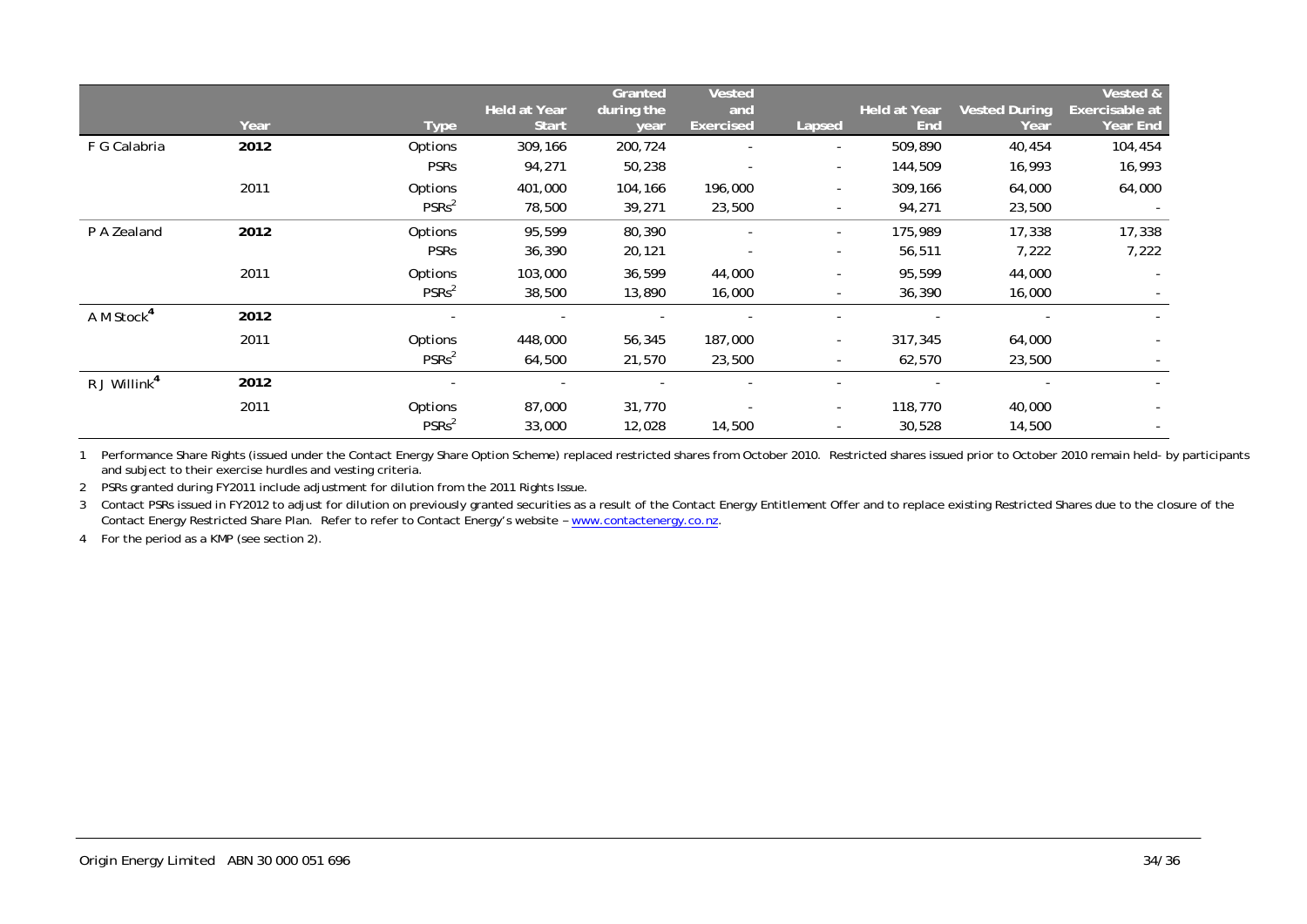|                          |      |                   |                                     | Granted            | <b>Vested</b>           |                          |                            |                              | Vested &                   |
|--------------------------|------|-------------------|-------------------------------------|--------------------|-------------------------|--------------------------|----------------------------|------------------------------|----------------------------|
|                          | Year | <b>Type</b>       | <b>Held at Year</b><br><b>Start</b> | during the<br>year | and<br><b>Exercised</b> | Lapsed                   | <b>Held at Year</b><br>End | <b>Vested During</b><br>Year | Exercisable at<br>Year End |
| F G Calabria             | 2012 | Options           | 309,166                             | 200,724            |                         | ۰.                       | 509,890                    | 40,454                       | 104,454                    |
|                          |      | <b>PSRs</b>       | 94,271                              | 50,238             |                         | ۰.                       | 144,509                    | 16,993                       | 16,993                     |
|                          | 2011 | Options           | 401,000                             | 104,166            | 196,000                 | ۰.                       | 309,166                    | 64,000                       | 64,000                     |
|                          |      | PSRs <sup>2</sup> | 78,500                              | 39,271             | 23,500                  | ۰                        | 94,271                     | 23,500                       |                            |
| P A Zealand              | 2012 | Options           | 95,599                              | 80,390             |                         | $\sim$                   | 175,989                    | 17,338                       | 17,338                     |
|                          |      | <b>PSRs</b>       | 36,390                              | 20,121             |                         | ۰                        | 56,511                     | 7,222                        | 7,222                      |
|                          | 2011 | Options           | 103,000                             | 36,599             | 44,000                  | $\overline{\phantom{0}}$ | 95,599                     | 44,000                       | $\overline{a}$             |
|                          |      | PSRs <sup>2</sup> | 38,500                              | 13,890             | 16,000                  | ۰                        | 36,390                     | 16,000                       |                            |
| A M Stock <sup>4</sup>   | 2012 |                   |                                     |                    |                         |                          |                            |                              |                            |
|                          | 2011 | <b>Options</b>    | 448,000                             | 56,345             | 187,000                 | $\overline{\phantom{0}}$ | 317,345                    | 64,000                       |                            |
|                          |      | PSRs <sup>2</sup> | 64,500                              | 21,570             | 23,500                  | $\sim$                   | 62,570                     | 23,500                       |                            |
| R J Willink <sup>4</sup> | 2012 |                   |                                     |                    |                         |                          |                            |                              |                            |
|                          | 2011 | <b>Options</b>    | 87,000                              | 31,770             |                         | $\overline{\phantom{0}}$ | 118,770                    | 40,000                       |                            |
|                          |      | PSRs <sup>2</sup> | 33,000                              | 12,028             | 14,500                  | $\overline{\phantom{a}}$ | 30,528                     | 14,500                       | $\overline{\phantom{a}}$   |

1 Performance Share Rights (issued under the Contact Energy Share Option Scheme) replaced restricted shares from October 2010. Restricted shares issued prior to October 2010 remain held- by participants and subject to their exercise hurdles and vesting criteria.

2 PSRs granted during FY2011 include adjustment for dilution from the 2011 Rights Issue.

3 Contact PSRs issued in FY2012 to adjust for dilution on previously granted securities as a result of the Contact Energy Entitlement Offer and to replace existing Restricted Shares due to the closure of the Contact Energy Restricted Share Plan. Refer to refer to Contact Energy's website – www.contactenergy.co.nz.

4 For the period as a KMP (see section 2).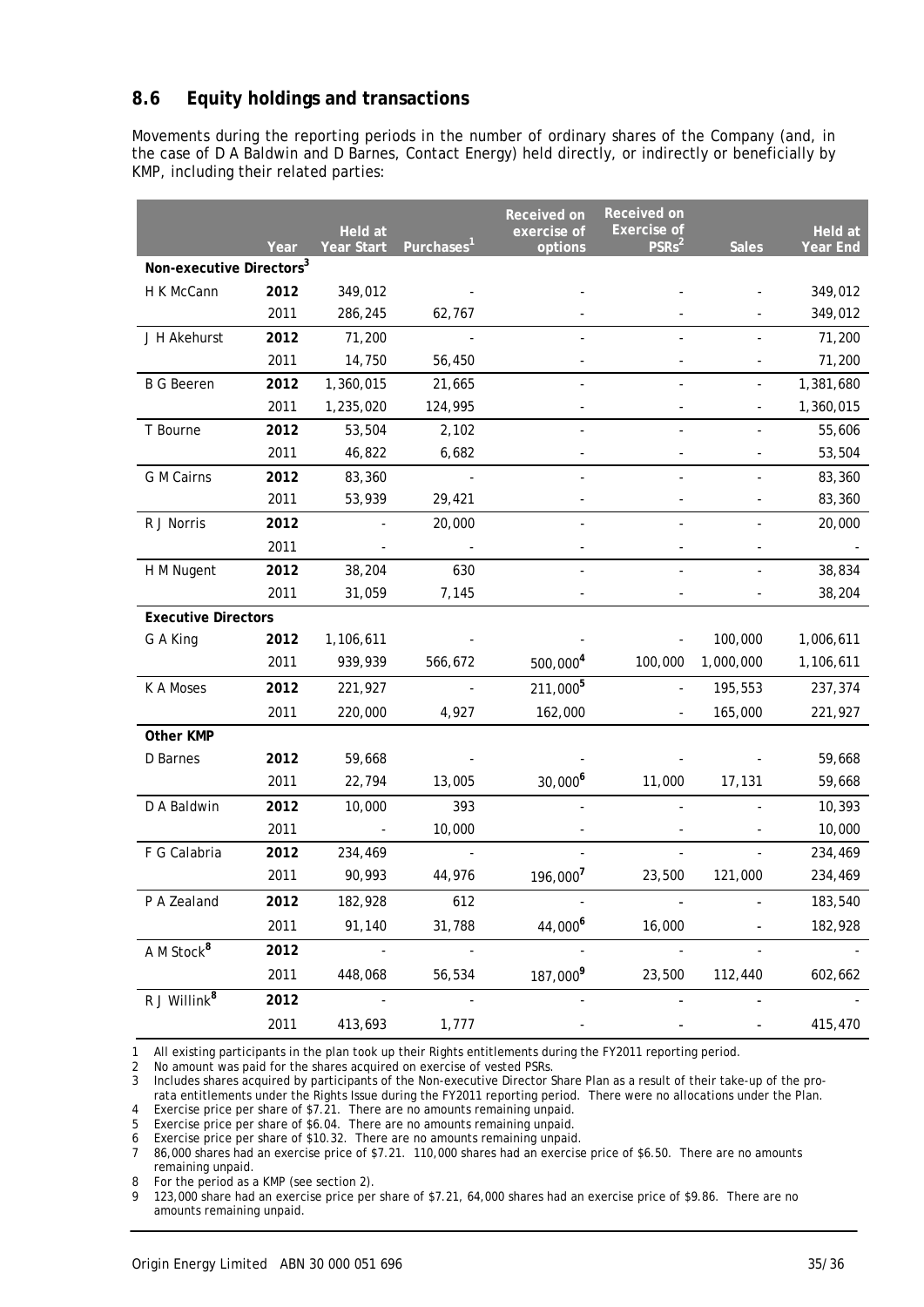# **8.6 Equity holdings and transactions**

Movements during the reporting periods in the number of ordinary shares of the Company (and, in the case of D A Baldwin and D Barnes, Contact Energy) held directly, or indirectly or beneficially by KMP, including their related parties:

|                                      |      |                       |                  | <b>Received on</b>     | Received on                             |                              |                            |
|--------------------------------------|------|-----------------------|------------------|------------------------|-----------------------------------------|------------------------------|----------------------------|
|                                      | Year | Held at<br>Year Start | <b>Purchases</b> | exercise of<br>options | <b>Exercise of</b><br>PSRs <sup>2</sup> | <b>Sales</b>                 | Held at<br><b>Year End</b> |
| Non-executive Directors <sup>3</sup> |      |                       |                  |                        |                                         |                              |                            |
| H K McCann                           | 2012 | 349,012               |                  |                        |                                         |                              | 349,012                    |
|                                      | 2011 | 286,245               | 62,767           |                        |                                         |                              | 349,012                    |
| J H Akehurst                         | 2012 | 71,200                |                  |                        |                                         |                              | 71,200                     |
|                                      | 2011 | 14,750                | 56,450           |                        |                                         |                              | 71,200                     |
| <b>B G Beeren</b>                    | 2012 | 1,360,015             | 21,665           |                        |                                         |                              | 1,381,680                  |
|                                      | 2011 | 1,235,020             | 124,995          |                        |                                         | $\blacksquare$               | 1,360,015                  |
| T Bourne                             | 2012 | 53,504                | 2,102            |                        |                                         |                              | 55,606                     |
|                                      | 2011 | 46,822                | 6,682            |                        |                                         |                              | 53,504                     |
| G M Cairns                           | 2012 | 83,360                |                  |                        |                                         |                              | 83,360                     |
|                                      | 2011 | 53,939                | 29,421           |                        |                                         |                              | 83,360                     |
| R J Norris                           | 2012 |                       | 20,000           |                        |                                         |                              | 20,000                     |
|                                      | 2011 |                       |                  |                        |                                         |                              |                            |
| H M Nugent                           | 2012 | 38,204                | 630              |                        |                                         |                              | 38,834                     |
|                                      | 2011 | 31,059                | 7,145            |                        |                                         | $\qquad \qquad \blacksquare$ | 38,204                     |
| <b>Executive Directors</b>           |      |                       |                  |                        |                                         |                              |                            |
| G A King                             | 2012 | 1,106,611             |                  |                        |                                         | 100,000                      | 1,006,611                  |
|                                      | 2011 | 939,939               | 566,672          | 500,000 <sup>4</sup>   | 100,000                                 | 1,000,000                    | 1,106,611                  |
| K A Moses                            | 2012 | 221,927               |                  | 211,000 <sup>5</sup>   |                                         | 195,553                      | 237,374                    |
|                                      | 2011 | 220,000               | 4,927            | 162,000                |                                         | 165,000                      | 221,927                    |
| Other KMP                            |      |                       |                  |                        |                                         |                              |                            |
| D Barnes                             | 2012 | 59,668                |                  |                        |                                         |                              | 59,668                     |
|                                      | 2011 | 22,794                | 13,005           | $30,000^6$             | 11,000                                  | 17,131                       | 59,668                     |
| D A Baldwin                          | 2012 | 10,000                | 393              |                        |                                         |                              | 10,393                     |
|                                      | 2011 | $\sim$                | 10,000           |                        |                                         |                              | 10,000                     |
| F G Calabria                         | 2012 | 234,469               |                  |                        |                                         |                              | 234,469                    |
|                                      | 2011 | 90,993                | 44,976           | 196,000 <sup>7</sup>   | 23,500                                  | 121,000                      | 234,469                    |
| P A Zealand                          | 2012 | 182,928               | 612              |                        |                                         |                              | 183,540                    |
|                                      | 2011 | 91,140                | 31,788           | 44,000 <sup>6</sup>    | 16,000                                  |                              | 182,928                    |
| A M Stock <sup>8</sup>               | 2012 |                       |                  |                        |                                         |                              |                            |
|                                      | 2011 | 448,068               | 56,534           | 187,000 <sup>9</sup>   | 23,500                                  | 112,440                      | 602,662                    |
| R J Willink <sup>8</sup>             | 2012 |                       |                  |                        |                                         |                              |                            |
|                                      | 2011 | 413,693               | 1,777            |                        |                                         |                              | 415,470                    |

1 All existing participants in the plan took up their Rights entitlements during the FY2011 reporting period.

2 No amount was paid for the shares acquired on exercise of vested PSRs.<br>3 Includes shares acquired by participants of the Non-executive Director S

3 Includes shares acquired by participants of the Non-executive Director Share Plan as a result of their take-up of the prorata entitlements under the Rights Issue during the FY2011 reporting period. There were no allocations under the Plan.

4 Exercise price per share of \$7.21. There are no amounts remaining unpaid.

5 Exercise price per share of \$6.04. There are no amounts remaining unpaid.

6 Exercise price per share of \$10.32. There are no amounts remaining unpaid.

7 86,000 shares had an exercise price of \$7.21. 110,000 shares had an exercise price of \$6.50. There are no amounts remaining unpaid.

8 For the period as a KMP (see section 2).

9 123,000 share had an exercise price per share of \$7.21, 64,000 shares had an exercise price of \$9.86. There are no amounts remaining unpaid.